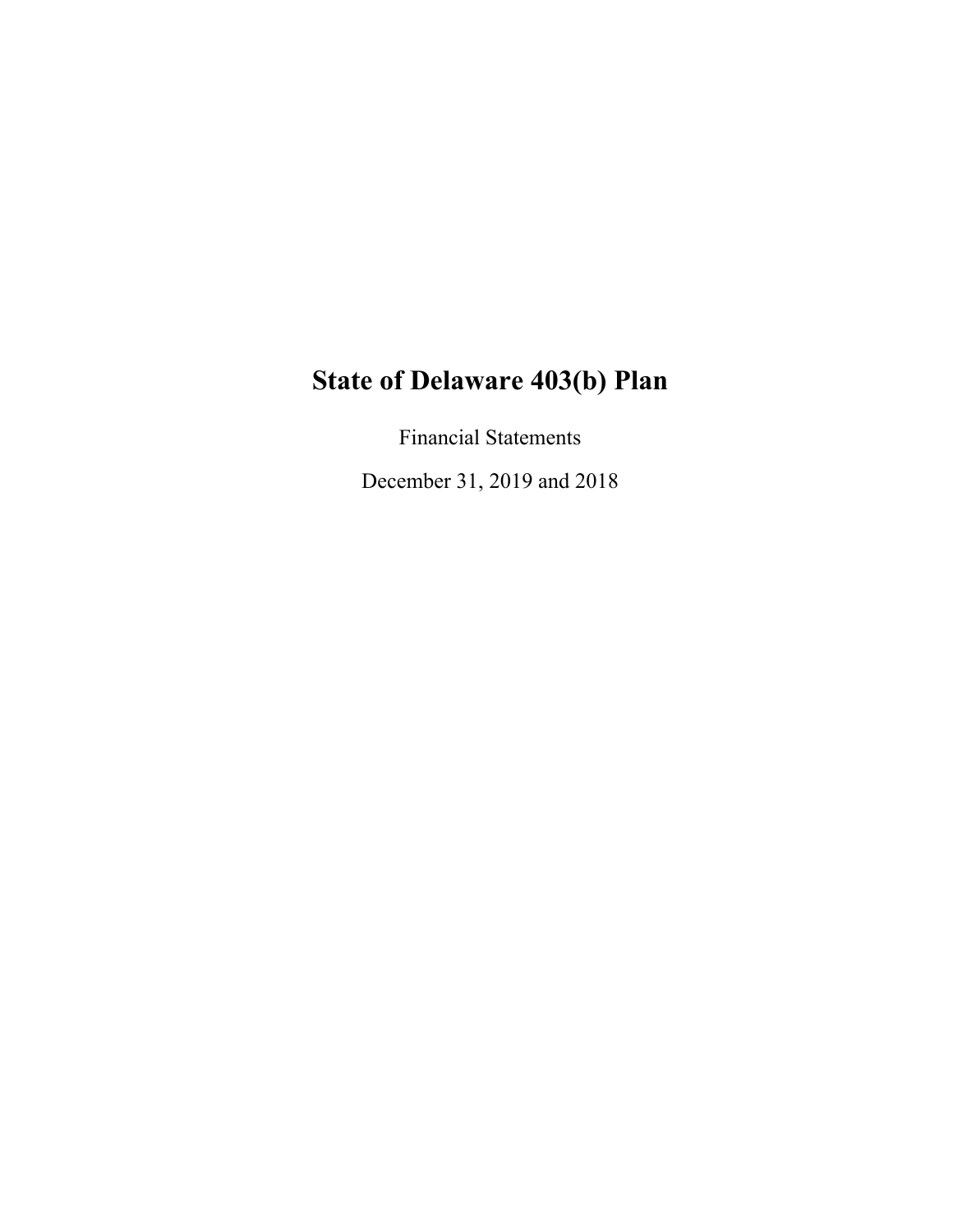Financial Statements

December 31, 2019 and 2018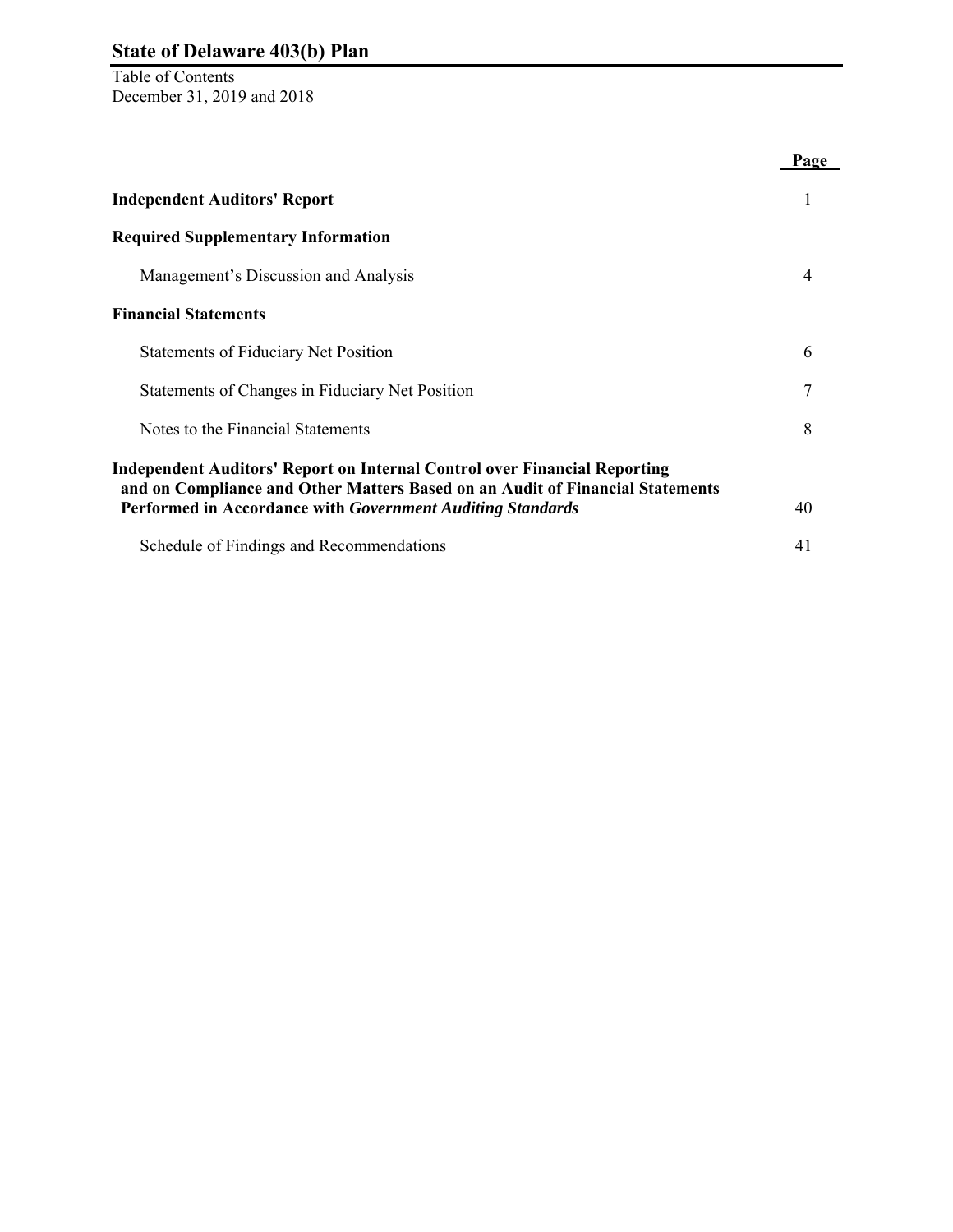Table of Contents December 31, 2019 and 2018

|                                                                                                                                             | Page |
|---------------------------------------------------------------------------------------------------------------------------------------------|------|
| <b>Independent Auditors' Report</b>                                                                                                         | 1    |
| <b>Required Supplementary Information</b>                                                                                                   |      |
| Management's Discussion and Analysis                                                                                                        | 4    |
| <b>Financial Statements</b>                                                                                                                 |      |
| <b>Statements of Fiduciary Net Position</b>                                                                                                 | 6    |
| Statements of Changes in Fiduciary Net Position                                                                                             | 7    |
| Notes to the Financial Statements                                                                                                           | 8    |
| <b>Independent Auditors' Report on Internal Control over Financial Reporting</b>                                                            |      |
| and on Compliance and Other Matters Based on an Audit of Financial Statements<br>Performed in Accordance with Government Auditing Standards | 40   |
| Schedule of Findings and Recommendations                                                                                                    | 41   |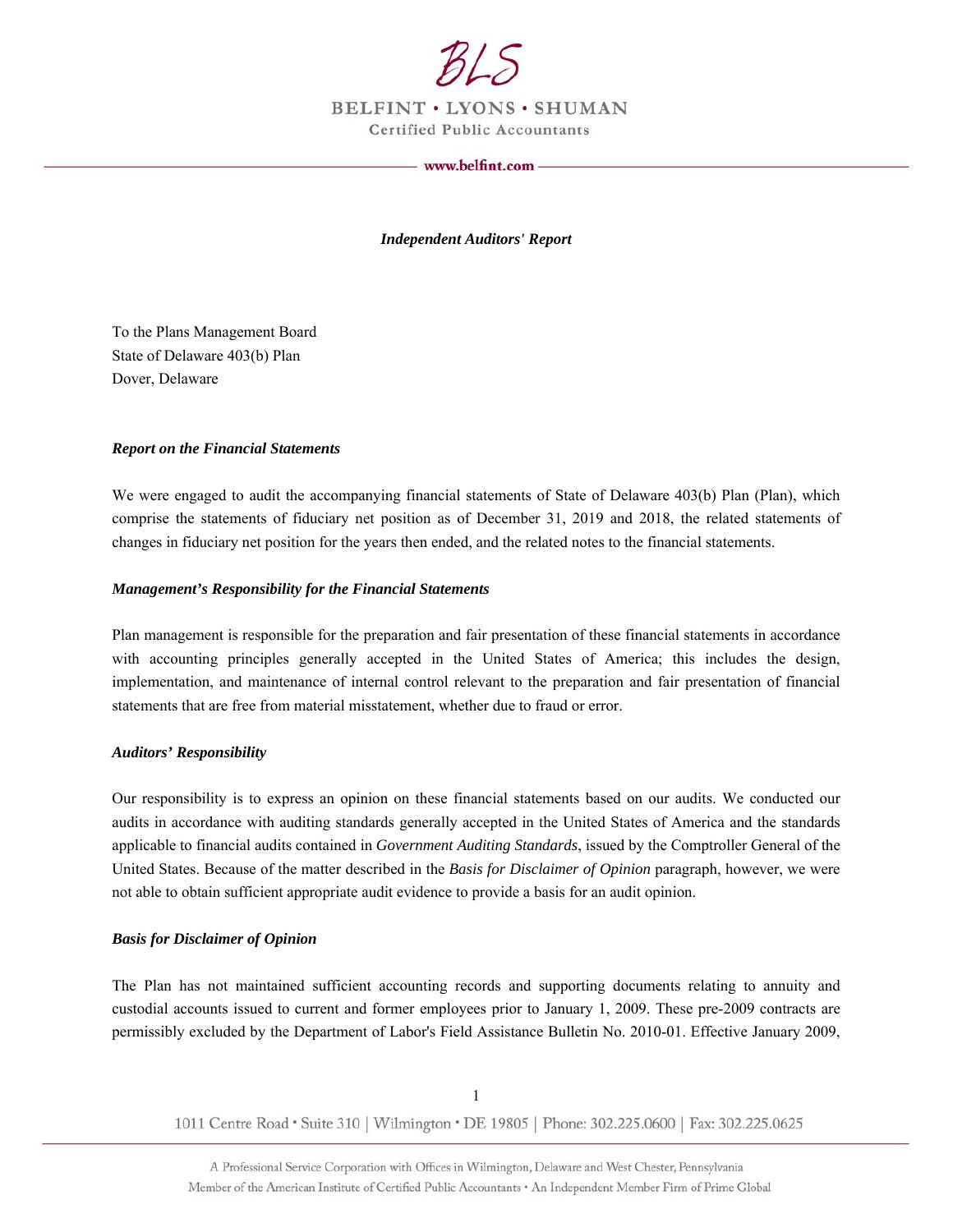

BELFINT . LYONS . SHUMAN **Certified Public Accountants** 

www.belfint.com -

*Independent Auditors' Report* 

To the Plans Management Board State of Delaware 403(b) Plan Dover, Delaware

#### *Report on the Financial Statements*

We were engaged to audit the accompanying financial statements of State of Delaware 403(b) Plan (Plan), which comprise the statements of fiduciary net position as of December 31, 2019 and 2018, the related statements of changes in fiduciary net position for the years then ended, and the related notes to the financial statements.

#### *Management's Responsibility for the Financial Statements*

Plan management is responsible for the preparation and fair presentation of these financial statements in accordance with accounting principles generally accepted in the United States of America; this includes the design, implementation, and maintenance of internal control relevant to the preparation and fair presentation of financial statements that are free from material misstatement, whether due to fraud or error.

#### *Auditors' Responsibility*

Our responsibility is to express an opinion on these financial statements based on our audits. We conducted our audits in accordance with auditing standards generally accepted in the United States of America and the standards applicable to financial audits contained in *Government Auditing Standards*, issued by the Comptroller General of the United States. Because of the matter described in the *Basis for Disclaimer of Opinion* paragraph, however, we were not able to obtain sufficient appropriate audit evidence to provide a basis for an audit opinion.

#### *Basis for Disclaimer of Opinion*

The Plan has not maintained sufficient accounting records and supporting documents relating to annuity and custodial accounts issued to current and former employees prior to January 1, 2009. These pre-2009 contracts are permissibly excluded by the Department of Labor's Field Assistance Bulletin No. 2010-01. Effective January 2009,

1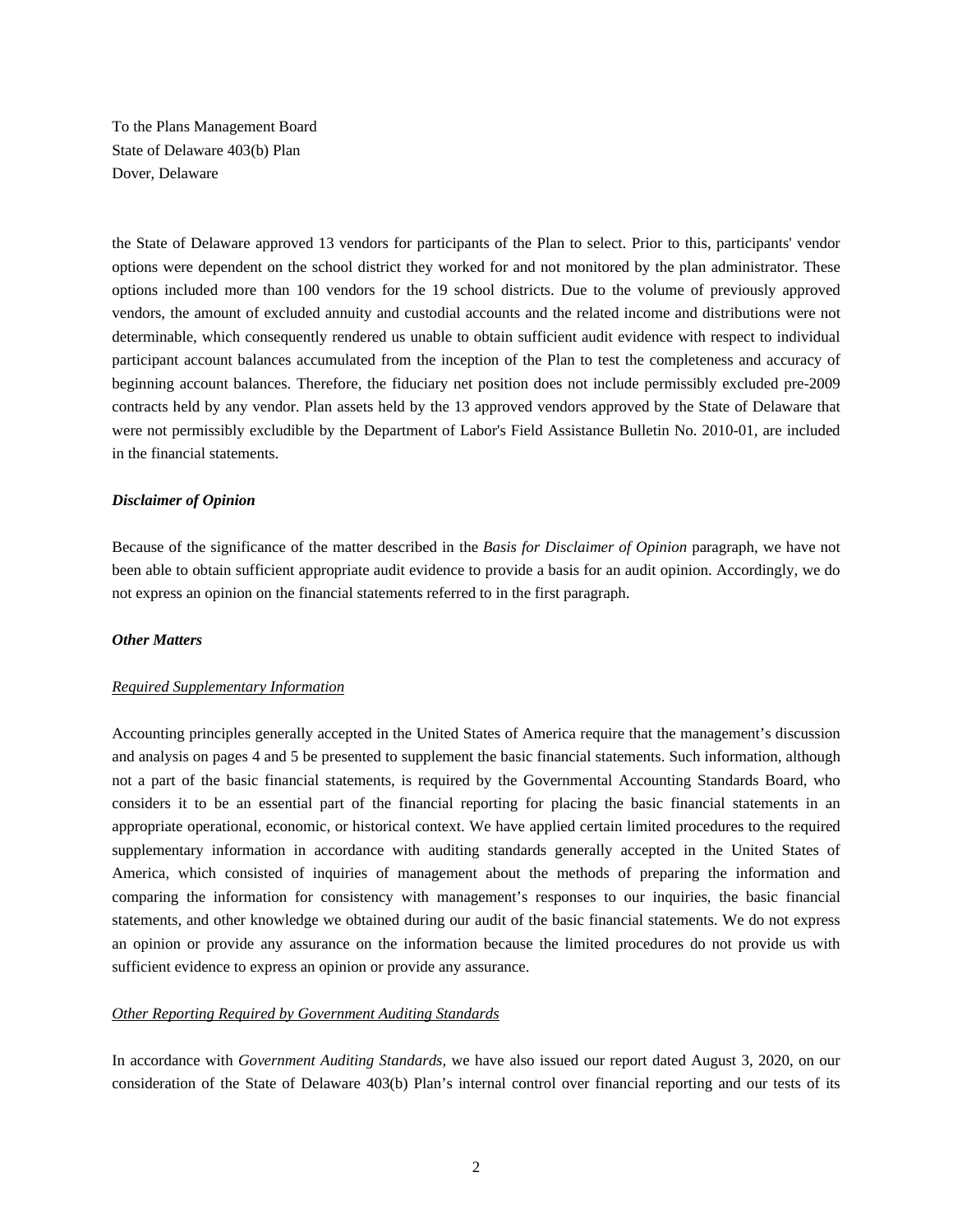To the Plans Management Board State of Delaware 403(b) Plan Dover, Delaware

the State of Delaware approved 13 vendors for participants of the Plan to select. Prior to this, participants' vendor options were dependent on the school district they worked for and not monitored by the plan administrator. These options included more than 100 vendors for the 19 school districts. Due to the volume of previously approved vendors, the amount of excluded annuity and custodial accounts and the related income and distributions were not determinable, which consequently rendered us unable to obtain sufficient audit evidence with respect to individual participant account balances accumulated from the inception of the Plan to test the completeness and accuracy of beginning account balances. Therefore, the fiduciary net position does not include permissibly excluded pre-2009 contracts held by any vendor. Plan assets held by the 13 approved vendors approved by the State of Delaware that were not permissibly excludible by the Department of Labor's Field Assistance Bulletin No. 2010-01, are included in the financial statements.

#### *Disclaimer of Opinion*

Because of the significance of the matter described in the *Basis for Disclaimer of Opinion* paragraph, we have not been able to obtain sufficient appropriate audit evidence to provide a basis for an audit opinion. Accordingly, we do not express an opinion on the financial statements referred to in the first paragraph.

#### *Other Matters*

#### *Required Supplementary Information*

Accounting principles generally accepted in the United States of America require that the management's discussion and analysis on pages 4 and 5 be presented to supplement the basic financial statements. Such information, although not a part of the basic financial statements, is required by the Governmental Accounting Standards Board, who considers it to be an essential part of the financial reporting for placing the basic financial statements in an appropriate operational, economic, or historical context. We have applied certain limited procedures to the required supplementary information in accordance with auditing standards generally accepted in the United States of America, which consisted of inquiries of management about the methods of preparing the information and comparing the information for consistency with management's responses to our inquiries, the basic financial statements, and other knowledge we obtained during our audit of the basic financial statements. We do not express an opinion or provide any assurance on the information because the limited procedures do not provide us with sufficient evidence to express an opinion or provide any assurance.

#### *Other Reporting Required by Government Auditing Standards*

In accordance with *Government Auditing Standards*, we have also issued our report dated August 3, 2020, on our consideration of the State of Delaware 403(b) Plan's internal control over financial reporting and our tests of its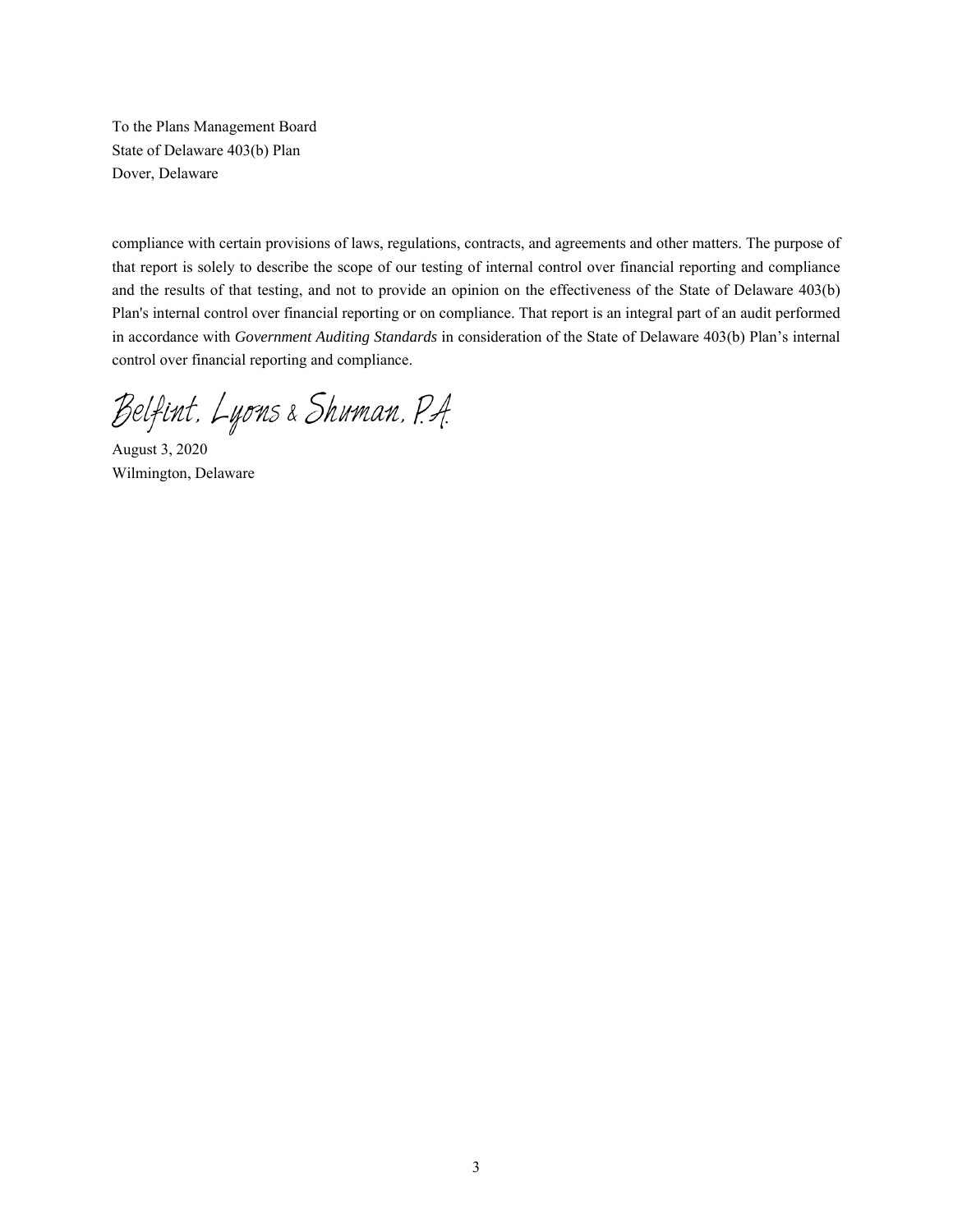To the Plans Management Board State of Delaware 403(b) Plan Dover, Delaware

compliance with certain provisions of laws, regulations, contracts, and agreements and other matters. The purpose of that report is solely to describe the scope of our testing of internal control over financial reporting and compliance and the results of that testing, and not to provide an opinion on the effectiveness of the State of Delaware 403(b) Plan's internal control over financial reporting or on compliance. That report is an integral part of an audit performed in accordance with *Government Auditing Standards* in consideration of the State of Delaware 403(b) Plan's internal control over financial reporting and compliance.

Belfint, Lyons & Shuman, P.A.

August 3, 2020 Wilmington, Delaware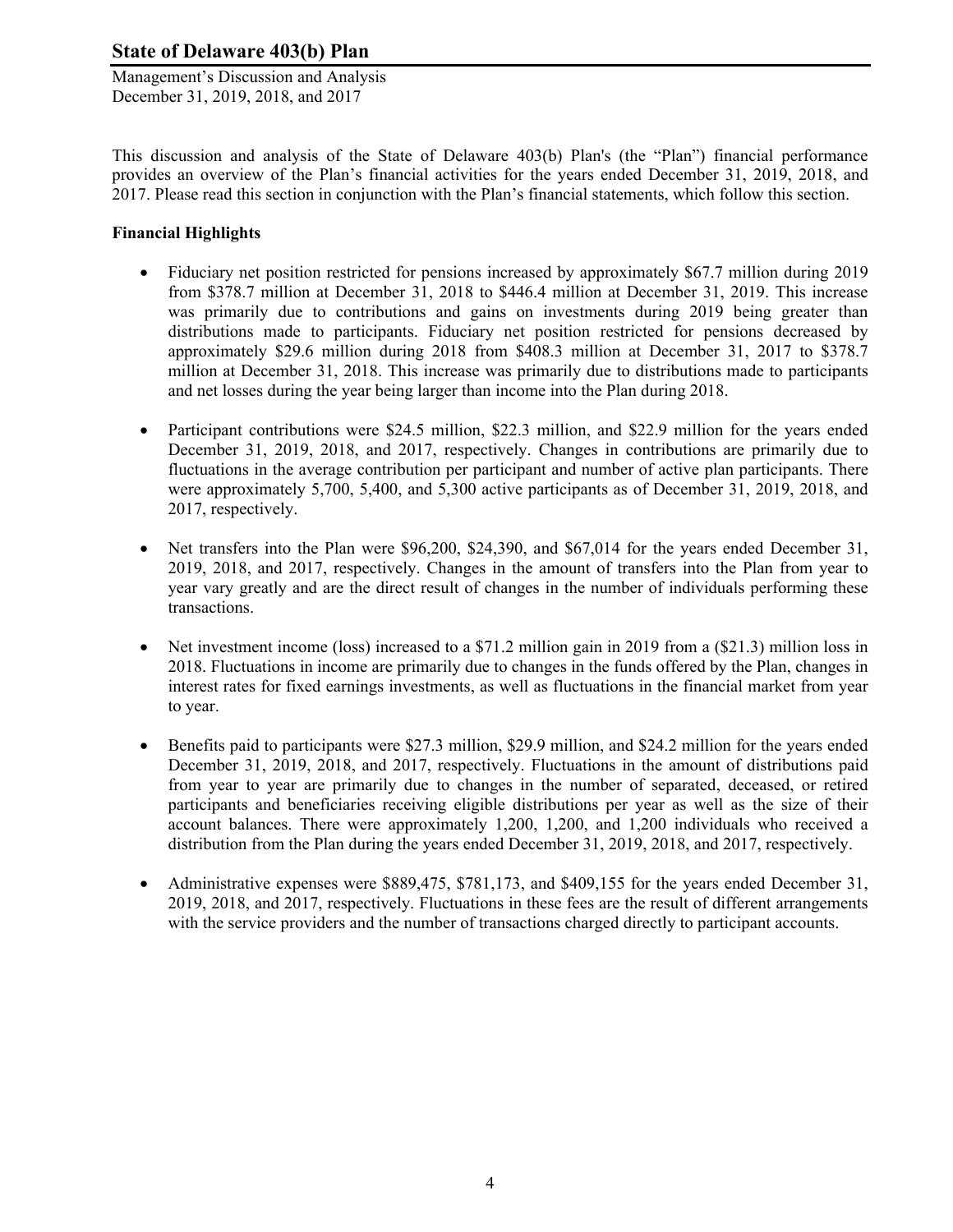Management's Discussion and Analysis December 31, 2019, 2018, and 2017

This discussion and analysis of the State of Delaware 403(b) Plan's (the "Plan") financial performance provides an overview of the Plan's financial activities for the years ended December 31, 2019, 2018, and 2017. Please read this section in conjunction with the Plan's financial statements, which follow this section.

## **Financial Highlights**

- Fiduciary net position restricted for pensions increased by approximately \$67.7 million during 2019 from \$378.7 million at December 31, 2018 to \$446.4 million at December 31, 2019. This increase was primarily due to contributions and gains on investments during 2019 being greater than distributions made to participants. Fiduciary net position restricted for pensions decreased by approximately \$29.6 million during 2018 from \$408.3 million at December 31, 2017 to \$378.7 million at December 31, 2018. This increase was primarily due to distributions made to participants and net losses during the year being larger than income into the Plan during 2018.
- Participant contributions were \$24.5 million, \$22.3 million, and \$22.9 million for the years ended December 31, 2019, 2018, and 2017, respectively. Changes in contributions are primarily due to fluctuations in the average contribution per participant and number of active plan participants. There were approximately 5,700, 5,400, and 5,300 active participants as of December 31, 2019, 2018, and 2017, respectively.
- Net transfers into the Plan were \$96,200, \$24,390, and \$67,014 for the years ended December 31, 2019, 2018, and 2017, respectively. Changes in the amount of transfers into the Plan from year to year vary greatly and are the direct result of changes in the number of individuals performing these transactions.
- Net investment income (loss) increased to a \$71.2 million gain in 2019 from a (\$21.3) million loss in 2018. Fluctuations in income are primarily due to changes in the funds offered by the Plan, changes in interest rates for fixed earnings investments, as well as fluctuations in the financial market from year to year.
- Benefits paid to participants were \$27.3 million, \$29.9 million, and \$24.2 million for the years ended December 31, 2019, 2018, and 2017, respectively. Fluctuations in the amount of distributions paid from year to year are primarily due to changes in the number of separated, deceased, or retired participants and beneficiaries receiving eligible distributions per year as well as the size of their account balances. There were approximately 1,200, 1,200, and 1,200 individuals who received a distribution from the Plan during the years ended December 31, 2019, 2018, and 2017, respectively.
- Administrative expenses were \$889,475, \$781,173, and \$409,155 for the years ended December 31, 2019, 2018, and 2017, respectively. Fluctuations in these fees are the result of different arrangements with the service providers and the number of transactions charged directly to participant accounts.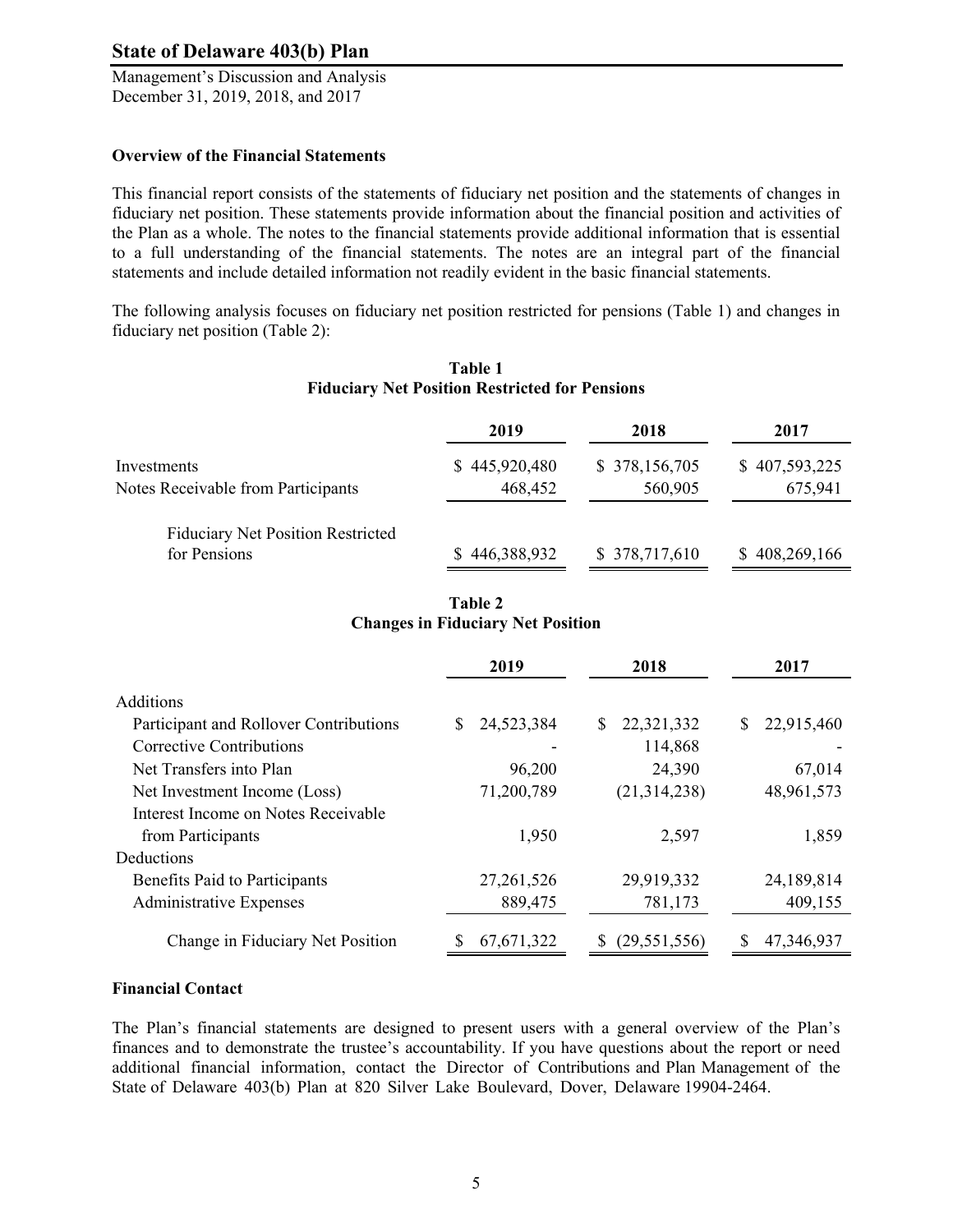Management's Discussion and Analysis December 31, 2019, 2018, and 2017

#### **Overview of the Financial Statements**

This financial report consists of the statements of fiduciary net position and the statements of changes in fiduciary net position. These statements provide information about the financial position and activities of the Plan as a whole. The notes to the financial statements provide additional information that is essential to a full understanding of the financial statements. The notes are an integral part of the financial statements and include detailed information not readily evident in the basic financial statements.

The following analysis focuses on fiduciary net position restricted for pensions (Table 1) and changes in fiduciary net position (Table 2):

|                                          | 2019          | 2018           | 2017          |
|------------------------------------------|---------------|----------------|---------------|
| Investments                              | \$445,920,480 | \$ 378,156,705 | \$407,593,225 |
| Notes Receivable from Participants       | 468,452       | 560,905        | 675,941       |
| <b>Fiduciary Net Position Restricted</b> |               |                |               |
| for Pensions                             | \$446,388,932 | \$378,717,610  | \$408,269,166 |

## **Table 1 Fiduciary Net Position Restricted for Pensions**

## **Table 2 Changes in Fiduciary Net Position**

|                                        | 2019            | 2018             | 2017             |
|----------------------------------------|-----------------|------------------|------------------|
| Additions                              |                 |                  |                  |
| Participant and Rollover Contributions | 24,523,384<br>S | 22,321,332<br>\$ | 22,915,460<br>S. |
| Corrective Contributions               |                 | 114,868          |                  |
| Net Transfers into Plan                | 96,200          | 24,390           | 67,014           |
| Net Investment Income (Loss)           | 71,200,789      | (21, 314, 238)   | 48,961,573       |
| Interest Income on Notes Receivable    |                 |                  |                  |
| from Participants                      | 1,950           | 2,597            | 1,859            |
| Deductions                             |                 |                  |                  |
| Benefits Paid to Participants          | 27, 261, 526    | 29,919,332       | 24,189,814       |
| <b>Administrative Expenses</b>         | 889,475         | 781,173          | 409,155          |
| Change in Fiduciary Net Position       | 67, 671, 322    | (29, 551, 556)   | 47,346,937       |

## **Financial Contact**

The Plan's financial statements are designed to present users with a general overview of the Plan's finances and to demonstrate the trustee's accountability. If you have questions about the report or need additional financial information, contact the Director of Contributions and Plan Management of the State of Delaware 403(b) Plan at 820 Silver Lake Boulevard, Dover, Delaware 19904-2464.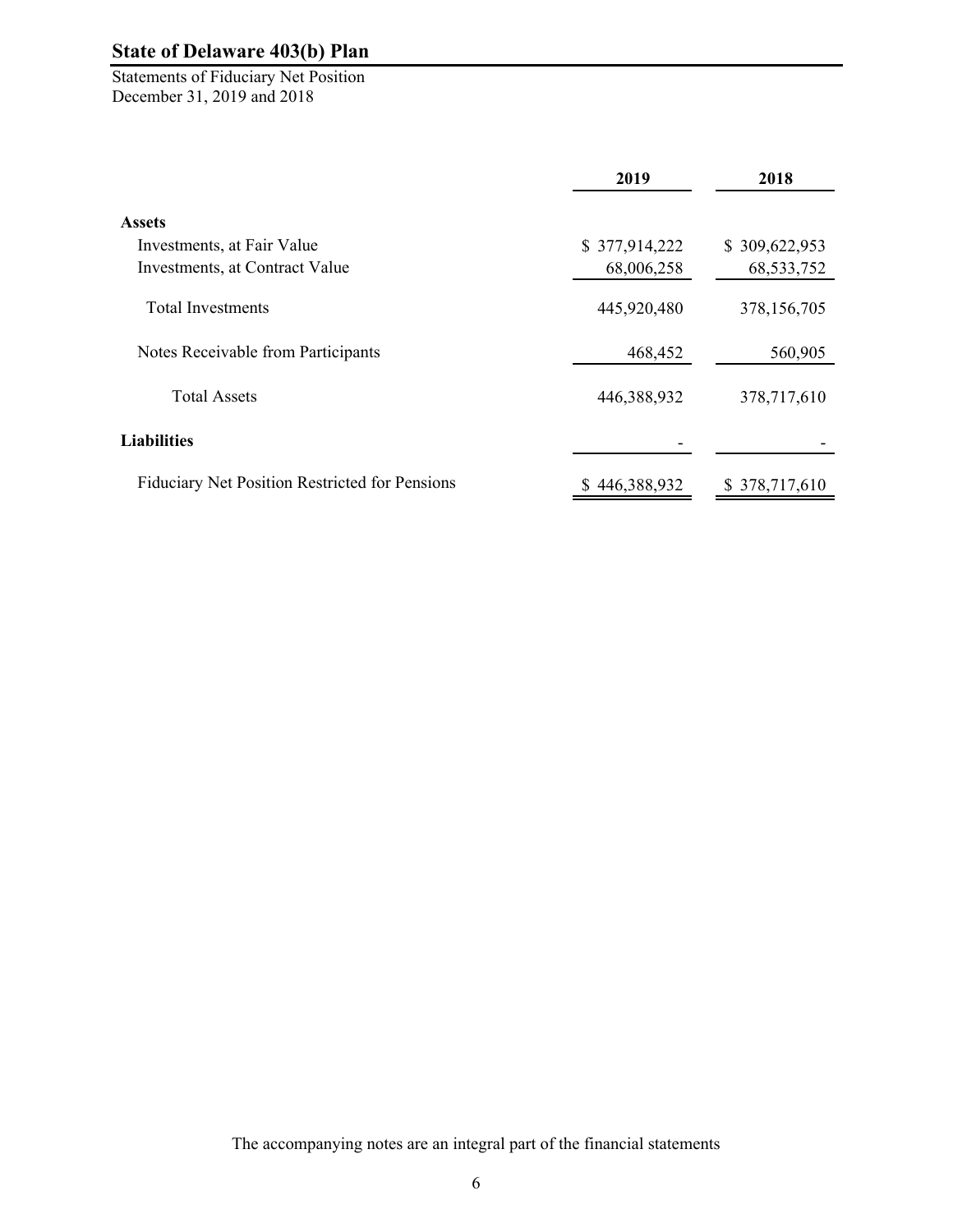Statements of Fiduciary Net Position December 31, 2019 and 2018

|                                                       | 2019          | 2018          |
|-------------------------------------------------------|---------------|---------------|
| <b>Assets</b>                                         |               |               |
| Investments, at Fair Value                            | \$377,914,222 | \$309,622,953 |
| Investments, at Contract Value                        | 68,006,258    | 68, 533, 752  |
| <b>Total Investments</b>                              | 445,920,480   | 378,156,705   |
| Notes Receivable from Participants                    | 468,452       | 560,905       |
| <b>Total Assets</b>                                   | 446,388,932   | 378,717,610   |
| <b>Liabilities</b>                                    |               |               |
| <b>Fiduciary Net Position Restricted for Pensions</b> | \$446,388,932 | \$378,717,610 |

The accompanying notes are an integral part of the financial statements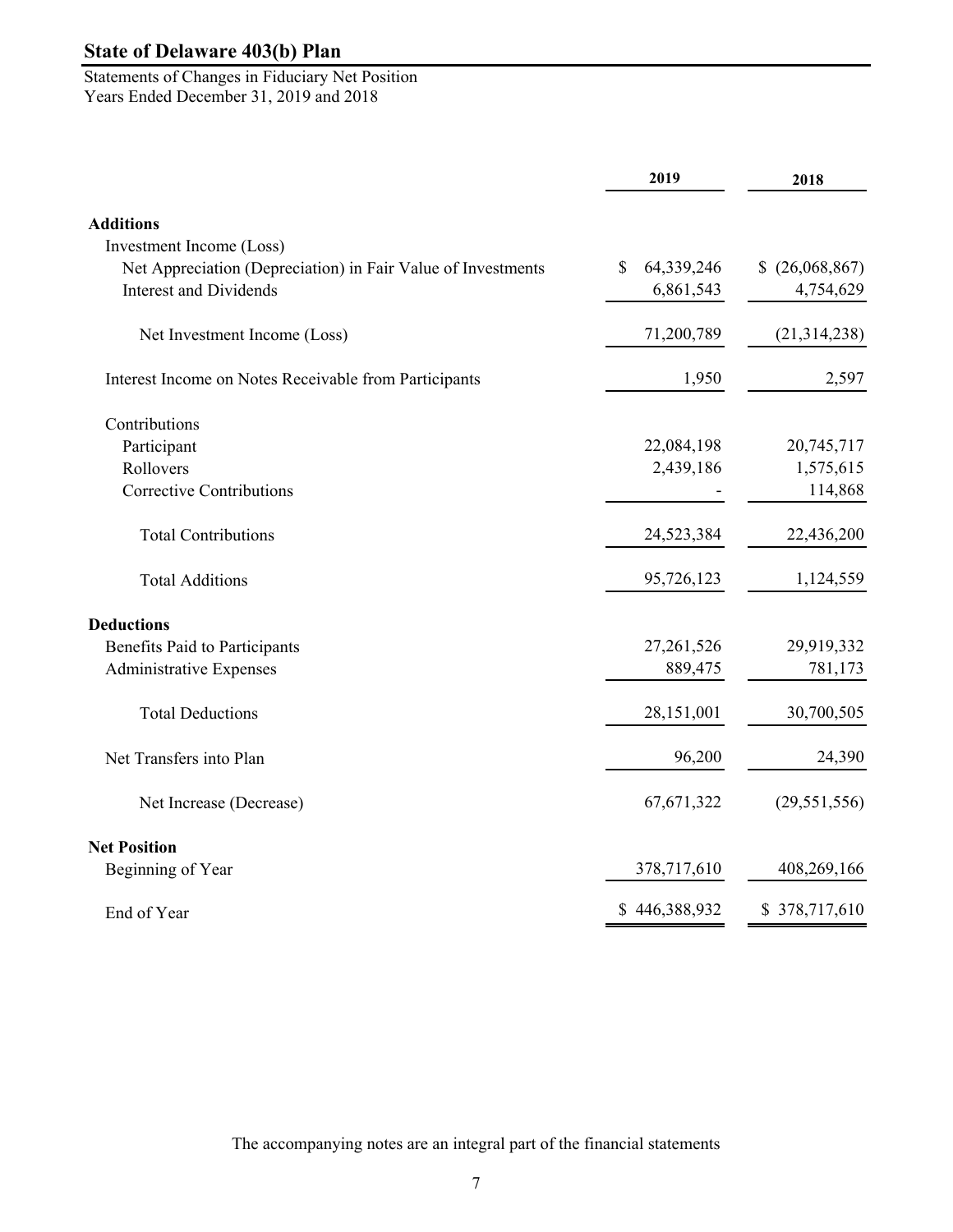Statements of Changes in Fiduciary Net Position Years Ended December 31, 2019 and 2018

|                                                              | 2019             | 2018            |
|--------------------------------------------------------------|------------------|-----------------|
| <b>Additions</b>                                             |                  |                 |
| Investment Income (Loss)                                     |                  |                 |
| Net Appreciation (Depreciation) in Fair Value of Investments | 64,339,246<br>\$ | \$ (26,068,867) |
| <b>Interest and Dividends</b>                                | 6,861,543        | 4,754,629       |
| Net Investment Income (Loss)                                 | 71,200,789       | (21,314,238)    |
| Interest Income on Notes Receivable from Participants        | 1,950            | 2,597           |
| Contributions                                                |                  |                 |
| Participant                                                  | 22,084,198       | 20,745,717      |
| Rollovers                                                    | 2,439,186        | 1,575,615       |
| <b>Corrective Contributions</b>                              |                  | 114,868         |
| <b>Total Contributions</b>                                   | 24,523,384       | 22,436,200      |
| <b>Total Additions</b>                                       | 95,726,123       | 1,124,559       |
| <b>Deductions</b>                                            |                  |                 |
| <b>Benefits Paid to Participants</b>                         | 27,261,526       | 29,919,332      |
| <b>Administrative Expenses</b>                               | 889,475          | 781,173         |
| <b>Total Deductions</b>                                      | 28,151,001       | 30,700,505      |
| Net Transfers into Plan                                      | 96,200           | 24,390          |
| Net Increase (Decrease)                                      | 67,671,322       | (29, 551, 556)  |
| <b>Net Position</b>                                          |                  |                 |
| Beginning of Year                                            | 378,717,610      | 408,269,166     |
| End of Year                                                  | \$446,388,932    | \$378,717,610   |

The accompanying notes are an integral part of the financial statements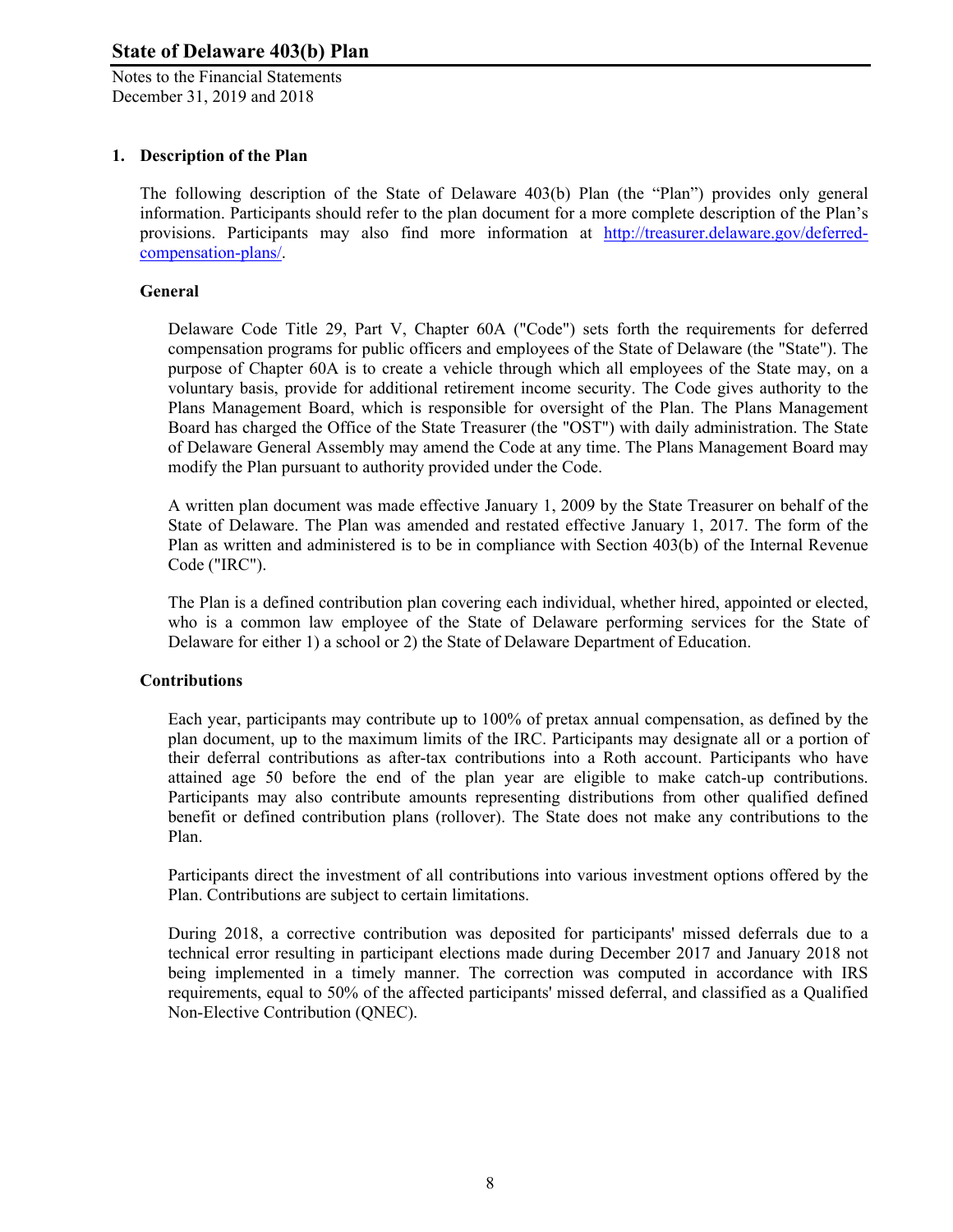Notes to the Financial Statements December 31, 2019 and 2018

## **1. Description of the Plan**

The following description of the State of Delaware 403(b) Plan (the "Plan") provides only general information. Participants should refer to the plan document for a more complete description of the Plan's provisions. Participants may also find more information at http://treasurer.delaware.gov/deferredcompensation-plans/.

#### **General**

Delaware Code Title 29, Part V, Chapter 60A ("Code") sets forth the requirements for deferred compensation programs for public officers and employees of the State of Delaware (the "State"). The purpose of Chapter 60A is to create a vehicle through which all employees of the State may, on a voluntary basis, provide for additional retirement income security. The Code gives authority to the Plans Management Board, which is responsible for oversight of the Plan. The Plans Management Board has charged the Office of the State Treasurer (the "OST") with daily administration. The State of Delaware General Assembly may amend the Code at any time. The Plans Management Board may modify the Plan pursuant to authority provided under the Code.

A written plan document was made effective January 1, 2009 by the State Treasurer on behalf of the State of Delaware. The Plan was amended and restated effective January 1, 2017. The form of the Plan as written and administered is to be in compliance with Section 403(b) of the Internal Revenue Code ("IRC").

The Plan is a defined contribution plan covering each individual, whether hired, appointed or elected, who is a common law employee of the State of Delaware performing services for the State of Delaware for either 1) a school or 2) the State of Delaware Department of Education.

#### **Contributions**

Each year, participants may contribute up to 100% of pretax annual compensation, as defined by the plan document, up to the maximum limits of the IRC. Participants may designate all or a portion of their deferral contributions as after-tax contributions into a Roth account. Participants who have attained age 50 before the end of the plan year are eligible to make catch-up contributions. Participants may also contribute amounts representing distributions from other qualified defined benefit or defined contribution plans (rollover). The State does not make any contributions to the Plan.

Participants direct the investment of all contributions into various investment options offered by the Plan. Contributions are subject to certain limitations.

During 2018, a corrective contribution was deposited for participants' missed deferrals due to a technical error resulting in participant elections made during December 2017 and January 2018 not being implemented in a timely manner. The correction was computed in accordance with IRS requirements, equal to 50% of the affected participants' missed deferral, and classified as a Qualified Non-Elective Contribution (QNEC).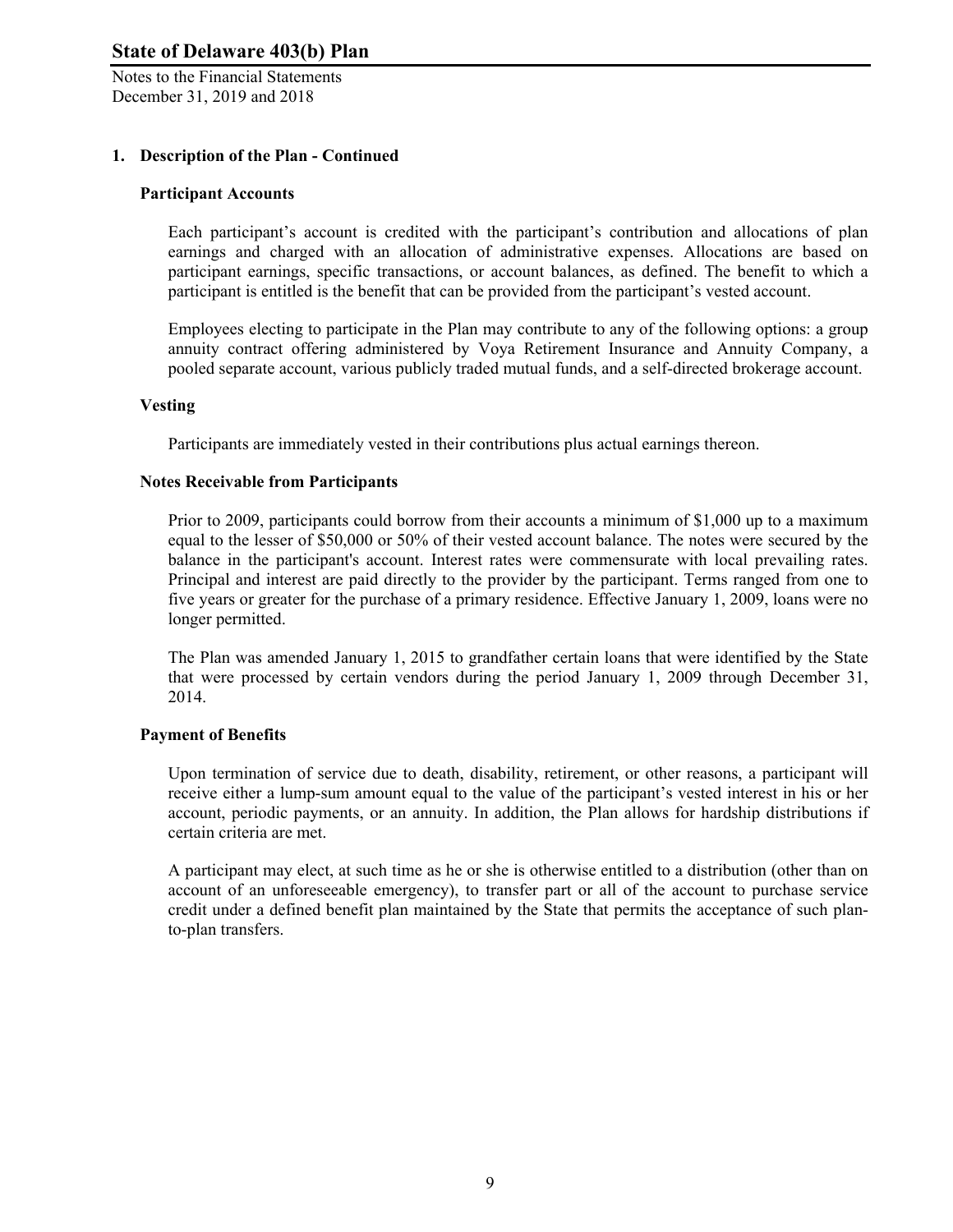Notes to the Financial Statements December 31, 2019 and 2018

## **1. Description of the Plan - Continued**

#### **Participant Accounts**

Each participant's account is credited with the participant's contribution and allocations of plan earnings and charged with an allocation of administrative expenses. Allocations are based on participant earnings, specific transactions, or account balances, as defined. The benefit to which a participant is entitled is the benefit that can be provided from the participant's vested account.

Employees electing to participate in the Plan may contribute to any of the following options: a group annuity contract offering administered by Voya Retirement Insurance and Annuity Company, a pooled separate account, various publicly traded mutual funds, and a self-directed brokerage account.

#### **Vesting**

Participants are immediately vested in their contributions plus actual earnings thereon.

#### **Notes Receivable from Participants**

Prior to 2009, participants could borrow from their accounts a minimum of \$1,000 up to a maximum equal to the lesser of \$50,000 or 50% of their vested account balance. The notes were secured by the balance in the participant's account. Interest rates were commensurate with local prevailing rates. Principal and interest are paid directly to the provider by the participant. Terms ranged from one to five years or greater for the purchase of a primary residence. Effective January 1, 2009, loans were no longer permitted.

The Plan was amended January 1, 2015 to grandfather certain loans that were identified by the State that were processed by certain vendors during the period January 1, 2009 through December 31, 2014.

#### **Payment of Benefits**

Upon termination of service due to death, disability, retirement, or other reasons, a participant will receive either a lump-sum amount equal to the value of the participant's vested interest in his or her account, periodic payments, or an annuity. In addition, the Plan allows for hardship distributions if certain criteria are met.

A participant may elect, at such time as he or she is otherwise entitled to a distribution (other than on account of an unforeseeable emergency), to transfer part or all of the account to purchase service credit under a defined benefit plan maintained by the State that permits the acceptance of such planto-plan transfers.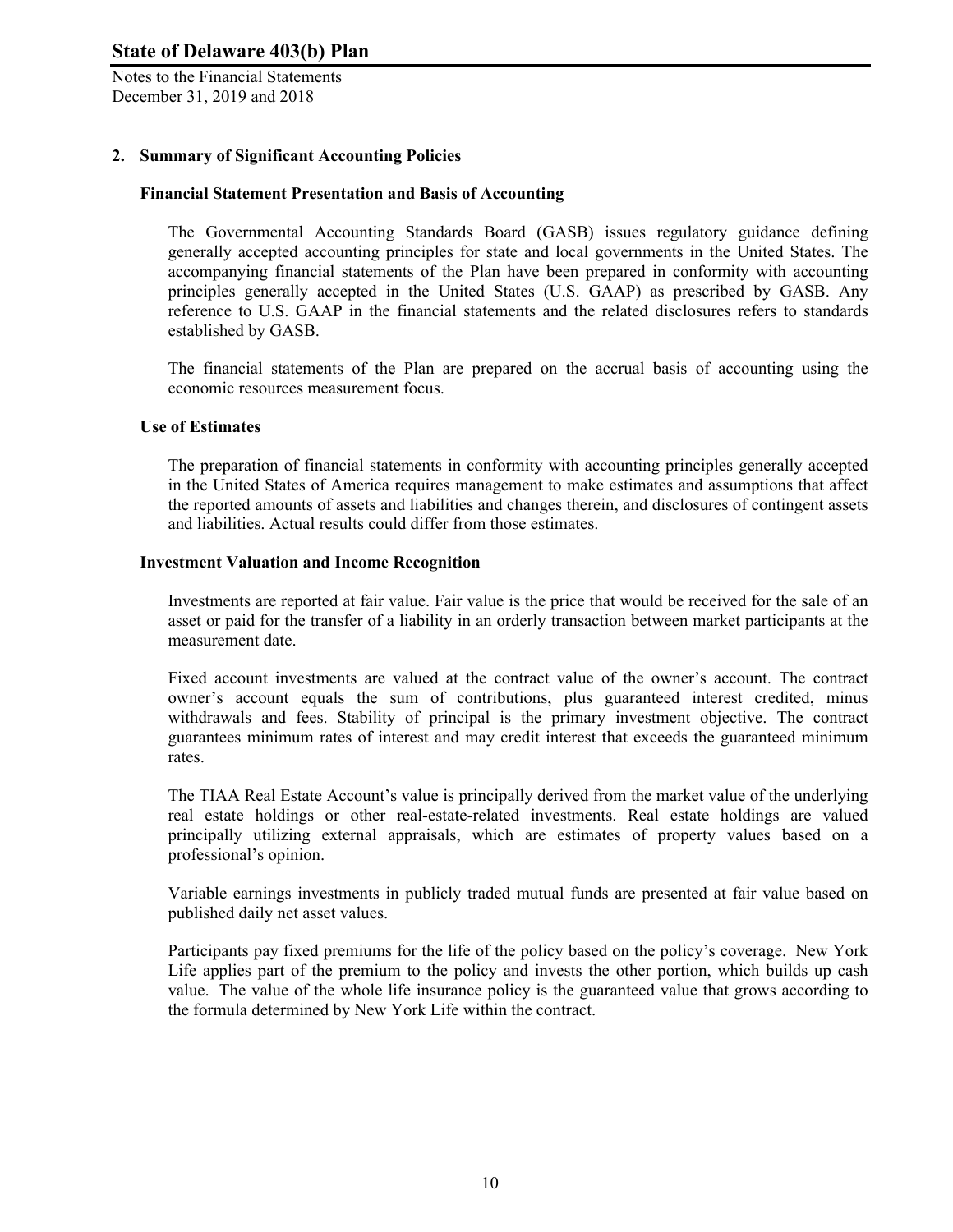Notes to the Financial Statements December 31, 2019 and 2018

## **2. Summary of Significant Accounting Policies**

#### **Financial Statement Presentation and Basis of Accounting**

The Governmental Accounting Standards Board (GASB) issues regulatory guidance defining generally accepted accounting principles for state and local governments in the United States. The accompanying financial statements of the Plan have been prepared in conformity with accounting principles generally accepted in the United States (U.S. GAAP) as prescribed by GASB. Any reference to U.S. GAAP in the financial statements and the related disclosures refers to standards established by GASB.

The financial statements of the Plan are prepared on the accrual basis of accounting using the economic resources measurement focus.

#### **Use of Estimates**

The preparation of financial statements in conformity with accounting principles generally accepted in the United States of America requires management to make estimates and assumptions that affect the reported amounts of assets and liabilities and changes therein, and disclosures of contingent assets and liabilities. Actual results could differ from those estimates.

#### **Investment Valuation and Income Recognition**

Investments are reported at fair value. Fair value is the price that would be received for the sale of an asset or paid for the transfer of a liability in an orderly transaction between market participants at the measurement date.

Fixed account investments are valued at the contract value of the owner's account. The contract owner's account equals the sum of contributions, plus guaranteed interest credited, minus withdrawals and fees. Stability of principal is the primary investment objective. The contract guarantees minimum rates of interest and may credit interest that exceeds the guaranteed minimum rates.

The TIAA Real Estate Account's value is principally derived from the market value of the underlying real estate holdings or other real-estate-related investments. Real estate holdings are valued principally utilizing external appraisals, which are estimates of property values based on a professional's opinion.

Variable earnings investments in publicly traded mutual funds are presented at fair value based on published daily net asset values.

Participants pay fixed premiums for the life of the policy based on the policy's coverage. New York Life applies part of the premium to the policy and invests the other portion, which builds up cash value. The value of the whole life insurance policy is the guaranteed value that grows according to the formula determined by New York Life within the contract.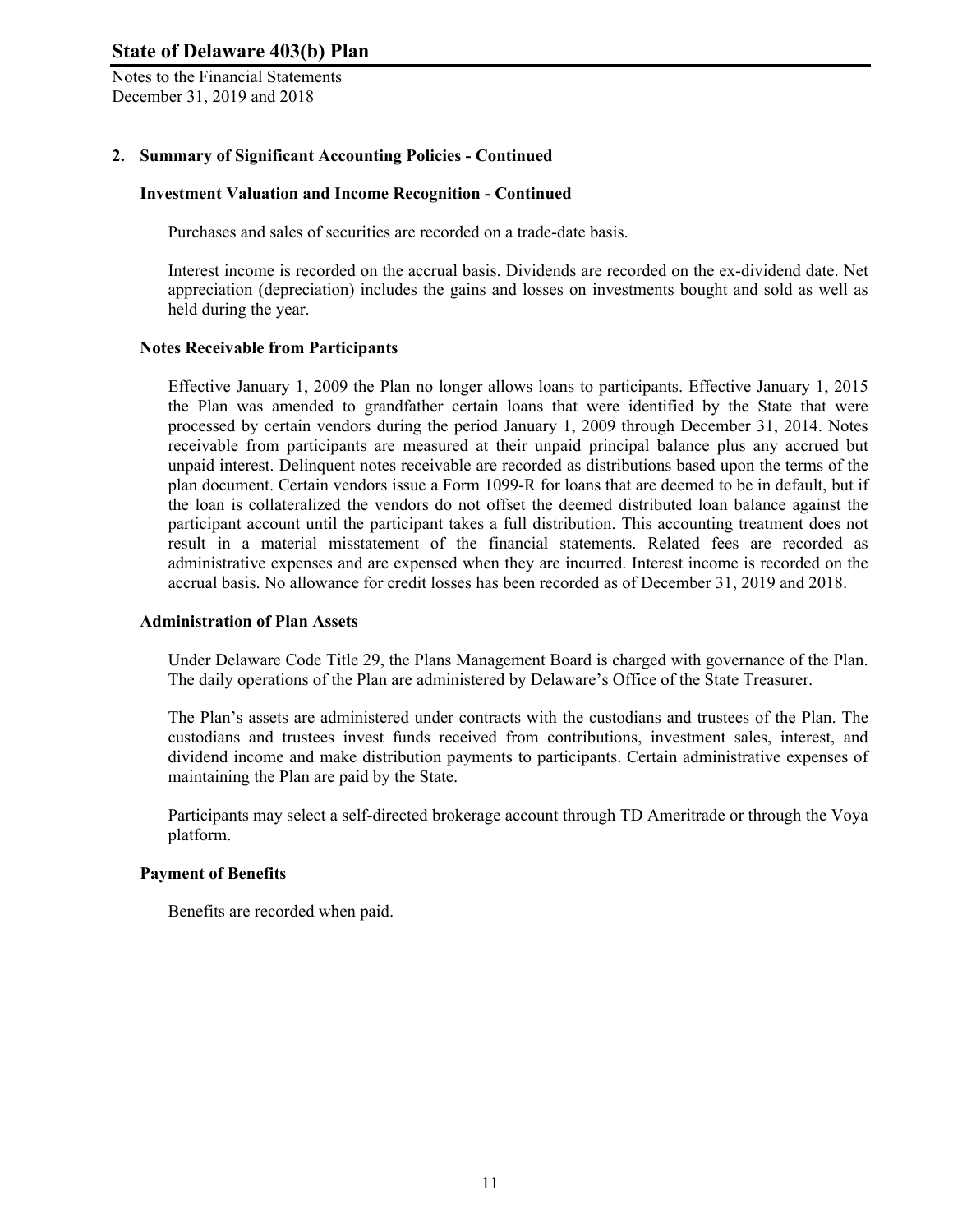Notes to the Financial Statements December 31, 2019 and 2018

## **2. Summary of Significant Accounting Policies - Continued**

#### **Investment Valuation and Income Recognition - Continued**

Purchases and sales of securities are recorded on a trade-date basis.

Interest income is recorded on the accrual basis. Dividends are recorded on the ex-dividend date. Net appreciation (depreciation) includes the gains and losses on investments bought and sold as well as held during the year.

#### **Notes Receivable from Participants**

Effective January 1, 2009 the Plan no longer allows loans to participants. Effective January 1, 2015 the Plan was amended to grandfather certain loans that were identified by the State that were processed by certain vendors during the period January 1, 2009 through December 31, 2014. Notes receivable from participants are measured at their unpaid principal balance plus any accrued but unpaid interest. Delinquent notes receivable are recorded as distributions based upon the terms of the plan document. Certain vendors issue a Form 1099-R for loans that are deemed to be in default, but if the loan is collateralized the vendors do not offset the deemed distributed loan balance against the participant account until the participant takes a full distribution. This accounting treatment does not result in a material misstatement of the financial statements. Related fees are recorded as administrative expenses and are expensed when they are incurred. Interest income is recorded on the accrual basis. No allowance for credit losses has been recorded as of December 31, 2019 and 2018.

#### **Administration of Plan Assets**

Under Delaware Code Title 29, the Plans Management Board is charged with governance of the Plan. The daily operations of the Plan are administered by Delaware's Office of the State Treasurer.

The Plan's assets are administered under contracts with the custodians and trustees of the Plan. The custodians and trustees invest funds received from contributions, investment sales, interest, and dividend income and make distribution payments to participants. Certain administrative expenses of maintaining the Plan are paid by the State.

Participants may select a self-directed brokerage account through TD Ameritrade or through the Voya platform.

#### **Payment of Benefits**

Benefits are recorded when paid.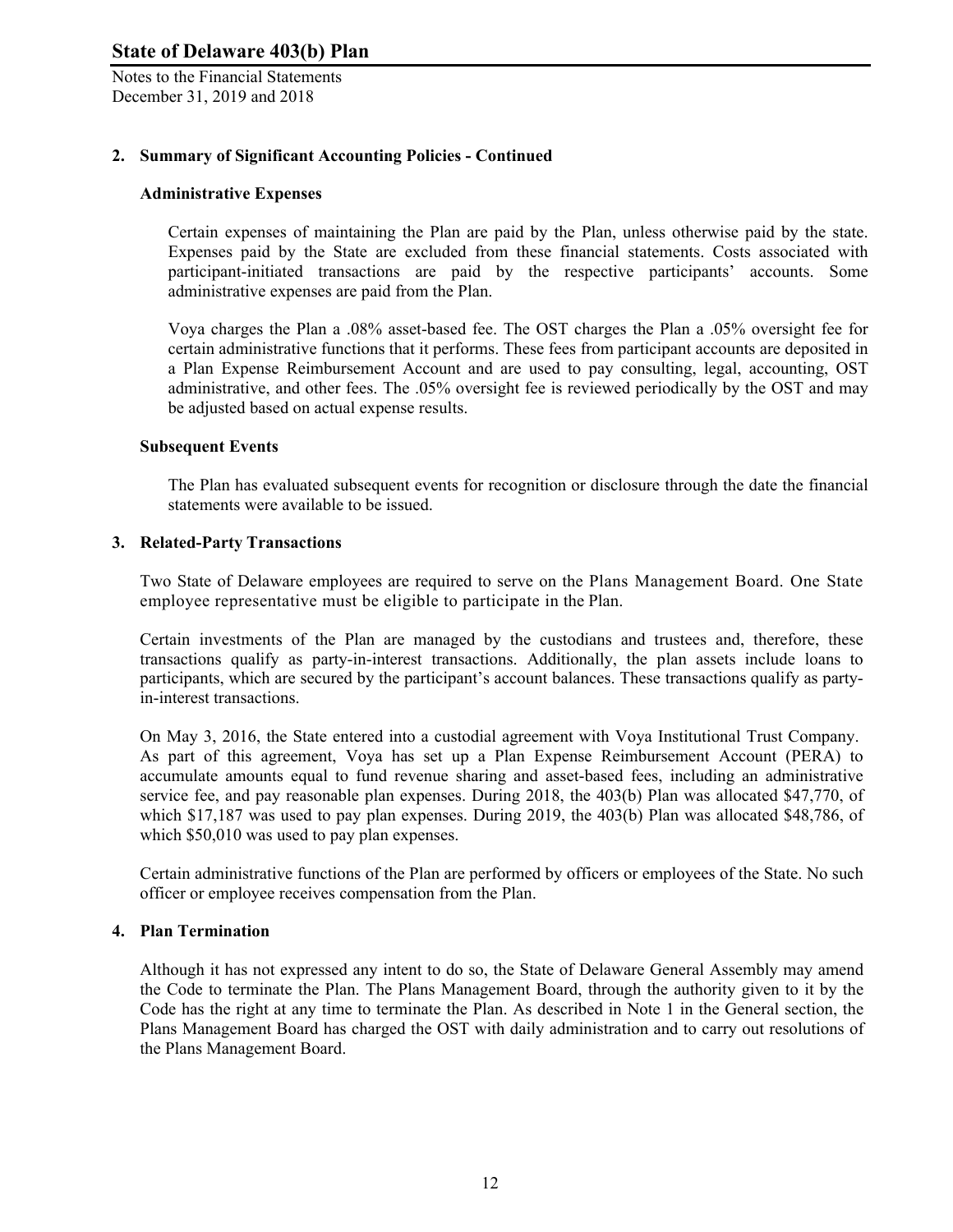Notes to the Financial Statements December 31, 2019 and 2018

#### **2. Summary of Significant Accounting Policies - Continued**

#### **Administrative Expenses**

Certain expenses of maintaining the Plan are paid by the Plan, unless otherwise paid by the state. Expenses paid by the State are excluded from these financial statements. Costs associated with participant-initiated transactions are paid by the respective participants' accounts. Some administrative expenses are paid from the Plan.

Voya charges the Plan a .08% asset-based fee. The OST charges the Plan a .05% oversight fee for certain administrative functions that it performs. These fees from participant accounts are deposited in a Plan Expense Reimbursement Account and are used to pay consulting, legal, accounting, OST administrative, and other fees. The .05% oversight fee is reviewed periodically by the OST and may be adjusted based on actual expense results.

#### **Subsequent Events**

The Plan has evaluated subsequent events for recognition or disclosure through the date the financial statements were available to be issued.

#### **3. Related-Party Transactions**

Two State of Delaware employees are required to serve on the Plans Management Board. One State employee representative must be eligible to participate in the Plan.

Certain investments of the Plan are managed by the custodians and trustees and, therefore, these transactions qualify as party-in-interest transactions. Additionally, the plan assets include loans to participants, which are secured by the participant's account balances. These transactions qualify as partyin-interest transactions.

On May 3, 2016, the State entered into a custodial agreement with Voya Institutional Trust Company. As part of this agreement, Voya has set up a Plan Expense Reimbursement Account (PERA) to accumulate amounts equal to fund revenue sharing and asset-based fees, including an administrative service fee, and pay reasonable plan expenses. During 2018, the 403(b) Plan was allocated \$47,770, of which \$17,187 was used to pay plan expenses. During 2019, the 403(b) Plan was allocated \$48,786, of which \$50,010 was used to pay plan expenses.

Certain administrative functions of the Plan are performed by officers or employees of the State. No such officer or employee receives compensation from the Plan.

#### **4. Plan Termination**

Although it has not expressed any intent to do so, the State of Delaware General Assembly may amend the Code to terminate the Plan. The Plans Management Board, through the authority given to it by the Code has the right at any time to terminate the Plan. As described in Note 1 in the General section, the Plans Management Board has charged the OST with daily administration and to carry out resolutions of the Plans Management Board.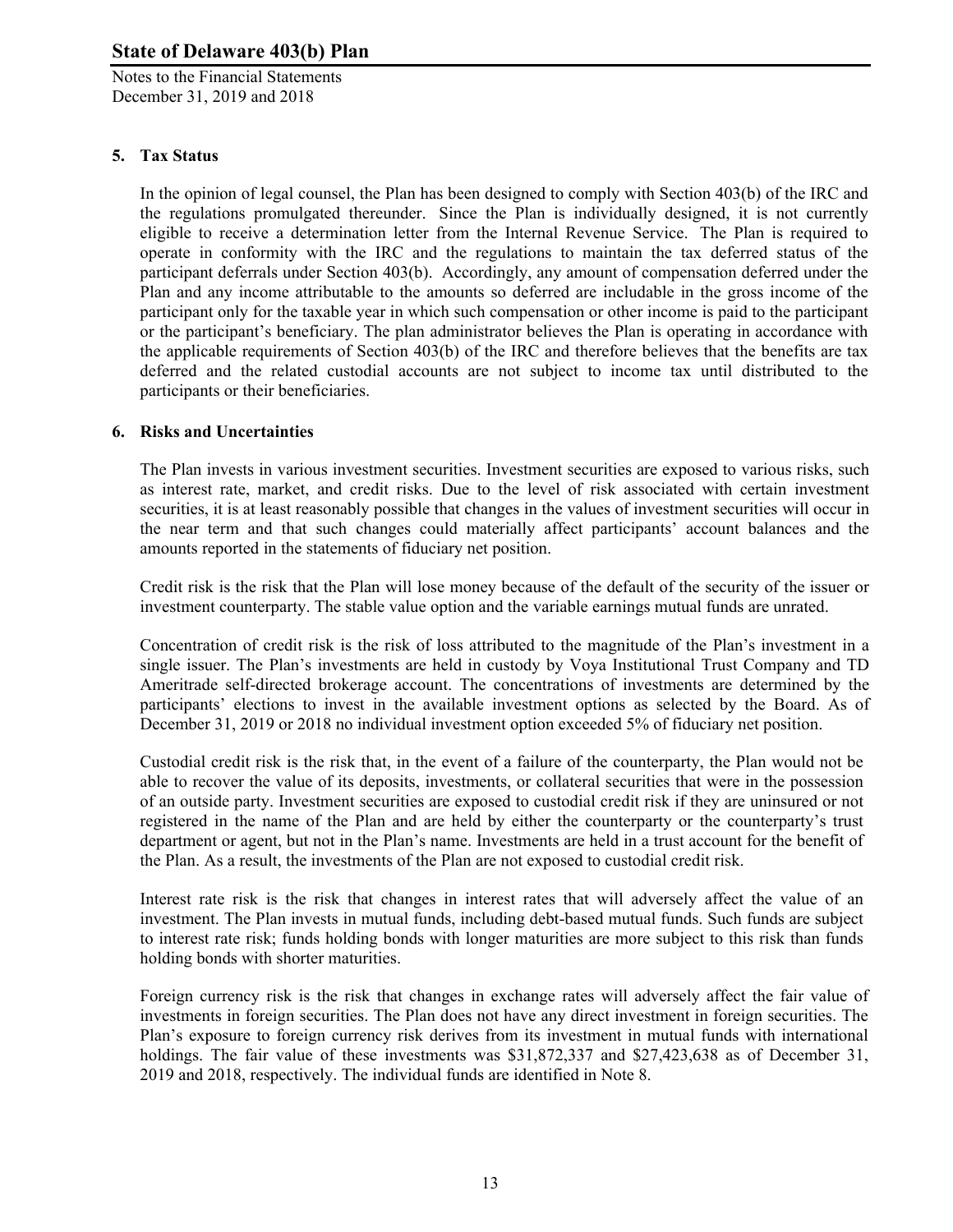Notes to the Financial Statements December 31, 2019 and 2018

## **5. Tax Status**

In the opinion of legal counsel, the Plan has been designed to comply with Section 403(b) of the IRC and the regulations promulgated thereunder. Since the Plan is individually designed, it is not currently eligible to receive a determination letter from the Internal Revenue Service. The Plan is required to operate in conformity with the IRC and the regulations to maintain the tax deferred status of the participant deferrals under Section 403(b). Accordingly, any amount of compensation deferred under the Plan and any income attributable to the amounts so deferred are includable in the gross income of the participant only for the taxable year in which such compensation or other income is paid to the participant or the participant's beneficiary. The plan administrator believes the Plan is operating in accordance with the applicable requirements of Section 403(b) of the IRC and therefore believes that the benefits are tax deferred and the related custodial accounts are not subject to income tax until distributed to the participants or their beneficiaries.

## **6. Risks and Uncertainties**

The Plan invests in various investment securities. Investment securities are exposed to various risks, such as interest rate, market, and credit risks. Due to the level of risk associated with certain investment securities, it is at least reasonably possible that changes in the values of investment securities will occur in the near term and that such changes could materially affect participants' account balances and the amounts reported in the statements of fiduciary net position.

Credit risk is the risk that the Plan will lose money because of the default of the security of the issuer or investment counterparty. The stable value option and the variable earnings mutual funds are unrated.

Concentration of credit risk is the risk of loss attributed to the magnitude of the Plan's investment in a single issuer. The Plan's investments are held in custody by Voya Institutional Trust Company and TD Ameritrade self-directed brokerage account. The concentrations of investments are determined by the participants' elections to invest in the available investment options as selected by the Board. As of December 31, 2019 or 2018 no individual investment option exceeded 5% of fiduciary net position.

Custodial credit risk is the risk that, in the event of a failure of the counterparty, the Plan would not be able to recover the value of its deposits, investments, or collateral securities that were in the possession of an outside party. Investment securities are exposed to custodial credit risk if they are uninsured or not registered in the name of the Plan and are held by either the counterparty or the counterparty's trust department or agent, but not in the Plan's name. Investments are held in a trust account for the benefit of the Plan. As a result, the investments of the Plan are not exposed to custodial credit risk.

Interest rate risk is the risk that changes in interest rates that will adversely affect the value of an investment. The Plan invests in mutual funds, including debt-based mutual funds. Such funds are subject to interest rate risk; funds holding bonds with longer maturities are more subject to this risk than funds holding bonds with shorter maturities.

Foreign currency risk is the risk that changes in exchange rates will adversely affect the fair value of investments in foreign securities. The Plan does not have any direct investment in foreign securities. The Plan's exposure to foreign currency risk derives from its investment in mutual funds with international holdings. The fair value of these investments was \$31,872,337 and \$27,423,638 as of December 31, 2019 and 2018, respectively. The individual funds are identified in Note 8.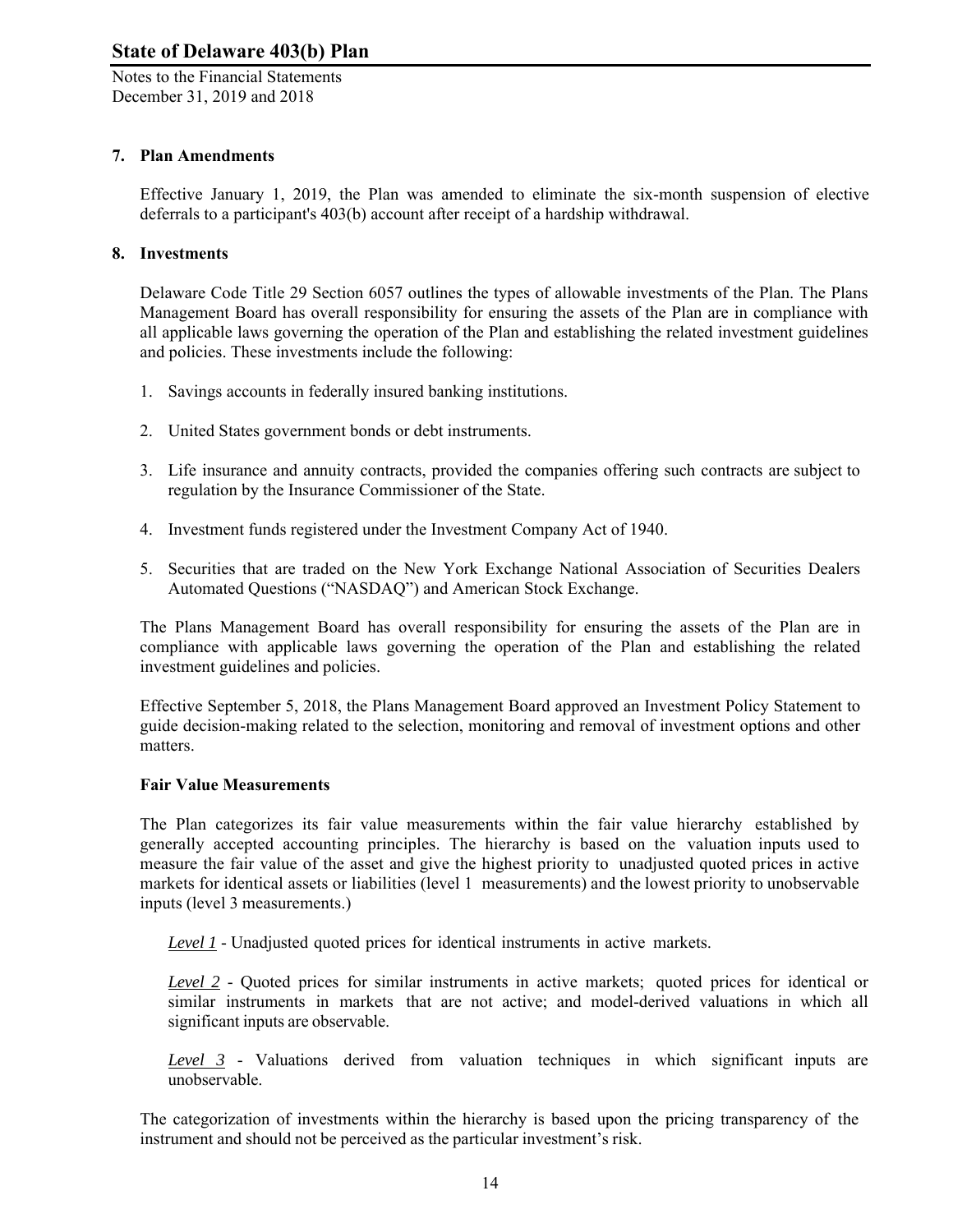Notes to the Financial Statements December 31, 2019 and 2018

## **7. Plan Amendments**

Effective January 1, 2019, the Plan was amended to eliminate the six-month suspension of elective deferrals to a participant's 403(b) account after receipt of a hardship withdrawal.

## **8. Investments**

Delaware Code Title 29 Section 6057 outlines the types of allowable investments of the Plan. The Plans Management Board has overall responsibility for ensuring the assets of the Plan are in compliance with all applicable laws governing the operation of the Plan and establishing the related investment guidelines and policies. These investments include the following:

- 1. Savings accounts in federally insured banking institutions.
- 2. United States government bonds or debt instruments.
- 3. Life insurance and annuity contracts, provided the companies offering such contracts are subject to regulation by the Insurance Commissioner of the State.
- 4. Investment funds registered under the Investment Company Act of 1940.
- 5. Securities that are traded on the New York Exchange National Association of Securities Dealers Automated Questions ("NASDAQ") and American Stock Exchange.

The Plans Management Board has overall responsibility for ensuring the assets of the Plan are in compliance with applicable laws governing the operation of the Plan and establishing the related investment guidelines and policies.

Effective September 5, 2018, the Plans Management Board approved an Investment Policy Statement to guide decision-making related to the selection, monitoring and removal of investment options and other matters.

#### **Fair Value Measurements**

The Plan categorizes its fair value measurements within the fair value hierarchy established by generally accepted accounting principles. The hierarchy is based on the valuation inputs used to measure the fair value of the asset and give the highest priority to unadjusted quoted prices in active markets for identical assets or liabilities (level 1 measurements) and the lowest priority to unobservable inputs (level 3 measurements.)

*Level 1* - Unadjusted quoted prices for identical instruments in active markets.

*Level 2* - Quoted prices for similar instruments in active markets; quoted prices for identical or similar instruments in markets that are not active; and model-derived valuations in which all significant inputs are observable.

*Level 3* - Valuations derived from valuation techniques in which significant inputs are unobservable.

The categorization of investments within the hierarchy is based upon the pricing transparency of the instrument and should not be perceived as the particular investment's risk.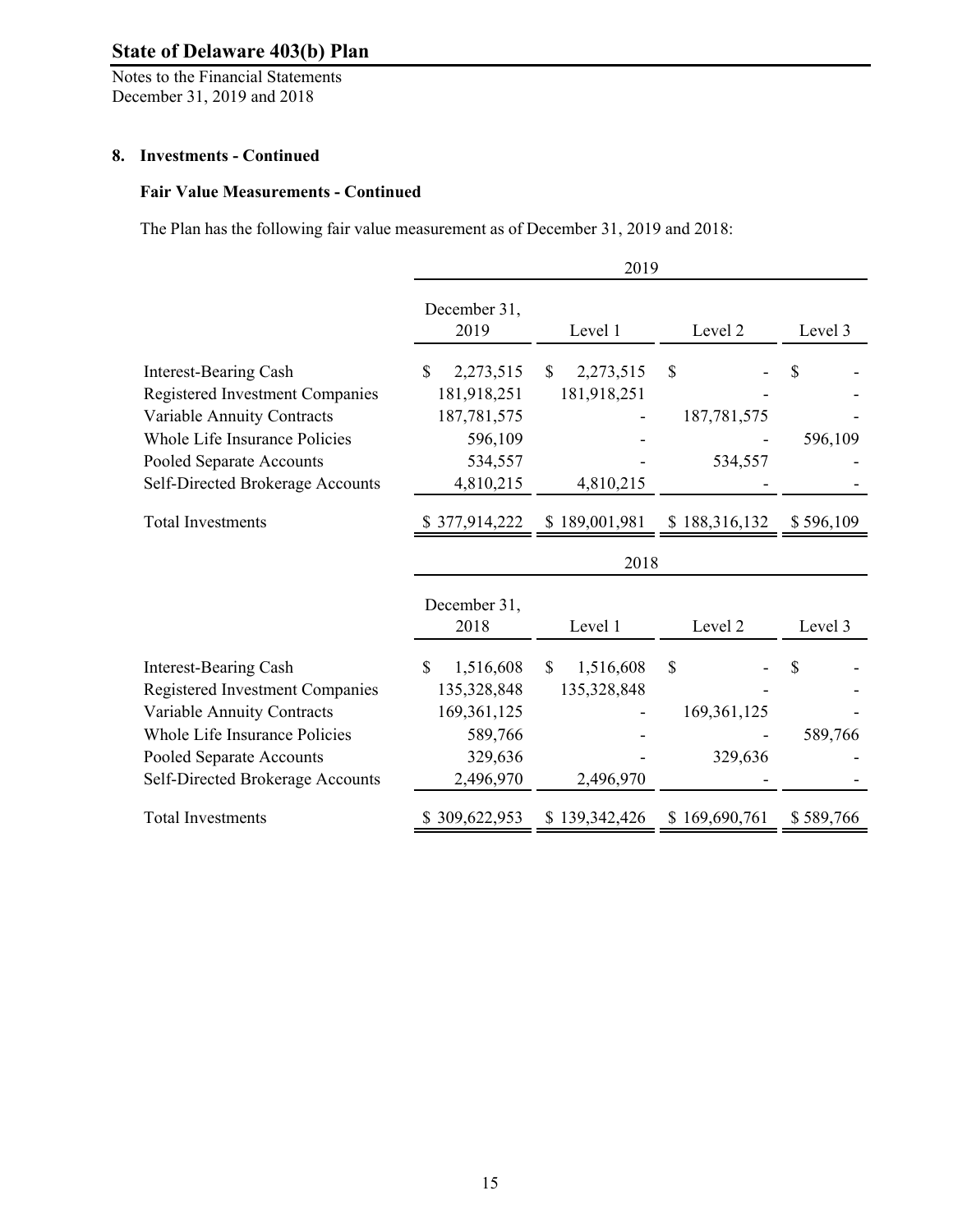Notes to the Financial Statements December 31, 2019 and 2018

#### **8. Investments - Continued**

## **Fair Value Measurements - Continued**

The Plan has the following fair value measurement as of December 31, 2019 and 2018:

|                                                              | 2019                 |                           |               |           |
|--------------------------------------------------------------|----------------------|---------------------------|---------------|-----------|
|                                                              | December 31,<br>2019 | Level 1                   | Level 2       | Level 3   |
| Interest-Bearing Cash                                        | 2,273,515<br>\$.     | 2,273,515<br>\$           | \$            | S         |
| <b>Registered Investment Companies</b>                       | 181,918,251          | 181,918,251               |               |           |
| Variable Annuity Contracts                                   | 187,781,575          |                           | 187,781,575   |           |
| Whole Life Insurance Policies                                | 596,109              |                           |               | 596,109   |
| Pooled Separate Accounts                                     | 534,557              |                           | 534,557       |           |
| Self-Directed Brokerage Accounts                             | 4,810,215            | 4,810,215                 |               |           |
| <b>Total Investments</b>                                     | \$377,914,222        | \$189,001,981             | \$188,316,132 | \$596,109 |
|                                                              |                      | 2018                      |               |           |
|                                                              | December 31,<br>2018 | Level 1                   | Level 2       | Level 3   |
| <b>Interest-Bearing Cash</b>                                 | \$<br>1,516,608      | $\mathbb{S}$<br>1,516,608 | \$            | S         |
| <b>Registered Investment Companies</b>                       | 135,328,848          | 135,328,848               |               |           |
| Variable Annuity Contracts                                   | 169, 361, 125        |                           | 169, 361, 125 |           |
|                                                              |                      |                           |               |           |
| Whole Life Insurance Policies                                |                      |                           |               |           |
|                                                              | 589,766<br>329,636   |                           | 329,636       | 589,766   |
| Pooled Separate Accounts<br>Self-Directed Brokerage Accounts | 2,496,970            | 2,496,970                 |               |           |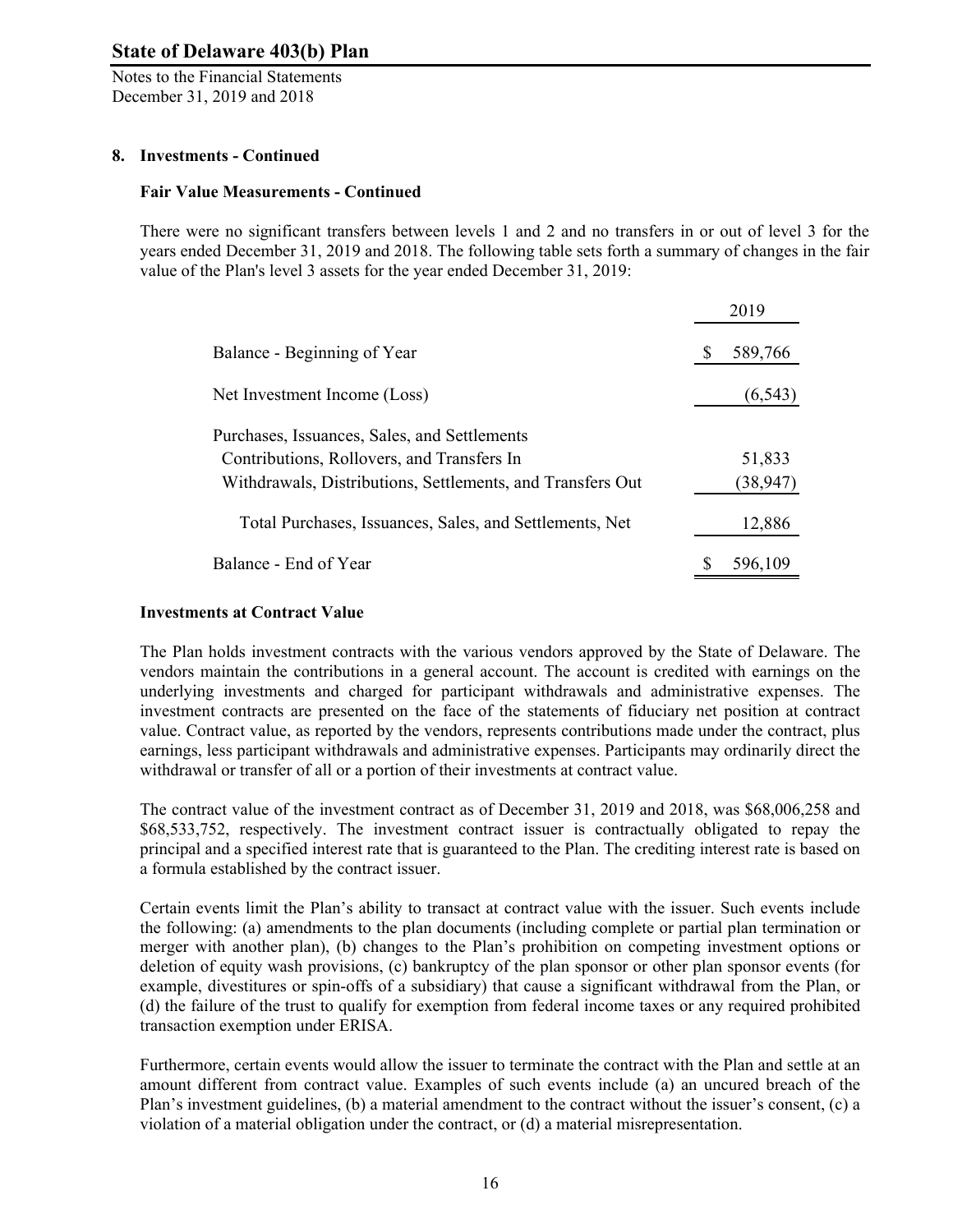Notes to the Financial Statements December 31, 2019 and 2018

## **8. Investments - Continued**

#### **Fair Value Measurements - Continued**

There were no significant transfers between levels 1 and 2 and no transfers in or out of level 3 for the years ended December 31, 2019 and 2018. The following table sets forth a summary of changes in the fair value of the Plan's level 3 assets for the year ended December 31, 2019:

|                                                            | 2019     |
|------------------------------------------------------------|----------|
| Balance - Beginning of Year                                | 589,766  |
| Net Investment Income (Loss)                               | (6, 543) |
| Purchases, Issuances, Sales, and Settlements               |          |
| Contributions, Rollovers, and Transfers In                 | 51,833   |
| Withdrawals, Distributions, Settlements, and Transfers Out | (38,947) |
| Total Purchases, Issuances, Sales, and Settlements, Net    | 12,886   |
| Balance - End of Year                                      | 596.109  |

#### **Investments at Contract Value**

The Plan holds investment contracts with the various vendors approved by the State of Delaware. The vendors maintain the contributions in a general account. The account is credited with earnings on the underlying investments and charged for participant withdrawals and administrative expenses. The investment contracts are presented on the face of the statements of fiduciary net position at contract value. Contract value, as reported by the vendors, represents contributions made under the contract, plus earnings, less participant withdrawals and administrative expenses. Participants may ordinarily direct the withdrawal or transfer of all or a portion of their investments at contract value.

The contract value of the investment contract as of December 31, 2019 and 2018, was \$68,006,258 and \$68,533,752, respectively. The investment contract issuer is contractually obligated to repay the principal and a specified interest rate that is guaranteed to the Plan. The crediting interest rate is based on a formula established by the contract issuer.

Certain events limit the Plan's ability to transact at contract value with the issuer. Such events include the following: (a) amendments to the plan documents (including complete or partial plan termination or merger with another plan), (b) changes to the Plan's prohibition on competing investment options or deletion of equity wash provisions, (c) bankruptcy of the plan sponsor or other plan sponsor events (for example, divestitures or spin-offs of a subsidiary) that cause a significant withdrawal from the Plan, or (d) the failure of the trust to qualify for exemption from federal income taxes or any required prohibited transaction exemption under ERISA.

Furthermore, certain events would allow the issuer to terminate the contract with the Plan and settle at an amount different from contract value. Examples of such events include (a) an uncured breach of the Plan's investment guidelines, (b) a material amendment to the contract without the issuer's consent, (c) a violation of a material obligation under the contract, or (d) a material misrepresentation.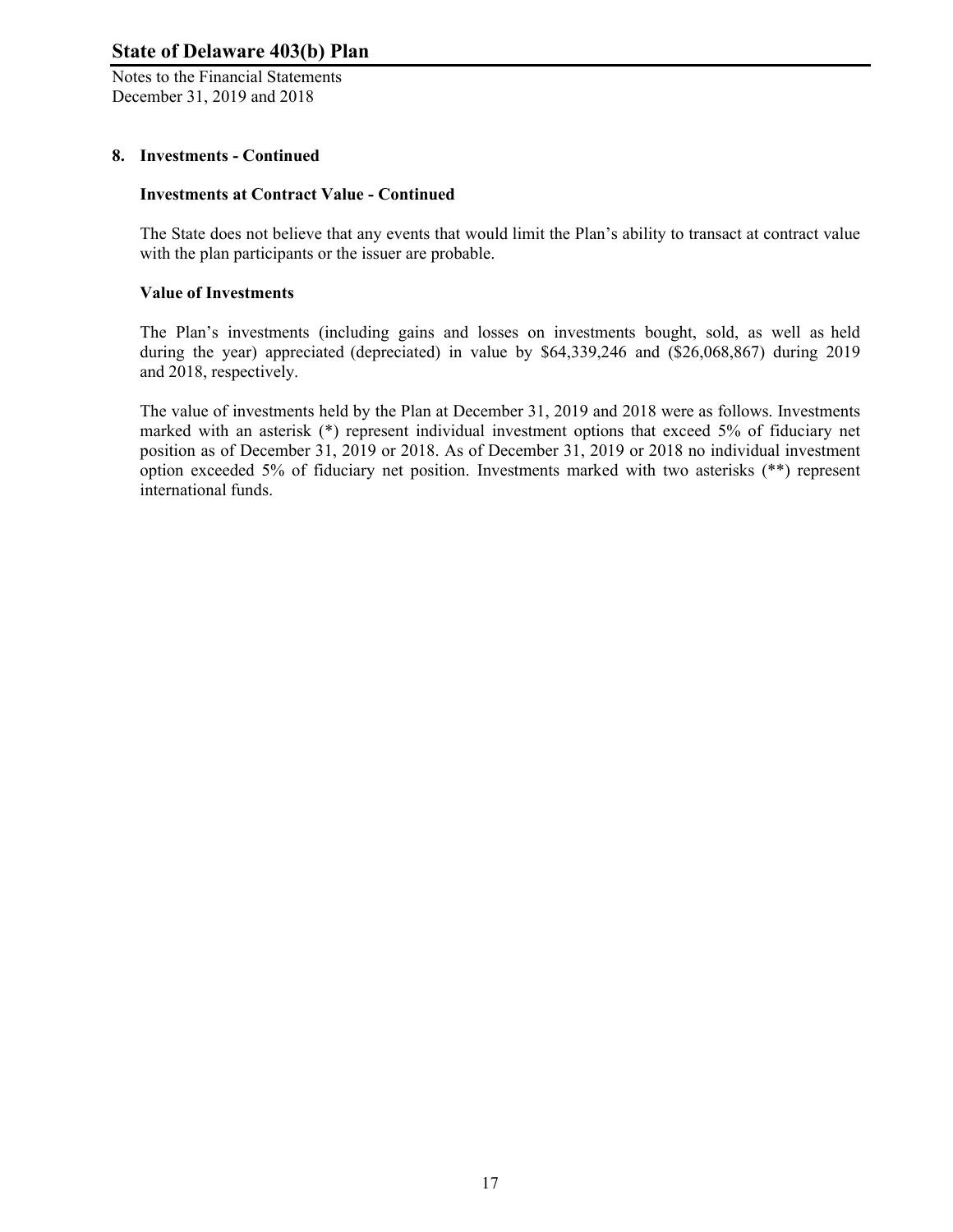Notes to the Financial Statements December 31, 2019 and 2018

## **8. Investments - Continued**

#### **Investments at Contract Value - Continued**

The State does not believe that any events that would limit the Plan's ability to transact at contract value with the plan participants or the issuer are probable.

#### **Value of Investments**

The Plan's investments (including gains and losses on investments bought, sold, as well as held during the year) appreciated (depreciated) in value by \$64,339,246 and (\$26,068,867) during 2019 and 2018, respectively.

The value of investments held by the Plan at December 31, 2019 and 2018 were as follows. Investments marked with an asterisk (\*) represent individual investment options that exceed 5% of fiduciary net position as of December 31, 2019 or 2018. As of December 31, 2019 or 2018 no individual investment option exceeded 5% of fiduciary net position. Investments marked with two asterisks (\*\*) represent international funds.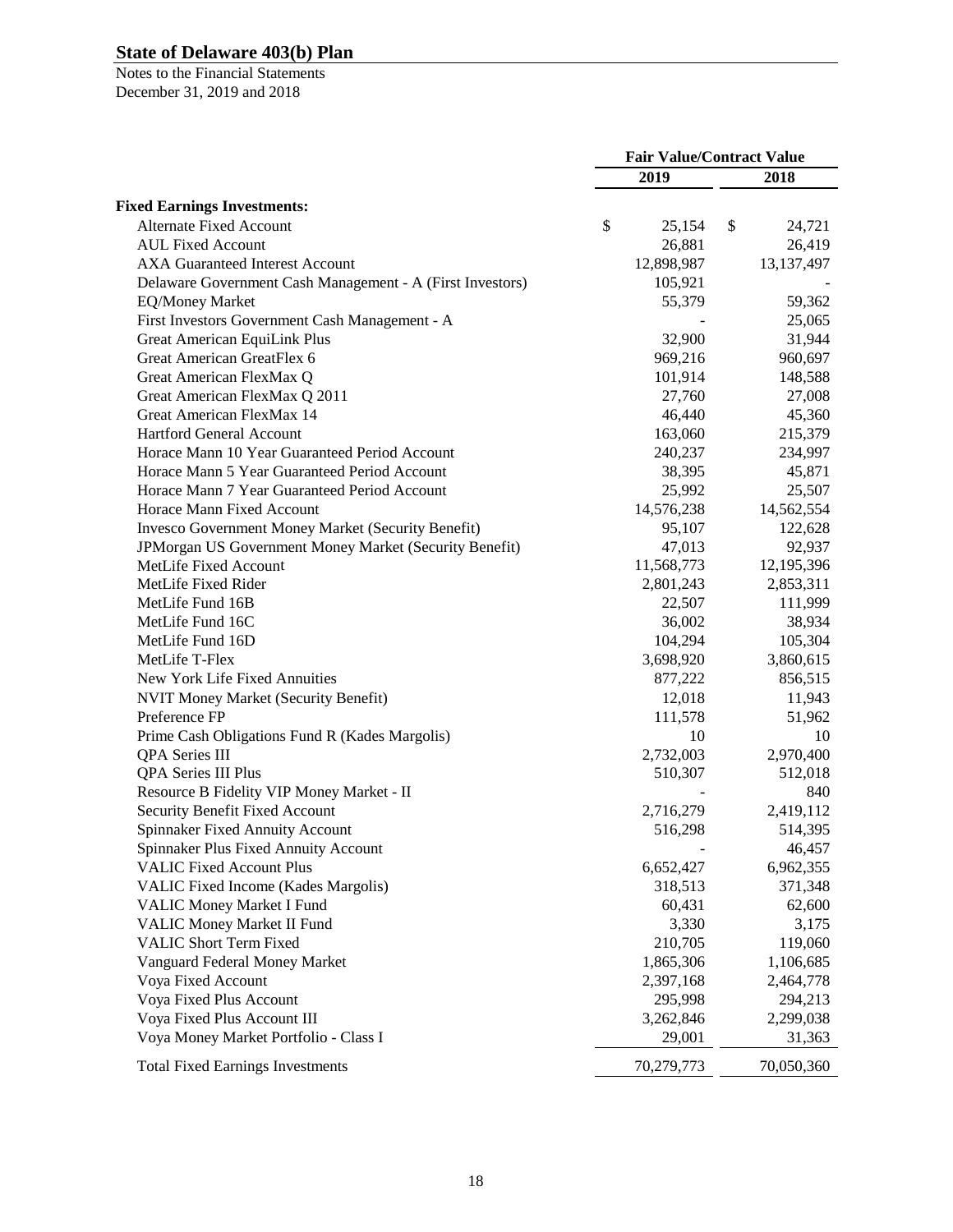|                                                           | <b>Fair Value/Contract Value</b> |            |    |              |
|-----------------------------------------------------------|----------------------------------|------------|----|--------------|
|                                                           |                                  | 2019       |    | 2018         |
| <b>Fixed Earnings Investments:</b>                        |                                  |            |    |              |
| <b>Alternate Fixed Account</b>                            | \$                               | 25,154     | \$ | 24,721       |
| <b>AUL Fixed Account</b>                                  |                                  | 26,881     |    | 26,419       |
| <b>AXA Guaranteed Interest Account</b>                    |                                  | 12,898,987 |    | 13, 137, 497 |
| Delaware Government Cash Management - A (First Investors) |                                  | 105,921    |    |              |
| <b>EQ/Money Market</b>                                    |                                  | 55,379     |    | 59,362       |
| First Investors Government Cash Management - A            |                                  |            |    | 25,065       |
| <b>Great American EquiLink Plus</b>                       |                                  | 32,900     |    | 31,944       |
| Great American GreatFlex 6                                |                                  | 969,216    |    | 960,697      |
| Great American FlexMax Q                                  |                                  | 101,914    |    | 148,588      |
| Great American FlexMax Q 2011                             |                                  | 27,760     |    | 27,008       |
| Great American FlexMax 14                                 |                                  | 46,440     |    | 45,360       |
| <b>Hartford General Account</b>                           |                                  | 163,060    |    | 215,379      |
| Horace Mann 10 Year Guaranteed Period Account             |                                  | 240,237    |    | 234,997      |
| Horace Mann 5 Year Guaranteed Period Account              |                                  | 38,395     |    | 45,871       |
| Horace Mann 7 Year Guaranteed Period Account              |                                  | 25,992     |    | 25,507       |
| Horace Mann Fixed Account                                 |                                  | 14,576,238 |    | 14,562,554   |
| Invesco Government Money Market (Security Benefit)        |                                  | 95,107     |    | 122,628      |
| JPMorgan US Government Money Market (Security Benefit)    |                                  | 47,013     |    | 92,937       |
| MetLife Fixed Account                                     |                                  | 11,568,773 |    | 12,195,396   |
| MetLife Fixed Rider                                       |                                  | 2,801,243  |    | 2,853,311    |
| MetLife Fund 16B                                          |                                  | 22,507     |    | 111,999      |
| MetLife Fund 16C                                          |                                  | 36,002     |    | 38,934       |
| MetLife Fund 16D                                          |                                  | 104,294    |    | 105,304      |
| MetLife T-Flex                                            |                                  | 3,698,920  |    | 3,860,615    |
| New York Life Fixed Annuities                             |                                  | 877,222    |    | 856,515      |
| <b>NVIT Money Market (Security Benefit)</b>               |                                  | 12,018     |    | 11,943       |
| Preference FP                                             |                                  | 111,578    |    | 51,962       |
| Prime Cash Obligations Fund R (Kades Margolis)            |                                  | 10         |    | 10           |
| QPA Series III                                            |                                  | 2,732,003  |    | 2,970,400    |
| <b>QPA Series III Plus</b>                                |                                  | 510,307    |    | 512,018      |
| Resource B Fidelity VIP Money Market - II                 |                                  |            |    | 840          |
| <b>Security Benefit Fixed Account</b>                     |                                  | 2,716,279  |    | 2,419,112    |
| <b>Spinnaker Fixed Annuity Account</b>                    |                                  | 516,298    |    | 514,395      |
| Spinnaker Plus Fixed Annuity Account                      |                                  |            |    | 46,457       |
| <b>VALIC Fixed Account Plus</b>                           |                                  | 6,652,427  |    | 6,962,355    |
| VALIC Fixed Income (Kades Margolis)                       |                                  | 318,513    |    | 371,348      |
| VALIC Money Market I Fund                                 |                                  | 60,431     |    | 62,600       |
| <b>VALIC Money Market II Fund</b>                         |                                  | 3,330      |    | 3,175        |
| <b>VALIC Short Term Fixed</b>                             |                                  | 210,705    |    | 119,060      |
| Vanguard Federal Money Market                             |                                  | 1,865,306  |    | 1,106,685    |
| Voya Fixed Account                                        |                                  | 2,397,168  |    | 2,464,778    |
| Voya Fixed Plus Account                                   |                                  | 295,998    |    | 294,213      |
| Voya Fixed Plus Account III                               |                                  | 3,262,846  |    | 2,299,038    |
| Voya Money Market Portfolio - Class I                     |                                  | 29,001     |    | 31,363       |
| <b>Total Fixed Earnings Investments</b>                   |                                  | 70,279,773 |    | 70,050,360   |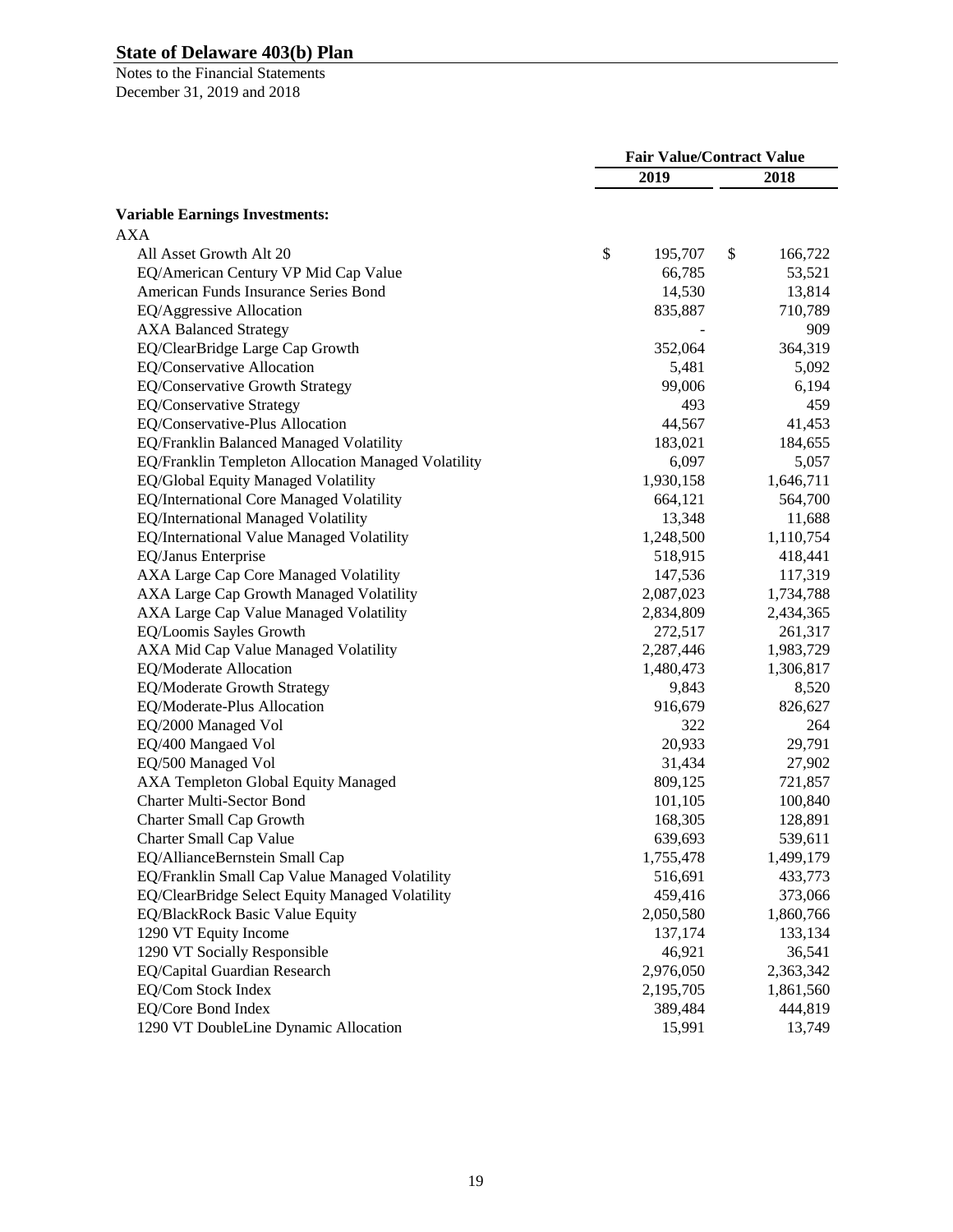|                                                     | <b>Fair Value/Contract Value</b> |           |    |           |
|-----------------------------------------------------|----------------------------------|-----------|----|-----------|
|                                                     |                                  | 2019      |    | 2018      |
| <b>Variable Earnings Investments:</b>               |                                  |           |    |           |
| <b>AXA</b>                                          |                                  |           |    |           |
| All Asset Growth Alt 20                             | \$                               | 195,707   | \$ | 166,722   |
| EQ/American Century VP Mid Cap Value                |                                  | 66,785    |    | 53,521    |
| American Funds Insurance Series Bond                |                                  | 14,530    |    | 13,814    |
| EQ/Aggressive Allocation                            |                                  | 835,887   |    | 710,789   |
| <b>AXA Balanced Strategy</b>                        |                                  |           |    | 909       |
| EQ/ClearBridge Large Cap Growth                     |                                  | 352,064   |    | 364,319   |
| EQ/Conservative Allocation                          |                                  | 5,481     |    | 5,092     |
| EQ/Conservative Growth Strategy                     |                                  | 99,006    |    | 6,194     |
| <b>EQ/Conservative Strategy</b>                     |                                  | 493       |    | 459       |
| EQ/Conservative-Plus Allocation                     |                                  | 44,567    |    | 41,453    |
| EQ/Franklin Balanced Managed Volatility             |                                  | 183,021   |    | 184,655   |
| EQ/Franklin Templeton Allocation Managed Volatility |                                  | 6,097     |    | 5,057     |
| EQ/Global Equity Managed Volatility                 |                                  | 1,930,158 |    | 1,646,711 |
| EQ/International Core Managed Volatility            |                                  | 664,121   |    | 564,700   |
| EQ/International Managed Volatility                 |                                  | 13,348    |    | 11,688    |
| EQ/International Value Managed Volatility           |                                  | 1,248,500 |    | 1,110,754 |
| EQ/Janus Enterprise                                 |                                  | 518,915   |    | 418,441   |
| AXA Large Cap Core Managed Volatility               |                                  | 147,536   |    | 117,319   |
| AXA Large Cap Growth Managed Volatility             |                                  | 2,087,023 |    | 1,734,788 |
| AXA Large Cap Value Managed Volatility              |                                  | 2,834,809 |    | 2,434,365 |
| EQ/Loomis Sayles Growth                             |                                  | 272,517   |    | 261,317   |
| AXA Mid Cap Value Managed Volatility                |                                  | 2,287,446 |    | 1,983,729 |
| EQ/Moderate Allocation                              |                                  | 1,480,473 |    | 1,306,817 |
| EQ/Moderate Growth Strategy                         |                                  | 9,843     |    | 8,520     |
| EQ/Moderate-Plus Allocation                         |                                  | 916,679   |    | 826,627   |
| EQ/2000 Managed Vol                                 |                                  | 322       |    | 264       |
| EQ/400 Mangaed Vol                                  |                                  | 20,933    |    | 29,791    |
| EQ/500 Managed Vol                                  |                                  | 31,434    |    | 27,902    |
| AXA Templeton Global Equity Managed                 |                                  | 809,125   |    | 721,857   |
| <b>Charter Multi-Sector Bond</b>                    |                                  | 101,105   |    | 100,840   |
| <b>Charter Small Cap Growth</b>                     |                                  | 168,305   |    | 128,891   |
| Charter Small Cap Value                             |                                  | 639,693   |    | 539,611   |
| EQ/AllianceBernstein Small Cap                      |                                  | 1,755,478 |    | 1,499,179 |
| EQ/Franklin Small Cap Value Managed Volatility      |                                  | 516,691   |    | 433,773   |
| EQ/ClearBridge Select Equity Managed Volatility     |                                  | 459,416   |    | 373,066   |
| <b>EQ/BlackRock Basic Value Equity</b>              |                                  | 2,050,580 |    | 1,860,766 |
| 1290 VT Equity Income                               |                                  | 137,174   |    | 133,134   |
| 1290 VT Socially Responsible                        |                                  | 46,921    |    | 36,541    |
| EQ/Capital Guardian Research                        |                                  | 2,976,050 |    | 2,363,342 |
| EQ/Com Stock Index                                  |                                  | 2,195,705 |    | 1,861,560 |
| EQ/Core Bond Index                                  |                                  | 389,484   |    | 444,819   |
| 1290 VT DoubleLine Dynamic Allocation               |                                  | 15,991    |    | 13,749    |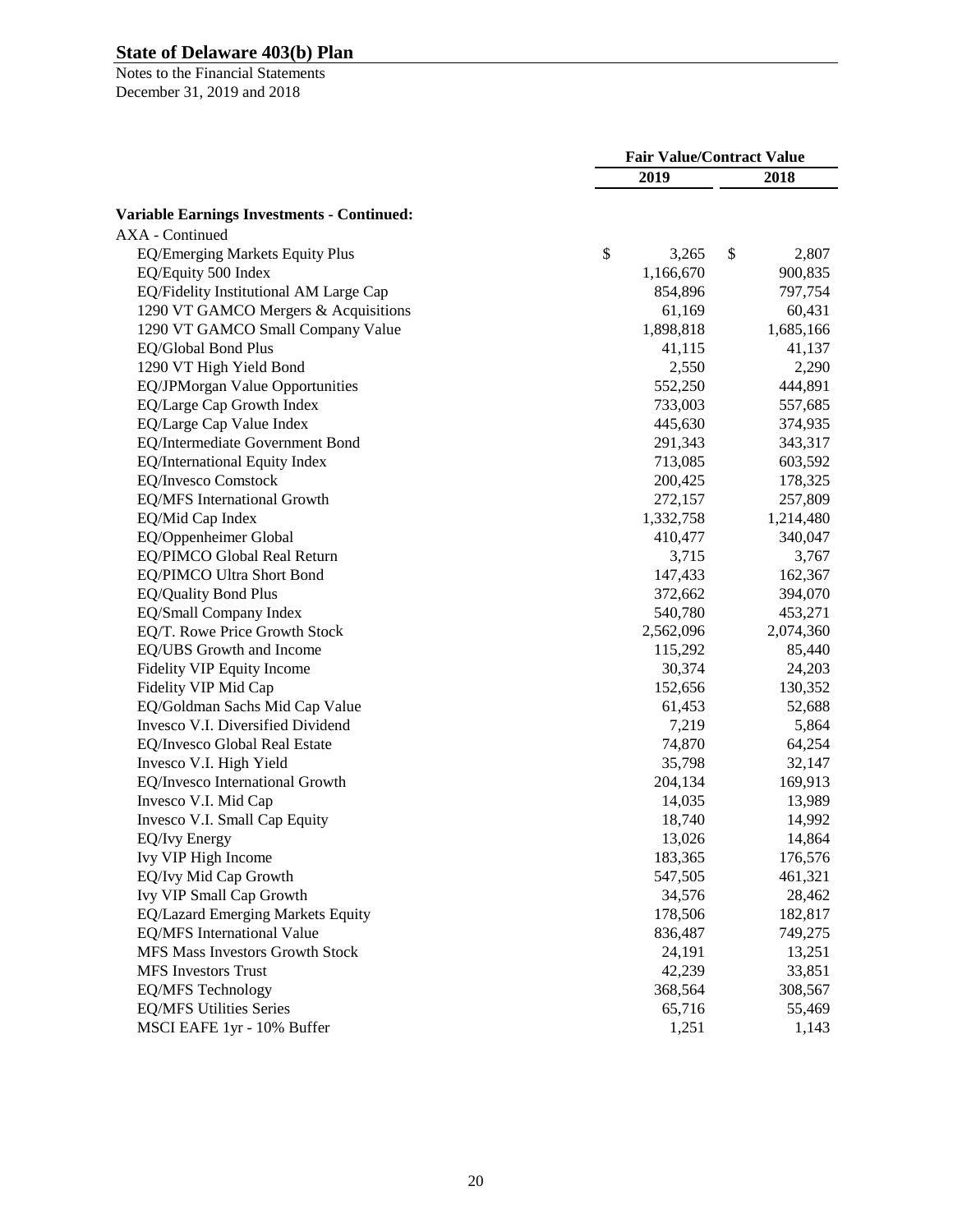|                                                   | <b>Fair Value/Contract Value</b> |           |    |           |
|---------------------------------------------------|----------------------------------|-----------|----|-----------|
|                                                   |                                  | 2019      |    | 2018      |
| <b>Variable Earnings Investments - Continued:</b> |                                  |           |    |           |
| <b>AXA</b> - Continued                            |                                  |           |    |           |
| EQ/Emerging Markets Equity Plus                   | \$                               | 3,265     | \$ | 2,807     |
| EQ/Equity 500 Index                               |                                  | 1,166,670 |    | 900,835   |
| EQ/Fidelity Institutional AM Large Cap            |                                  | 854,896   |    | 797,754   |
| 1290 VT GAMCO Mergers & Acquisitions              |                                  | 61,169    |    | 60,431    |
| 1290 VT GAMCO Small Company Value                 |                                  | 1,898,818 |    | 1,685,166 |
| EQ/Global Bond Plus                               |                                  | 41,115    |    | 41,137    |
| 1290 VT High Yield Bond                           |                                  | 2,550     |    | 2,290     |
| EQ/JPMorgan Value Opportunities                   |                                  | 552,250   |    | 444,891   |
| EQ/Large Cap Growth Index                         |                                  | 733,003   |    | 557,685   |
| EQ/Large Cap Value Index                          |                                  | 445,630   |    | 374,935   |
| EQ/Intermediate Government Bond                   |                                  | 291,343   |    | 343,317   |
| EQ/International Equity Index                     |                                  | 713,085   |    | 603,592   |
| <b>EQ/Invesco Comstock</b>                        |                                  | 200,425   |    | 178,325   |
| EQ/MFS International Growth                       |                                  | 272,157   |    | 257,809   |
| EQ/Mid Cap Index                                  |                                  | 1,332,758 |    | 1,214,480 |
| EQ/Oppenheimer Global                             |                                  | 410,477   |    | 340,047   |
| EQ/PIMCO Global Real Return                       |                                  | 3,715     |    | 3,767     |
| EQ/PIMCO Ultra Short Bond                         |                                  | 147,433   |    | 162,367   |
| <b>EQ/Quality Bond Plus</b>                       |                                  | 372,662   |    | 394,070   |
| EQ/Small Company Index                            |                                  | 540,780   |    | 453,271   |
| EQ/T. Rowe Price Growth Stock                     |                                  | 2,562,096 |    | 2,074,360 |
| EQ/UBS Growth and Income                          |                                  | 115,292   |    | 85,440    |
| Fidelity VIP Equity Income                        |                                  | 30,374    |    | 24,203    |
| Fidelity VIP Mid Cap                              |                                  | 152,656   |    | 130,352   |
| EQ/Goldman Sachs Mid Cap Value                    |                                  | 61,453    |    | 52,688    |
| Invesco V.I. Diversified Dividend                 |                                  | 7,219     |    | 5,864     |
| EQ/Invesco Global Real Estate                     |                                  | 74,870    |    | 64,254    |
| Invesco V.I. High Yield                           |                                  | 35,798    |    | 32,147    |
| EQ/Invesco International Growth                   |                                  | 204,134   |    | 169,913   |
| Invesco V.I. Mid Cap                              |                                  | 14,035    |    | 13,989    |
| Invesco V.I. Small Cap Equity                     |                                  | 18,740    |    | 14,992    |
| <b>EQ/Ivy Energy</b>                              |                                  | 13,026    |    | 14,864    |
| Ivy VIP High Income                               |                                  | 183,365   |    | 176,576   |
| EQ/Ivy Mid Cap Growth                             |                                  | 547,505   |    | 461,321   |
| Ivy VIP Small Cap Growth                          |                                  | 34,576    |    | 28,462    |
| EQ/Lazard Emerging Markets Equity                 |                                  | 178,506   |    | 182,817   |
| EQ/MFS International Value                        |                                  | 836,487   |    | 749,275   |
| MFS Mass Investors Growth Stock                   |                                  | 24,191    |    | 13,251    |
| <b>MFS</b> Investors Trust                        |                                  | 42,239    |    | 33,851    |
| <b>EQ/MFS</b> Technology                          |                                  | 368,564   |    | 308,567   |
| <b>EQ/MFS Utilities Series</b>                    |                                  | 65,716    |    | 55,469    |
| MSCI EAFE 1yr - 10% Buffer                        |                                  | 1,251     |    | 1,143     |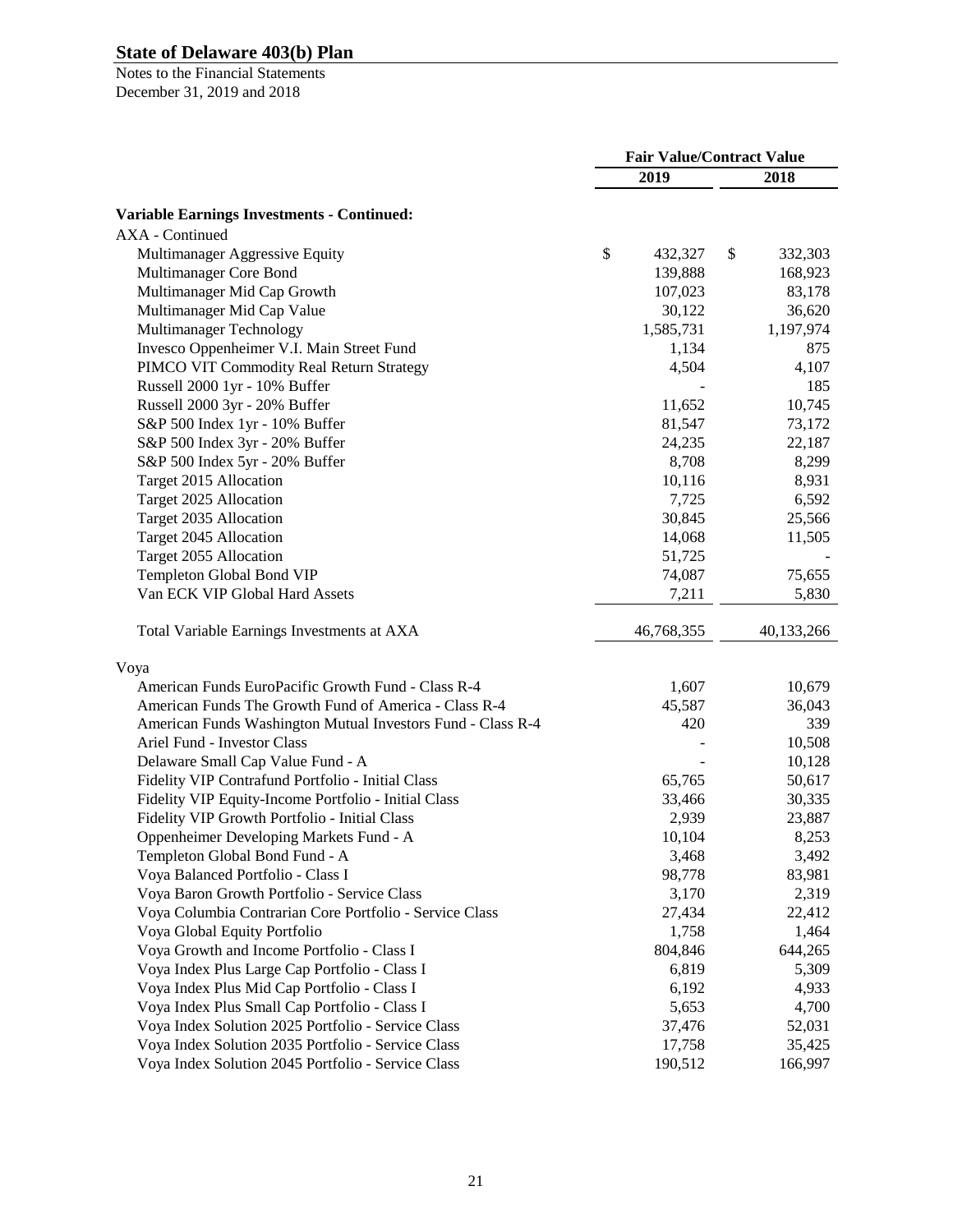|                                                             | <b>Fair Value/Contract Value</b> |            |    |            |
|-------------------------------------------------------------|----------------------------------|------------|----|------------|
|                                                             |                                  | 2019       |    | 2018       |
| <b>Variable Earnings Investments - Continued:</b>           |                                  |            |    |            |
| <b>AXA</b> - Continued                                      |                                  |            |    |            |
| Multimanager Aggressive Equity                              | \$                               | 432,327    | \$ | 332,303    |
| Multimanager Core Bond                                      |                                  | 139,888    |    | 168,923    |
| Multimanager Mid Cap Growth                                 |                                  | 107,023    |    | 83,178     |
| Multimanager Mid Cap Value                                  |                                  | 30,122     |    | 36,620     |
| Multimanager Technology                                     |                                  | 1,585,731  |    | 1,197,974  |
| Invesco Oppenheimer V.I. Main Street Fund                   |                                  | 1,134      |    | 875        |
| PIMCO VIT Commodity Real Return Strategy                    |                                  | 4,504      |    | 4,107      |
| Russell 2000 1yr - 10% Buffer                               |                                  |            |    | 185        |
| Russell 2000 3yr - 20% Buffer                               |                                  | 11,652     |    | 10,745     |
| S&P 500 Index 1yr - 10% Buffer                              |                                  | 81,547     |    | 73,172     |
| S&P 500 Index 3yr - 20% Buffer                              |                                  | 24,235     |    | 22,187     |
| S&P 500 Index 5yr - 20% Buffer                              |                                  | 8,708      |    | 8,299      |
| Target 2015 Allocation                                      |                                  | 10,116     |    | 8,931      |
| Target 2025 Allocation                                      |                                  | 7,725      |    | 6,592      |
| Target 2035 Allocation                                      |                                  | 30,845     |    | 25,566     |
| Target 2045 Allocation                                      |                                  | 14,068     |    | 11,505     |
| Target 2055 Allocation                                      |                                  | 51,725     |    |            |
| Templeton Global Bond VIP                                   |                                  | 74,087     |    | 75,655     |
| Van ECK VIP Global Hard Assets                              |                                  | 7,211      |    | 5,830      |
|                                                             |                                  |            |    |            |
| Total Variable Earnings Investments at AXA                  |                                  | 46,768,355 |    | 40,133,266 |
| Voya                                                        |                                  |            |    |            |
| American Funds EuroPacific Growth Fund - Class R-4          |                                  | 1,607      |    | 10,679     |
| American Funds The Growth Fund of America - Class R-4       |                                  | 45,587     |    | 36,043     |
| American Funds Washington Mutual Investors Fund - Class R-4 |                                  | 420        |    | 339        |
| Ariel Fund - Investor Class                                 |                                  |            |    | 10,508     |
| Delaware Small Cap Value Fund - A                           |                                  |            |    | 10,128     |
| Fidelity VIP Contrafund Portfolio - Initial Class           |                                  | 65,765     |    | 50,617     |
| Fidelity VIP Equity-Income Portfolio - Initial Class        |                                  | 33,466     |    | 30,335     |
| Fidelity VIP Growth Portfolio - Initial Class               |                                  | 2,939      |    | 23,887     |
| Oppenheimer Developing Markets Fund - A                     |                                  | 10,104     |    | 8,253      |
| Templeton Global Bond Fund - A                              |                                  | 3,468      |    | 3,492      |
| Voya Balanced Portfolio - Class I                           |                                  | 98,778     |    | 83,981     |
| Voya Baron Growth Portfolio - Service Class                 |                                  | 3,170      |    | 2,319      |
| Voya Columbia Contrarian Core Portfolio - Service Class     |                                  | 27,434     |    | 22,412     |
| Voya Global Equity Portfolio                                |                                  | 1,758      |    | 1,464      |
| Voya Growth and Income Portfolio - Class I                  |                                  | 804,846    |    | 644,265    |
| Voya Index Plus Large Cap Portfolio - Class I               |                                  | 6,819      |    | 5,309      |
| Voya Index Plus Mid Cap Portfolio - Class I                 |                                  | 6,192      |    | 4,933      |
| Voya Index Plus Small Cap Portfolio - Class I               |                                  | 5,653      |    | 4,700      |
| Voya Index Solution 2025 Portfolio - Service Class          |                                  | 37,476     |    | 52,031     |
| Voya Index Solution 2035 Portfolio - Service Class          |                                  | 17,758     |    | 35,425     |
| Voya Index Solution 2045 Portfolio - Service Class          |                                  | 190,512    |    | 166,997    |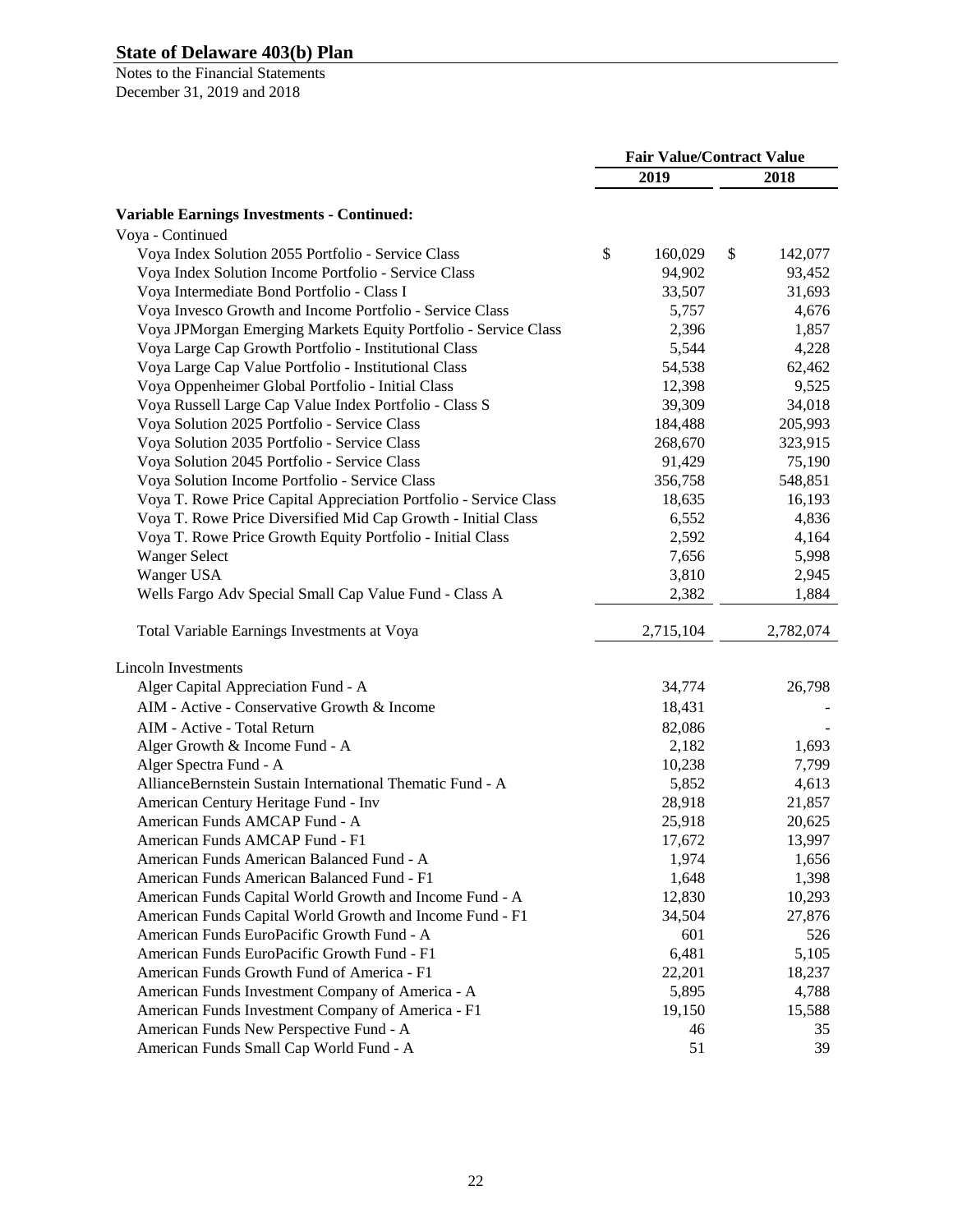|                                                                   | <b>Fair Value/Contract Value</b> |           |    |           |
|-------------------------------------------------------------------|----------------------------------|-----------|----|-----------|
|                                                                   |                                  | 2019      |    | 2018      |
| <b>Variable Earnings Investments - Continued:</b>                 |                                  |           |    |           |
| Voya - Continued                                                  |                                  |           |    |           |
| Voya Index Solution 2055 Portfolio - Service Class                | \$                               | 160,029   | \$ | 142,077   |
| Voya Index Solution Income Portfolio - Service Class              |                                  | 94,902    |    | 93,452    |
| Voya Intermediate Bond Portfolio - Class I                        |                                  | 33,507    |    | 31,693    |
| Voya Invesco Growth and Income Portfolio - Service Class          |                                  | 5,757     |    | 4,676     |
| Voya JPMorgan Emerging Markets Equity Portfolio - Service Class   |                                  | 2,396     |    | 1,857     |
| Voya Large Cap Growth Portfolio - Institutional Class             |                                  | 5,544     |    | 4,228     |
| Voya Large Cap Value Portfolio - Institutional Class              |                                  | 54,538    |    | 62,462    |
| Voya Oppenheimer Global Portfolio - Initial Class                 |                                  | 12,398    |    | 9,525     |
| Voya Russell Large Cap Value Index Portfolio - Class S            |                                  | 39,309    |    | 34,018    |
| Voya Solution 2025 Portfolio - Service Class                      |                                  | 184,488   |    | 205,993   |
| Voya Solution 2035 Portfolio - Service Class                      |                                  | 268,670   |    | 323,915   |
| Voya Solution 2045 Portfolio - Service Class                      |                                  | 91,429    |    | 75,190    |
| Voya Solution Income Portfolio - Service Class                    |                                  | 356,758   |    | 548,851   |
| Voya T. Rowe Price Capital Appreciation Portfolio - Service Class |                                  | 18,635    |    | 16,193    |
| Voya T. Rowe Price Diversified Mid Cap Growth - Initial Class     |                                  | 6,552     |    | 4,836     |
| Voya T. Rowe Price Growth Equity Portfolio - Initial Class        |                                  | 2,592     |    | 4,164     |
| <b>Wanger Select</b>                                              |                                  | 7,656     |    | 5,998     |
| Wanger USA                                                        |                                  | 3,810     |    | 2,945     |
| Wells Fargo Adv Special Small Cap Value Fund - Class A            |                                  | 2,382     |    | 1,884     |
| Total Variable Earnings Investments at Voya                       |                                  | 2,715,104 |    | 2,782,074 |
| <b>Lincoln Investments</b>                                        |                                  |           |    |           |
| Alger Capital Appreciation Fund - A                               |                                  | 34,774    |    | 26,798    |
| AIM - Active - Conservative Growth & Income                       |                                  | 18,431    |    |           |
| AIM - Active - Total Return                                       |                                  | 82,086    |    |           |
| Alger Growth & Income Fund - A                                    |                                  | 2,182     |    | 1,693     |
| Alger Spectra Fund - A                                            |                                  | 10,238    |    | 7,799     |
| AllianceBernstein Sustain International Thematic Fund - A         |                                  | 5,852     |    | 4,613     |
| American Century Heritage Fund - Inv                              |                                  | 28,918    |    | 21,857    |
| American Funds AMCAP Fund - A                                     |                                  | 25,918    |    | 20,625    |
| American Funds AMCAP Fund - F1                                    |                                  | 17,672    |    | 13,997    |
| American Funds American Balanced Fund - A                         |                                  | 1,974     |    | 1,656     |
| American Funds American Balanced Fund - F1                        |                                  | 1,648     |    | 1,398     |
| American Funds Capital World Growth and Income Fund - A           |                                  | 12,830    |    | 10,293    |
| American Funds Capital World Growth and Income Fund - F1          |                                  | 34,504    |    | 27,876    |
| American Funds EuroPacific Growth Fund - A                        |                                  | 601       |    | 526       |
| American Funds EuroPacific Growth Fund - F1                       |                                  | 6,481     |    | 5,105     |
| American Funds Growth Fund of America - F1                        |                                  | 22,201    |    | 18,237    |
| American Funds Investment Company of America - A                  |                                  | 5,895     |    | 4,788     |
| American Funds Investment Company of America - F1                 |                                  | 19,150    |    | 15,588    |
| American Funds New Perspective Fund - A                           |                                  | 46        |    | 35        |
| American Funds Small Cap World Fund - A                           |                                  | 51        |    | 39        |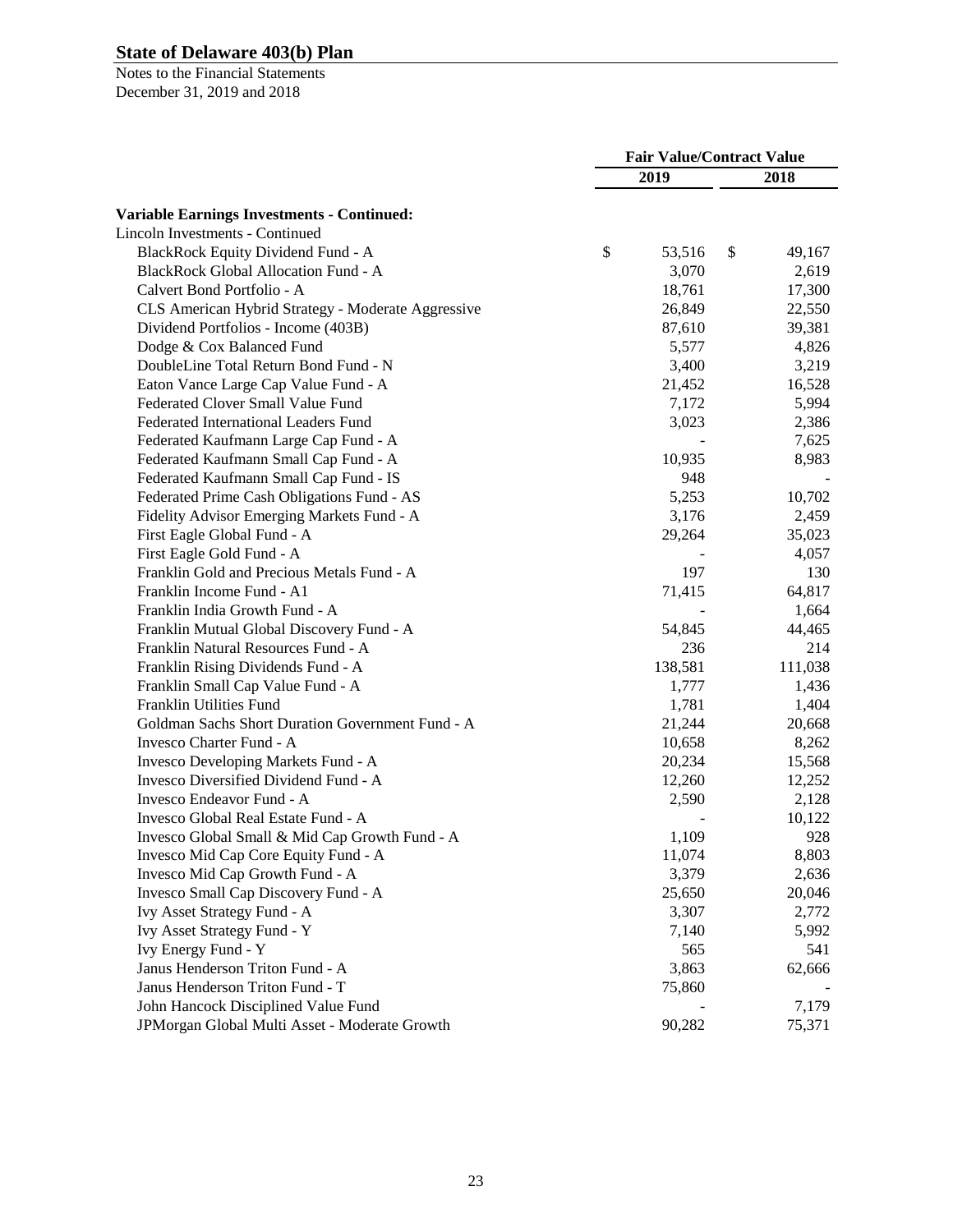|                                                    | <b>Fair Value/Contract Value</b> |         |    |         |
|----------------------------------------------------|----------------------------------|---------|----|---------|
|                                                    |                                  | 2019    |    | 2018    |
| <b>Variable Earnings Investments - Continued:</b>  |                                  |         |    |         |
| <b>Lincoln Investments - Continued</b>             |                                  |         |    |         |
| BlackRock Equity Dividend Fund - A                 | \$                               | 53,516  | \$ | 49,167  |
| <b>BlackRock Global Allocation Fund - A</b>        |                                  | 3,070   |    | 2,619   |
| Calvert Bond Portfolio - A                         |                                  | 18,761  |    | 17,300  |
| CLS American Hybrid Strategy - Moderate Aggressive |                                  | 26,849  |    | 22,550  |
| Dividend Portfolios - Income (403B)                |                                  | 87,610  |    | 39,381  |
| Dodge & Cox Balanced Fund                          |                                  | 5,577   |    | 4,826   |
| DoubleLine Total Return Bond Fund - N              |                                  | 3,400   |    | 3,219   |
| Eaton Vance Large Cap Value Fund - A               |                                  | 21,452  |    | 16,528  |
| Federated Clover Small Value Fund                  |                                  | 7,172   |    | 5,994   |
| Federated International Leaders Fund               |                                  | 3,023   |    | 2,386   |
| Federated Kaufmann Large Cap Fund - A              |                                  |         |    | 7,625   |
| Federated Kaufmann Small Cap Fund - A              |                                  | 10,935  |    | 8,983   |
| Federated Kaufmann Small Cap Fund - IS             |                                  | 948     |    |         |
| Federated Prime Cash Obligations Fund - AS         |                                  | 5,253   |    | 10,702  |
| Fidelity Advisor Emerging Markets Fund - A         |                                  | 3,176   |    | 2,459   |
| First Eagle Global Fund - A                        |                                  | 29,264  |    | 35,023  |
| First Eagle Gold Fund - A                          |                                  |         |    | 4,057   |
| Franklin Gold and Precious Metals Fund - A         |                                  | 197     |    | 130     |
| Franklin Income Fund - A1                          |                                  | 71,415  |    | 64,817  |
| Franklin India Growth Fund - A                     |                                  |         |    | 1,664   |
| Franklin Mutual Global Discovery Fund - A          |                                  | 54,845  |    | 44,465  |
| Franklin Natural Resources Fund - A                |                                  | 236     |    | 214     |
| Franklin Rising Dividends Fund - A                 |                                  | 138,581 |    | 111,038 |
| Franklin Small Cap Value Fund - A                  |                                  | 1,777   |    | 1,436   |
| Franklin Utilities Fund                            |                                  | 1,781   |    | 1,404   |
| Goldman Sachs Short Duration Government Fund - A   |                                  | 21,244  |    | 20,668  |
| Invesco Charter Fund - A                           |                                  | 10,658  |    | 8,262   |
| Invesco Developing Markets Fund - A                |                                  | 20,234  |    | 15,568  |
| Invesco Diversified Dividend Fund - A              |                                  | 12,260  |    | 12,252  |
| Invesco Endeavor Fund - A                          |                                  | 2,590   |    | 2,128   |
| Invesco Global Real Estate Fund - A                |                                  |         |    | 10,122  |
| Invesco Global Small & Mid Cap Growth Fund - A     |                                  | 1,109   |    | 928     |
| Invesco Mid Cap Core Equity Fund - A               |                                  | 11,074  |    | 8,803   |
| Invesco Mid Cap Growth Fund - A                    |                                  | 3,379   |    | 2,636   |
| Invesco Small Cap Discovery Fund - A               |                                  | 25,650  |    | 20,046  |
| Ivy Asset Strategy Fund - A                        |                                  | 3,307   |    | 2,772   |
| Ivy Asset Strategy Fund - Y                        |                                  | 7,140   |    | 5,992   |
| Ivy Energy Fund - Y                                |                                  | 565     |    | 541     |
| Janus Henderson Triton Fund - A                    |                                  | 3,863   |    | 62,666  |
| Janus Henderson Triton Fund - T                    |                                  | 75,860  |    |         |
| John Hancock Disciplined Value Fund                |                                  |         |    | 7,179   |
| JPMorgan Global Multi Asset - Moderate Growth      |                                  | 90,282  |    | 75,371  |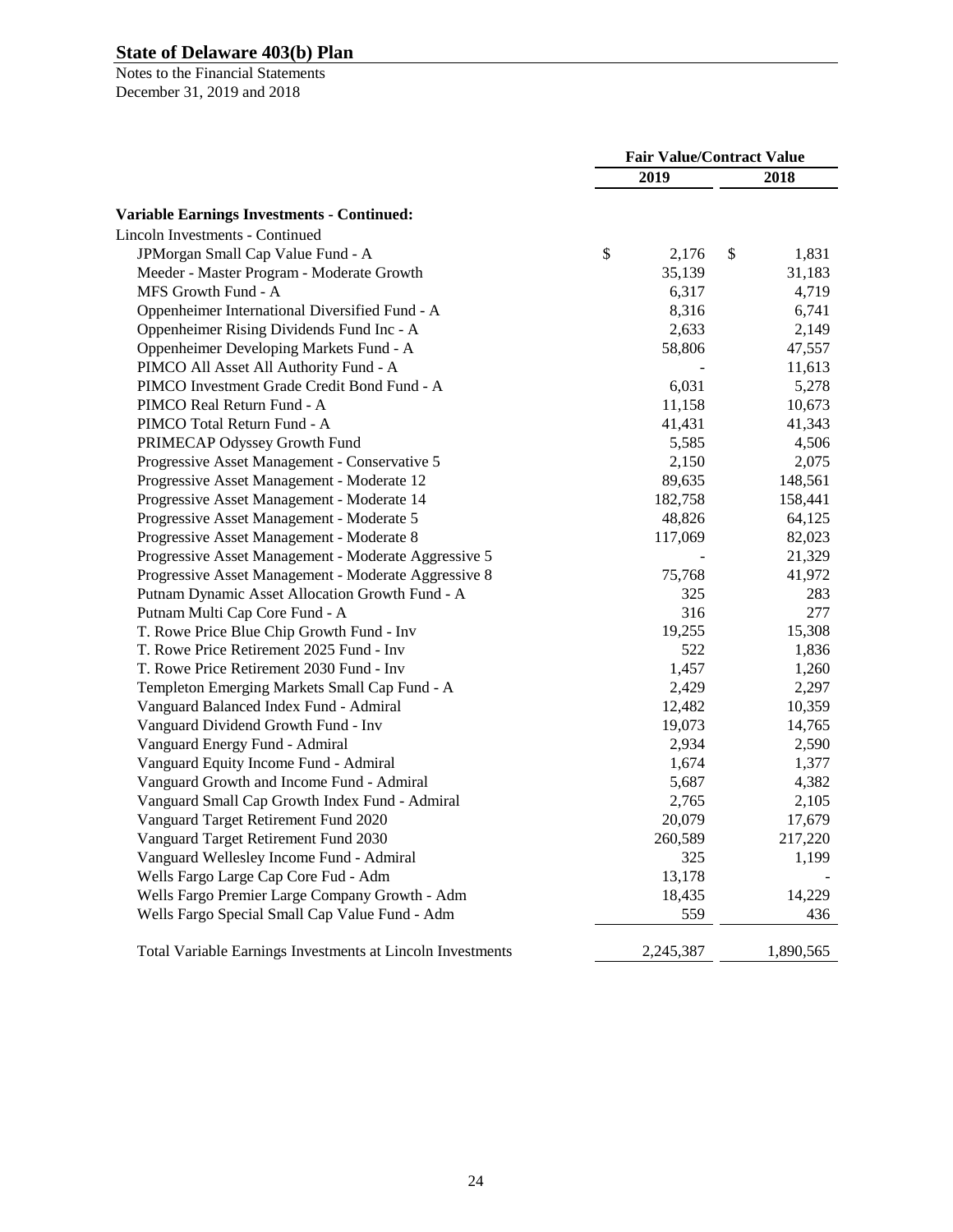|                                                            | <b>Fair Value/Contract Value</b> |           |    |           |
|------------------------------------------------------------|----------------------------------|-----------|----|-----------|
|                                                            |                                  | 2019      |    | 2018      |
| <b>Variable Earnings Investments - Continued:</b>          |                                  |           |    |           |
| <b>Lincoln Investments - Continued</b>                     |                                  |           |    |           |
| JPMorgan Small Cap Value Fund - A                          | \$                               | 2,176     | \$ | 1,831     |
| Meeder - Master Program - Moderate Growth                  |                                  | 35,139    |    | 31,183    |
| MFS Growth Fund - A                                        |                                  | 6,317     |    | 4,719     |
| Oppenheimer International Diversified Fund - A             |                                  | 8,316     |    | 6,741     |
| Oppenheimer Rising Dividends Fund Inc - A                  |                                  | 2,633     |    | 2,149     |
| Oppenheimer Developing Markets Fund - A                    |                                  | 58,806    |    | 47,557    |
| PIMCO All Asset All Authority Fund - A                     |                                  |           |    | 11,613    |
| PIMCO Investment Grade Credit Bond Fund - A                |                                  | 6,031     |    | 5,278     |
| PIMCO Real Return Fund - A                                 |                                  | 11,158    |    | 10,673    |
| PIMCO Total Return Fund - A                                |                                  | 41,431    |    | 41,343    |
| PRIMECAP Odyssey Growth Fund                               |                                  | 5,585     |    | 4,506     |
| Progressive Asset Management - Conservative 5              |                                  | 2,150     |    | 2,075     |
| Progressive Asset Management - Moderate 12                 |                                  | 89,635    |    | 148,561   |
| Progressive Asset Management - Moderate 14                 |                                  | 182,758   |    | 158,441   |
| Progressive Asset Management - Moderate 5                  |                                  | 48,826    |    | 64,125    |
| Progressive Asset Management - Moderate 8                  |                                  | 117,069   |    | 82,023    |
| Progressive Asset Management - Moderate Aggressive 5       |                                  |           |    | 21,329    |
| Progressive Asset Management - Moderate Aggressive 8       |                                  | 75,768    |    | 41,972    |
| Putnam Dynamic Asset Allocation Growth Fund - A            |                                  | 325       |    | 283       |
| Putnam Multi Cap Core Fund - A                             |                                  | 316       |    | 277       |
| T. Rowe Price Blue Chip Growth Fund - Inv                  |                                  | 19,255    |    | 15,308    |
| T. Rowe Price Retirement 2025 Fund - Inv                   |                                  | 522       |    | 1,836     |
| T. Rowe Price Retirement 2030 Fund - Inv                   |                                  | 1,457     |    | 1,260     |
| Templeton Emerging Markets Small Cap Fund - A              |                                  | 2,429     |    | 2,297     |
| Vanguard Balanced Index Fund - Admiral                     |                                  | 12,482    |    | 10,359    |
| Vanguard Dividend Growth Fund - Inv                        |                                  | 19,073    |    | 14,765    |
| Vanguard Energy Fund - Admiral                             |                                  | 2,934     |    | 2,590     |
| Vanguard Equity Income Fund - Admiral                      |                                  | 1,674     |    | 1,377     |
| Vanguard Growth and Income Fund - Admiral                  |                                  | 5,687     |    | 4,382     |
| Vanguard Small Cap Growth Index Fund - Admiral             |                                  | 2,765     |    | 2,105     |
| Vanguard Target Retirement Fund 2020                       |                                  | 20,079    |    | 17,679    |
| Vanguard Target Retirement Fund 2030                       |                                  | 260,589   |    | 217,220   |
| Vanguard Wellesley Income Fund - Admiral                   |                                  | 325       |    | 1,199     |
| Wells Fargo Large Cap Core Fud - Adm                       |                                  | 13,178    |    |           |
| Wells Fargo Premier Large Company Growth - Adm             |                                  | 18,435    |    | 14,229    |
| Wells Fargo Special Small Cap Value Fund - Adm             |                                  | 559       |    | 436       |
| Total Variable Earnings Investments at Lincoln Investments |                                  | 2,245,387 |    | 1,890,565 |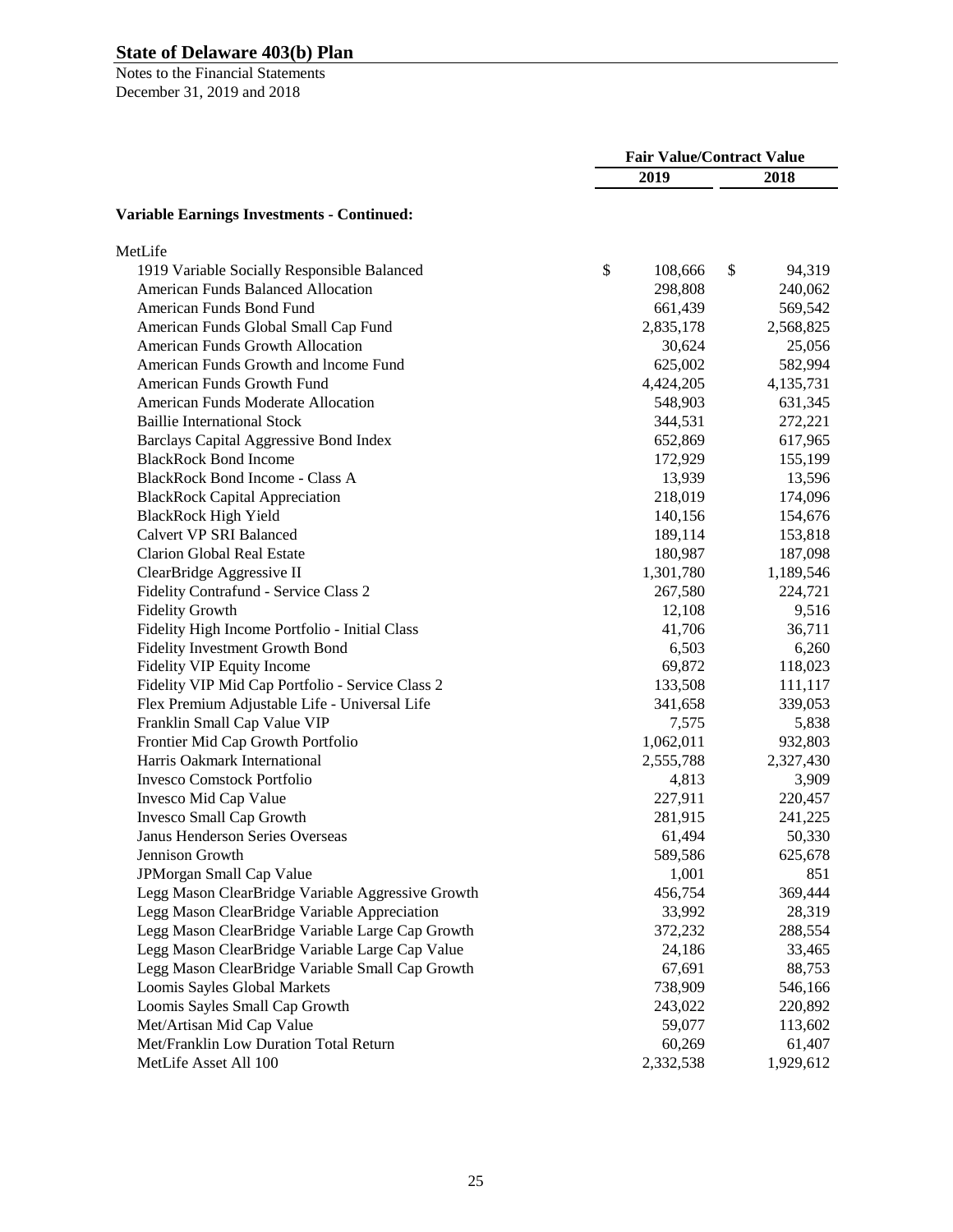|                                                   | <b>Fair Value/Contract Value</b> |           |    |           |
|---------------------------------------------------|----------------------------------|-----------|----|-----------|
|                                                   |                                  | 2019      |    | 2018      |
| <b>Variable Earnings Investments - Continued:</b> |                                  |           |    |           |
| MetLife                                           |                                  |           |    |           |
| 1919 Variable Socially Responsible Balanced       | \$                               | 108,666   | \$ | 94,319    |
| <b>American Funds Balanced Allocation</b>         |                                  | 298,808   |    | 240,062   |
| American Funds Bond Fund                          |                                  | 661,439   |    | 569,542   |
| American Funds Global Small Cap Fund              |                                  | 2,835,178 |    | 2,568,825 |
| American Funds Growth Allocation                  |                                  | 30,624    |    | 25,056    |
| American Funds Growth and Income Fund             |                                  | 625,002   |    | 582,994   |
| American Funds Growth Fund                        |                                  | 4,424,205 |    | 4,135,731 |
| American Funds Moderate Allocation                |                                  | 548,903   |    | 631,345   |
| <b>Baillie International Stock</b>                |                                  | 344,531   |    | 272,221   |
| <b>Barclays Capital Aggressive Bond Index</b>     |                                  | 652,869   |    | 617,965   |
| <b>BlackRock Bond Income</b>                      |                                  | 172,929   |    | 155,199   |
| <b>BlackRock Bond Income - Class A</b>            |                                  | 13,939    |    | 13,596    |
| <b>BlackRock Capital Appreciation</b>             |                                  | 218,019   |    | 174,096   |
| <b>BlackRock High Yield</b>                       |                                  | 140,156   |    | 154,676   |
| <b>Calvert VP SRI Balanced</b>                    |                                  | 189,114   |    | 153,818   |
| <b>Clarion Global Real Estate</b>                 |                                  | 180,987   |    | 187,098   |
| ClearBridge Aggressive II                         |                                  | 1,301,780 |    | 1,189,546 |
| Fidelity Contrafund - Service Class 2             |                                  | 267,580   |    | 224,721   |
| <b>Fidelity Growth</b>                            |                                  | 12,108    |    | 9,516     |
| Fidelity High Income Portfolio - Initial Class    |                                  | 41,706    |    | 36,711    |
| Fidelity Investment Growth Bond                   |                                  | 6,503     |    | 6,260     |
| <b>Fidelity VIP Equity Income</b>                 |                                  | 69,872    |    | 118,023   |
| Fidelity VIP Mid Cap Portfolio - Service Class 2  |                                  | 133,508   |    | 111,117   |
| Flex Premium Adjustable Life - Universal Life     |                                  | 341,658   |    | 339,053   |
| Franklin Small Cap Value VIP                      |                                  | 7,575     |    | 5,838     |
| Frontier Mid Cap Growth Portfolio                 |                                  | 1,062,011 |    | 932,803   |
| Harris Oakmark International                      |                                  | 2,555,788 |    | 2,327,430 |
| Invesco Comstock Portfolio                        |                                  | 4,813     |    | 3,909     |
| Invesco Mid Cap Value                             |                                  | 227,911   |    | 220,457   |
| Invesco Small Cap Growth                          |                                  | 281,915   |    | 241,225   |
| <b>Janus Henderson Series Overseas</b>            |                                  | 61,494    |    | 50,330    |
| Jennison Growth                                   |                                  | 589,586   |    | 625,678   |
| JPMorgan Small Cap Value                          |                                  | 1,001     |    | 851       |
| Legg Mason ClearBridge Variable Aggressive Growth |                                  | 456,754   |    | 369,444   |
| Legg Mason ClearBridge Variable Appreciation      |                                  | 33,992    |    | 28,319    |
| Legg Mason ClearBridge Variable Large Cap Growth  |                                  | 372,232   |    | 288,554   |
| Legg Mason ClearBridge Variable Large Cap Value   |                                  | 24,186    |    | 33,465    |
| Legg Mason ClearBridge Variable Small Cap Growth  |                                  | 67,691    |    | 88,753    |
| Loomis Sayles Global Markets                      |                                  | 738,909   |    | 546,166   |
| Loomis Sayles Small Cap Growth                    |                                  | 243,022   |    | 220,892   |
| Met/Artisan Mid Cap Value                         |                                  | 59,077    |    | 113,602   |
| Met/Franklin Low Duration Total Return            |                                  | 60,269    |    | 61,407    |
| MetLife Asset All 100                             |                                  | 2,332,538 |    | 1,929,612 |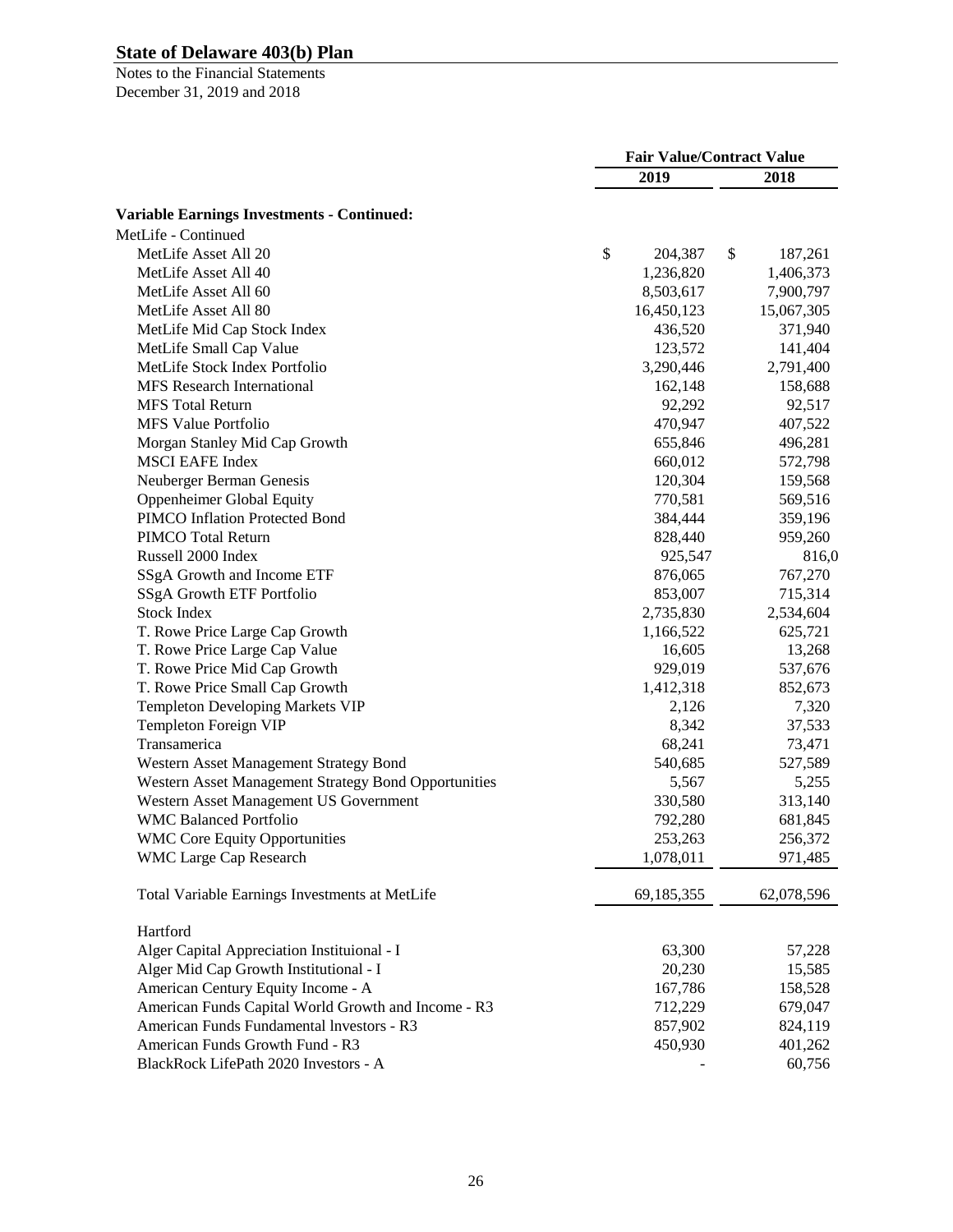|                                                      | <b>Fair Value/Contract Value</b> |            |    |            |
|------------------------------------------------------|----------------------------------|------------|----|------------|
|                                                      |                                  | 2019       |    | 2018       |
| <b>Variable Earnings Investments - Continued:</b>    |                                  |            |    |            |
| MetLife - Continued                                  |                                  |            |    |            |
| MetLife Asset All 20                                 | \$                               | 204,387    | \$ | 187,261    |
| MetLife Asset All 40                                 |                                  | 1,236,820  |    | 1,406,373  |
| MetLife Asset All 60                                 |                                  | 8,503,617  |    | 7,900,797  |
| MetLife Asset All 80                                 |                                  | 16,450,123 |    | 15,067,305 |
| MetLife Mid Cap Stock Index                          |                                  | 436,520    |    | 371,940    |
| MetLife Small Cap Value                              |                                  | 123,572    |    | 141,404    |
| MetLife Stock Index Portfolio                        |                                  | 3,290,446  |    | 2,791,400  |
| <b>MFS</b> Research International                    |                                  | 162,148    |    | 158,688    |
| <b>MFS</b> Total Return                              |                                  | 92,292     |    | 92,517     |
| MFS Value Portfolio                                  |                                  | 470,947    |    | 407,522    |
| Morgan Stanley Mid Cap Growth                        |                                  | 655,846    |    | 496,281    |
| <b>MSCI EAFE Index</b>                               |                                  | 660,012    |    | 572,798    |
| Neuberger Berman Genesis                             |                                  | 120,304    |    | 159,568    |
| Oppenheimer Global Equity                            |                                  | 770,581    |    | 569,516    |
| PIMCO Inflation Protected Bond                       |                                  | 384,444    |    | 359,196    |
| PIMCO Total Return                                   |                                  | 828,440    |    | 959,260    |
| Russell 2000 Index                                   |                                  | 925,547    |    | 816,0      |
| SSgA Growth and Income ETF                           |                                  | 876,065    |    | 767,270    |
| SSgA Growth ETF Portfolio                            |                                  | 853,007    |    | 715,314    |
| <b>Stock Index</b>                                   |                                  | 2,735,830  |    | 2,534,604  |
| T. Rowe Price Large Cap Growth                       |                                  | 1,166,522  |    | 625,721    |
| T. Rowe Price Large Cap Value                        |                                  | 16,605     |    | 13,268     |
| T. Rowe Price Mid Cap Growth                         |                                  | 929,019    |    | 537,676    |
| T. Rowe Price Small Cap Growth                       |                                  | 1,412,318  |    | 852,673    |
| <b>Templeton Developing Markets VIP</b>              |                                  | 2,126      |    | 7,320      |
| Templeton Foreign VIP                                |                                  | 8,342      |    | 37,533     |
| Transamerica                                         |                                  | 68,241     |    | 73,471     |
| Western Asset Management Strategy Bond               |                                  | 540,685    |    | 527,589    |
| Western Asset Management Strategy Bond Opportunities |                                  | 5,567      |    | 5,255      |
| Western Asset Management US Government               |                                  | 330,580    |    | 313,140    |
| <b>WMC Balanced Portfolio</b>                        |                                  | 792,280    |    | 681,845    |
| <b>WMC Core Equity Opportunities</b>                 |                                  | 253,263    |    | 256,372    |
| <b>WMC Large Cap Research</b>                        |                                  | 1,078,011  |    | 971,485    |
| Total Variable Earnings Investments at MetLife       |                                  | 69,185,355 |    | 62,078,596 |
| Hartford                                             |                                  |            |    |            |
| Alger Capital Appreciation Instituional - I          |                                  | 63,300     |    | 57,228     |
| Alger Mid Cap Growth Institutional - I               |                                  | 20,230     |    | 15,585     |
| American Century Equity Income - A                   |                                  | 167,786    |    | 158,528    |
| American Funds Capital World Growth and Income - R3  |                                  | 712,229    |    | 679,047    |
| American Funds Fundamental Investors - R3            |                                  | 857,902    |    | 824,119    |
| American Funds Growth Fund - R3                      |                                  | 450,930    |    | 401,262    |
| BlackRock LifePath 2020 Investors - A                |                                  |            |    | 60,756     |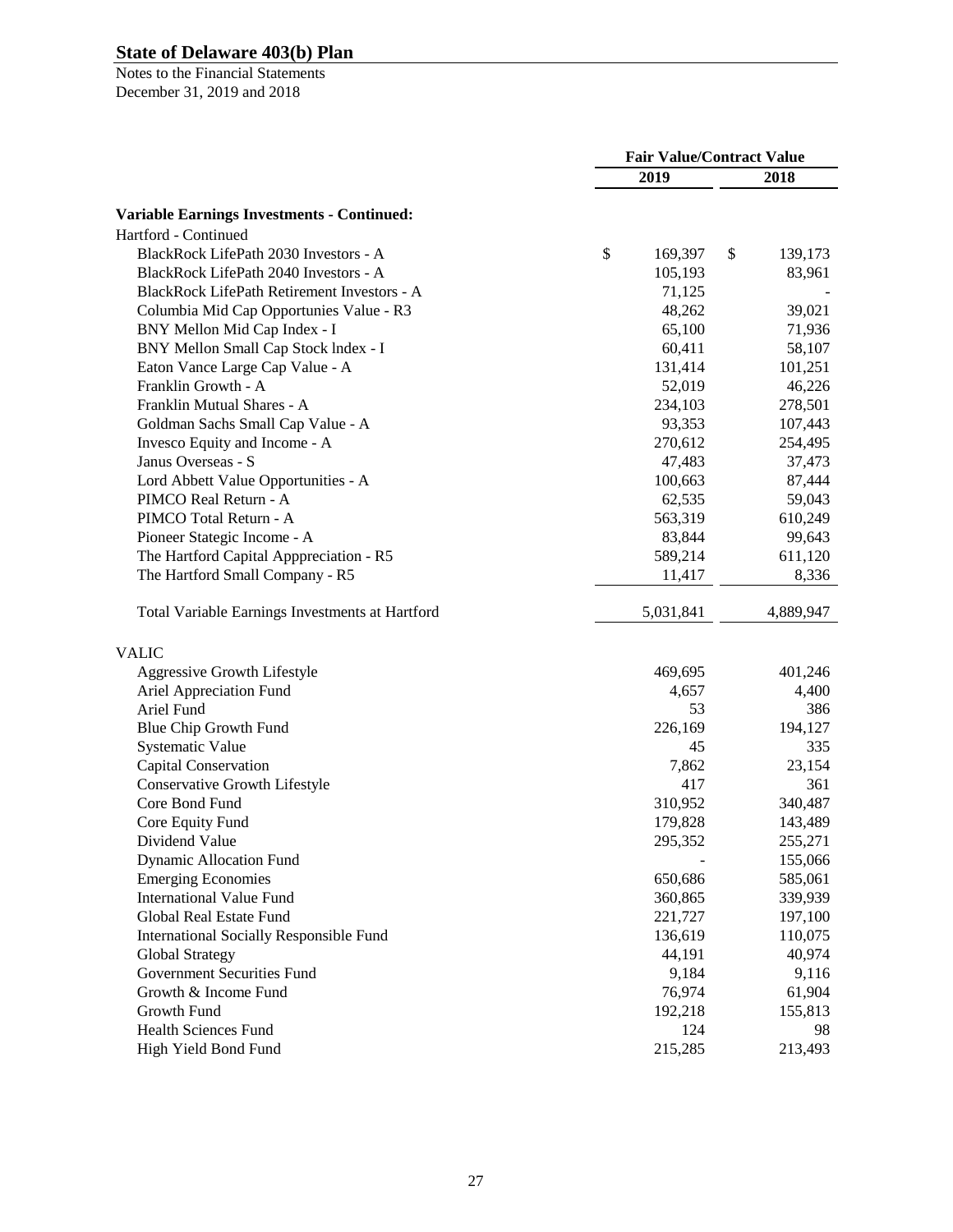|                                                   | <b>Fair Value/Contract Value</b> |           |    |           |
|---------------------------------------------------|----------------------------------|-----------|----|-----------|
|                                                   |                                  | 2019      |    | 2018      |
| <b>Variable Earnings Investments - Continued:</b> |                                  |           |    |           |
| Hartford - Continued                              |                                  |           |    |           |
| BlackRock LifePath 2030 Investors - A             | \$                               | 169,397   | \$ | 139,173   |
| BlackRock LifePath 2040 Investors - A             |                                  | 105,193   |    | 83,961    |
| BlackRock LifePath Retirement Investors - A       |                                  | 71,125    |    |           |
| Columbia Mid Cap Opportunies Value - R3           |                                  | 48,262    |    | 39,021    |
| BNY Mellon Mid Cap Index - I                      |                                  | 65,100    |    | 71,936    |
|                                                   |                                  | 60,411    |    | 58,107    |
| BNY Mellon Small Cap Stock Index - I              |                                  |           |    |           |
| Eaton Vance Large Cap Value - A                   |                                  | 131,414   |    | 101,251   |
| Franklin Growth - A                               |                                  | 52,019    |    | 46,226    |
| Franklin Mutual Shares - A                        |                                  | 234,103   |    | 278,501   |
| Goldman Sachs Small Cap Value - A                 |                                  | 93,353    |    | 107,443   |
| Invesco Equity and Income - A                     |                                  | 270,612   |    | 254,495   |
| Janus Overseas - S                                |                                  | 47,483    |    | 37,473    |
| Lord Abbett Value Opportunities - A               |                                  | 100,663   |    | 87,444    |
| PIMCO Real Return - A                             |                                  | 62,535    |    | 59,043    |
| PIMCO Total Return - A                            |                                  | 563,319   |    | 610,249   |
| Pioneer Stategic Income - A                       |                                  | 83,844    |    | 99,643    |
| The Hartford Capital Apppreciation - R5           |                                  | 589,214   |    | 611,120   |
| The Hartford Small Company - R5                   |                                  | 11,417    |    | 8,336     |
| Total Variable Earnings Investments at Hartford   |                                  | 5,031,841 |    | 4,889,947 |
| <b>VALIC</b>                                      |                                  |           |    |           |
| Aggressive Growth Lifestyle                       |                                  | 469,695   |    | 401,246   |
| Ariel Appreciation Fund                           |                                  | 4,657     |    | 4,400     |
| Ariel Fund                                        |                                  | 53        |    | 386       |
| Blue Chip Growth Fund                             |                                  | 226,169   |    | 194,127   |
| <b>Systematic Value</b>                           |                                  | 45        |    | 335       |
| Capital Conservation                              |                                  | 7,862     |    | 23,154    |
| Conservative Growth Lifestyle                     |                                  | 417       |    | 361       |
| Core Bond Fund                                    |                                  | 310,952   |    | 340,487   |
| Core Equity Fund                                  |                                  | 179,828   |    | 143,489   |
| Dividend Value                                    |                                  | 295,352   |    | 255,271   |
| <b>Dynamic Allocation Fund</b>                    |                                  |           |    | 155,066   |
| <b>Emerging Economies</b>                         |                                  | 650,686   |    | 585,061   |
| <b>International Value Fund</b>                   |                                  | 360,865   |    | 339,939   |
| Global Real Estate Fund                           |                                  | 221,727   |    | 197,100   |
| <b>International Socially Responsible Fund</b>    |                                  | 136,619   |    | 110,075   |
|                                                   |                                  | 44,191    |    | 40,974    |
| Global Strategy<br>Government Securities Fund     |                                  |           |    |           |
|                                                   |                                  | 9,184     |    | 9,116     |
| Growth & Income Fund                              |                                  | 76,974    |    | 61,904    |
| Growth Fund                                       |                                  | 192,218   |    | 155,813   |
| <b>Health Sciences Fund</b>                       |                                  | 124       |    | 98        |
| High Yield Bond Fund                              |                                  | 215,285   |    | 213,493   |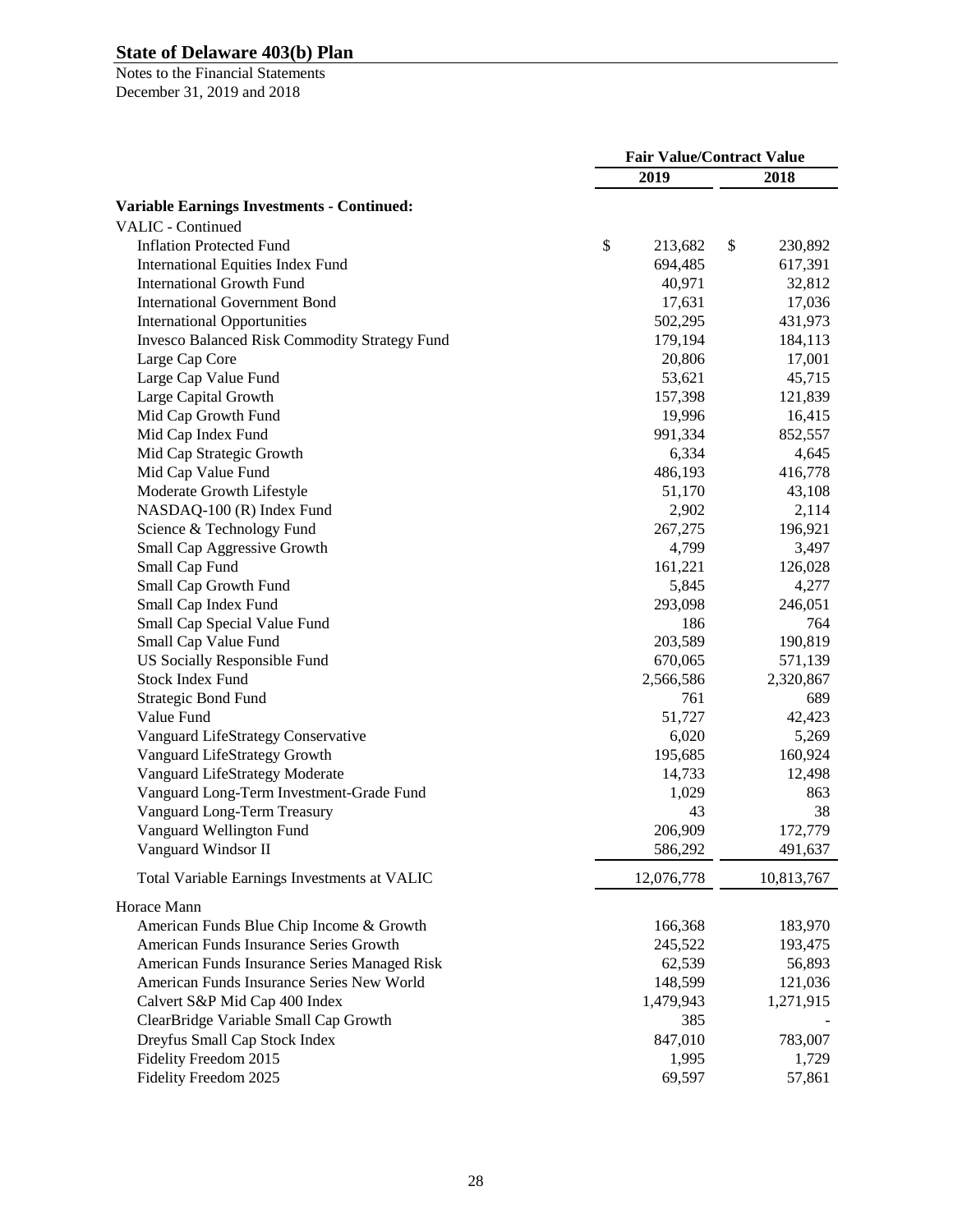|                                                      | <b>Fair Value/Contract Value</b> |                |    |                |
|------------------------------------------------------|----------------------------------|----------------|----|----------------|
|                                                      |                                  | 2019           |    | 2018           |
| <b>Variable Earnings Investments - Continued:</b>    |                                  |                |    |                |
| <b>VALIC</b> - Continued                             |                                  |                |    |                |
| <b>Inflation Protected Fund</b>                      | \$                               | 213,682        | \$ | 230,892        |
| <b>International Equities Index Fund</b>             |                                  | 694,485        |    | 617,391        |
| <b>International Growth Fund</b>                     |                                  | 40,971         |    | 32,812         |
| <b>International Government Bond</b>                 |                                  | 17,631         |    | 17,036         |
| <b>International Opportunities</b>                   |                                  | 502,295        |    | 431,973        |
| <b>Invesco Balanced Risk Commodity Strategy Fund</b> |                                  | 179,194        |    | 184,113        |
| Large Cap Core                                       |                                  | 20,806         |    | 17,001         |
| Large Cap Value Fund                                 |                                  | 53,621         |    | 45,715         |
| Large Capital Growth                                 |                                  | 157,398        |    | 121,839        |
| Mid Cap Growth Fund                                  |                                  | 19,996         |    | 16,415         |
| Mid Cap Index Fund                                   |                                  | 991,334        |    | 852,557        |
| Mid Cap Strategic Growth                             |                                  | 6,334          |    | 4,645          |
| Mid Cap Value Fund                                   |                                  | 486,193        |    | 416,778        |
| Moderate Growth Lifestyle                            |                                  | 51,170         |    | 43,108         |
| NASDAQ-100 (R) Index Fund                            |                                  | 2,902          |    | 2,114          |
| Science & Technology Fund                            |                                  | 267,275        |    | 196,921        |
| Small Cap Aggressive Growth                          |                                  | 4,799          |    | 3,497          |
| Small Cap Fund                                       |                                  | 161,221        |    | 126,028        |
| Small Cap Growth Fund                                |                                  | 5,845          |    | 4,277          |
|                                                      |                                  |                |    |                |
| Small Cap Index Fund                                 |                                  | 293,098<br>186 |    | 246,051<br>764 |
| Small Cap Special Value Fund                         |                                  |                |    |                |
| Small Cap Value Fund                                 |                                  | 203,589        |    | 190,819        |
| <b>US Socially Responsible Fund</b>                  |                                  | 670,065        |    | 571,139        |
| Stock Index Fund                                     |                                  | 2,566,586      |    | 2,320,867      |
| <b>Strategic Bond Fund</b>                           |                                  | 761            |    | 689            |
| Value Fund                                           |                                  | 51,727         |    | 42,423         |
| Vanguard LifeStrategy Conservative                   |                                  | 6,020          |    | 5,269          |
| Vanguard LifeStrategy Growth                         |                                  | 195,685        |    | 160,924        |
| Vanguard LifeStrategy Moderate                       |                                  | 14,733         |    | 12,498         |
| Vanguard Long-Term Investment-Grade Fund             |                                  | 1,029          |    | 863            |
| Vanguard Long-Term Treasury                          |                                  | 43             |    | 38             |
| Vanguard Wellington Fund                             |                                  | 206,909        |    | 172,779        |
| Vanguard Windsor II                                  |                                  | 586,292        |    | 491,637        |
| Total Variable Earnings Investments at VALIC         |                                  | 12,076,778     |    | 10,813,767     |
| Horace Mann                                          |                                  |                |    |                |
| American Funds Blue Chip Income & Growth             |                                  | 166,368        |    | 183,970        |
| American Funds Insurance Series Growth               |                                  | 245,522        |    | 193,475        |
| American Funds Insurance Series Managed Risk         |                                  | 62,539         |    | 56,893         |
| American Funds Insurance Series New World            |                                  | 148,599        |    | 121,036        |
| Calvert S&P Mid Cap 400 Index                        |                                  | 1,479,943      |    | 1,271,915      |
| ClearBridge Variable Small Cap Growth                |                                  | 385            |    |                |
| Dreyfus Small Cap Stock Index                        |                                  | 847,010        |    | 783,007        |
| Fidelity Freedom 2015                                |                                  | 1,995          |    | 1,729          |
| Fidelity Freedom 2025                                |                                  | 69,597         |    | 57,861         |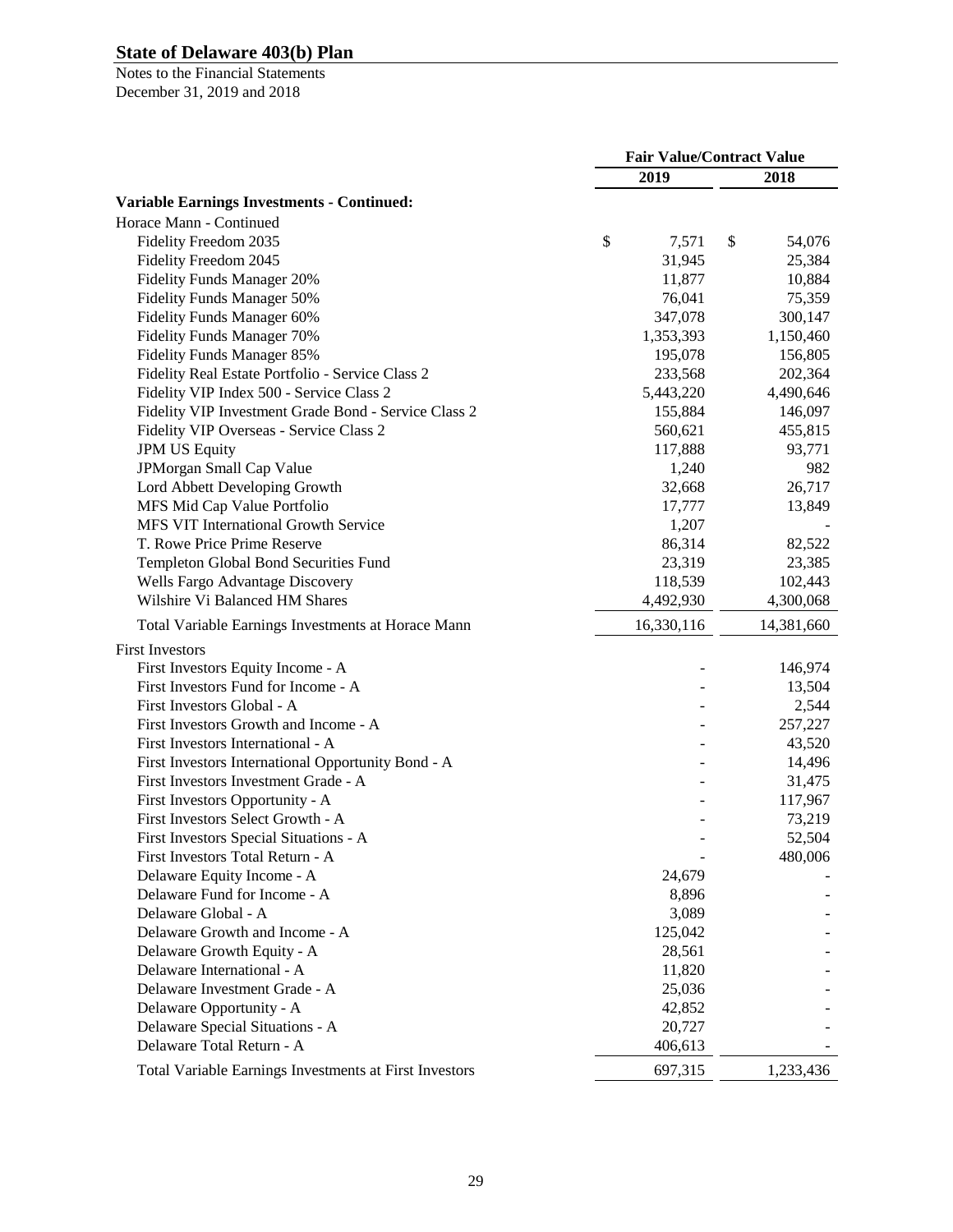|                                                                     | <b>Fair Value/Contract Value</b> |              |  |
|---------------------------------------------------------------------|----------------------------------|--------------|--|
|                                                                     | 2019                             | 2018         |  |
| <b>Variable Earnings Investments - Continued:</b>                   |                                  |              |  |
| Horace Mann - Continued                                             |                                  |              |  |
| Fidelity Freedom 2035                                               | \$<br>7,571                      | \$<br>54,076 |  |
| Fidelity Freedom 2045                                               | 31,945                           | 25,384       |  |
| <b>Fidelity Funds Manager 20%</b>                                   | 11,877                           | 10,884       |  |
| <b>Fidelity Funds Manager 50%</b>                                   | 76,041                           | 75,359       |  |
| Fidelity Funds Manager 60%                                          | 347,078                          | 300,147      |  |
| Fidelity Funds Manager 70%                                          | 1,353,393                        | 1,150,460    |  |
| Fidelity Funds Manager 85%                                          | 195,078                          | 156,805      |  |
| Fidelity Real Estate Portfolio - Service Class 2                    | 233,568                          | 202,364      |  |
| Fidelity VIP Index 500 - Service Class 2                            | 5,443,220                        | 4,490,646    |  |
| Fidelity VIP Investment Grade Bond - Service Class 2                | 155,884                          | 146,097      |  |
| Fidelity VIP Overseas - Service Class 2                             | 560,621                          | 455,815      |  |
| <b>JPM US Equity</b>                                                | 117,888                          | 93,771       |  |
| JPMorgan Small Cap Value                                            | 1,240                            | 982          |  |
| Lord Abbett Developing Growth                                       | 32,668                           | 26,717       |  |
|                                                                     | 17,777                           |              |  |
| MFS Mid Cap Value Portfolio<br>MFS VIT International Growth Service |                                  | 13,849       |  |
| T. Rowe Price Prime Reserve                                         | 1,207                            |              |  |
|                                                                     | 86,314<br>23,319                 | 82,522       |  |
| Templeton Global Bond Securities Fund                               | 118,539                          | 23,385       |  |
| Wells Fargo Advantage Discovery                                     |                                  | 102,443      |  |
| Wilshire Vi Balanced HM Shares                                      | 4,492,930                        | 4,300,068    |  |
| Total Variable Earnings Investments at Horace Mann                  | 16,330,116                       | 14,381,660   |  |
| <b>First Investors</b>                                              |                                  |              |  |
| First Investors Equity Income - A                                   |                                  | 146,974      |  |
| First Investors Fund for Income - A                                 |                                  | 13,504       |  |
| First Investors Global - A                                          |                                  | 2,544        |  |
| First Investors Growth and Income - A                               |                                  | 257,227      |  |
| First Investors International - A                                   |                                  | 43,520       |  |
| First Investors International Opportunity Bond - A                  |                                  | 14,496       |  |
| First Investors Investment Grade - A                                |                                  | 31,475       |  |
| First Investors Opportunity - A                                     |                                  | 117,967      |  |
| First Investors Select Growth - A                                   |                                  | 73,219       |  |
| First Investors Special Situations - A                              |                                  | 52,504       |  |
| First Investors Total Return - A                                    |                                  | 480,006      |  |
| Delaware Equity Income - A                                          | 24,679                           |              |  |
| Delaware Fund for Income - A                                        | 8,896                            |              |  |
| Delaware Global - A                                                 | 3,089                            |              |  |
| Delaware Growth and Income - A                                      | 125,042                          |              |  |
| Delaware Growth Equity - A                                          | 28,561                           |              |  |
| Delaware International - A                                          | 11,820                           |              |  |
| Delaware Investment Grade - A                                       | 25,036                           |              |  |
| Delaware Opportunity - A                                            | 42,852                           |              |  |
| Delaware Special Situations - A                                     | 20,727                           |              |  |
| Delaware Total Return - A                                           | 406,613                          |              |  |
|                                                                     |                                  |              |  |
| Total Variable Earnings Investments at First Investors              | 697,315                          | 1,233,436    |  |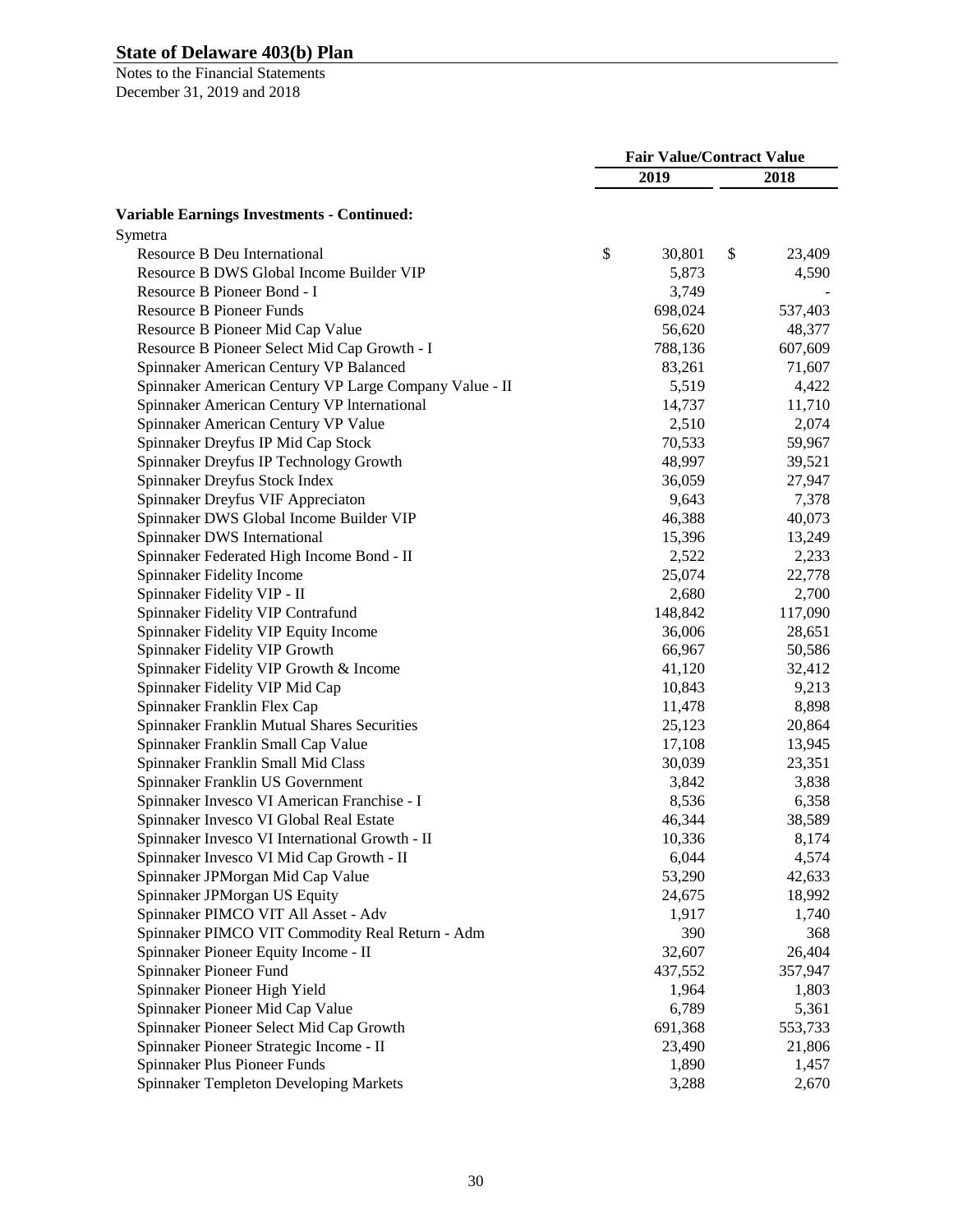|                                                        | <b>Fair Value/Contract Value</b> |         |    |         |
|--------------------------------------------------------|----------------------------------|---------|----|---------|
|                                                        |                                  | 2019    |    | 2018    |
| <b>Variable Earnings Investments - Continued:</b>      |                                  |         |    |         |
| Symetra                                                |                                  |         |    |         |
| Resource B Deu International                           | \$                               | 30,801  | \$ | 23,409  |
| Resource B DWS Global Income Builder VIP               |                                  | 5,873   |    | 4,590   |
| Resource B Pioneer Bond - I                            |                                  | 3,749   |    |         |
| <b>Resource B Pioneer Funds</b>                        |                                  | 698,024 |    | 537,403 |
| Resource B Pioneer Mid Cap Value                       |                                  | 56,620  |    | 48,377  |
| Resource B Pioneer Select Mid Cap Growth - I           |                                  | 788,136 |    | 607,609 |
| Spinnaker American Century VP Balanced                 |                                  | 83,261  |    | 71,607  |
| Spinnaker American Century VP Large Company Value - II |                                  | 5,519   |    | 4,422   |
| Spinnaker American Century VP International            |                                  | 14,737  |    | 11,710  |
| Spinnaker American Century VP Value                    |                                  | 2,510   |    | 2,074   |
| Spinnaker Dreyfus IP Mid Cap Stock                     |                                  | 70,533  |    | 59,967  |
| Spinnaker Dreyfus IP Technology Growth                 |                                  | 48,997  |    | 39,521  |
| Spinnaker Dreyfus Stock Index                          |                                  | 36,059  |    | 27,947  |
| Spinnaker Dreyfus VIF Appreciaton                      |                                  | 9,643   |    | 7,378   |
| Spinnaker DWS Global Income Builder VIP                |                                  | 46,388  |    | 40,073  |
| Spinnaker DWS International                            |                                  | 15,396  |    | 13,249  |
| Spinnaker Federated High Income Bond - II              |                                  | 2,522   |    | 2,233   |
| Spinnaker Fidelity Income                              |                                  | 25,074  |    | 22,778  |
| Spinnaker Fidelity VIP - II                            |                                  | 2,680   |    | 2,700   |
| Spinnaker Fidelity VIP Contrafund                      |                                  | 148,842 |    | 117,090 |
| Spinnaker Fidelity VIP Equity Income                   |                                  | 36,006  |    | 28,651  |
| Spinnaker Fidelity VIP Growth                          |                                  | 66,967  |    | 50,586  |
| Spinnaker Fidelity VIP Growth & Income                 |                                  | 41,120  |    | 32,412  |
| Spinnaker Fidelity VIP Mid Cap                         |                                  | 10,843  |    | 9,213   |
| Spinnaker Franklin Flex Cap                            |                                  | 11,478  |    | 8,898   |
| Spinnaker Franklin Mutual Shares Securities            |                                  | 25,123  |    | 20,864  |
| Spinnaker Franklin Small Cap Value                     |                                  | 17,108  |    | 13,945  |
| Spinnaker Franklin Small Mid Class                     |                                  | 30,039  |    | 23,351  |
| Spinnaker Franklin US Government                       |                                  | 3,842   |    | 3,838   |
| Spinnaker Invesco VI American Franchise - I            |                                  | 8,536   |    | 6,358   |
| Spinnaker Invesco VI Global Real Estate                |                                  | 46,344  |    | 38,589  |
| Spinnaker Invesco VI International Growth - II         |                                  | 10,336  |    | 8,174   |
| Spinnaker Invesco VI Mid Cap Growth - II               |                                  | 6,044   |    | 4,574   |
| Spinnaker JPMorgan Mid Cap Value                       |                                  | 53,290  |    | 42,633  |
| Spinnaker JPMorgan US Equity                           |                                  | 24,675  |    | 18,992  |
| Spinnaker PIMCO VIT All Asset - Adv                    |                                  | 1,917   |    | 1,740   |
| Spinnaker PIMCO VIT Commodity Real Return - Adm        |                                  | 390     |    | 368     |
| Spinnaker Pioneer Equity Income - II                   |                                  | 32,607  |    | 26,404  |
| Spinnaker Pioneer Fund                                 |                                  | 437,552 |    | 357,947 |
| Spinnaker Pioneer High Yield                           |                                  | 1,964   |    | 1,803   |
| Spinnaker Pioneer Mid Cap Value                        |                                  | 6,789   |    | 5,361   |
| Spinnaker Pioneer Select Mid Cap Growth                |                                  | 691,368 |    | 553,733 |
| Spinnaker Pioneer Strategic Income - II                |                                  | 23,490  |    | 21,806  |
| Spinnaker Plus Pioneer Funds                           |                                  | 1,890   |    | 1,457   |
| Spinnaker Templeton Developing Markets                 |                                  | 3,288   |    | 2,670   |
|                                                        |                                  |         |    |         |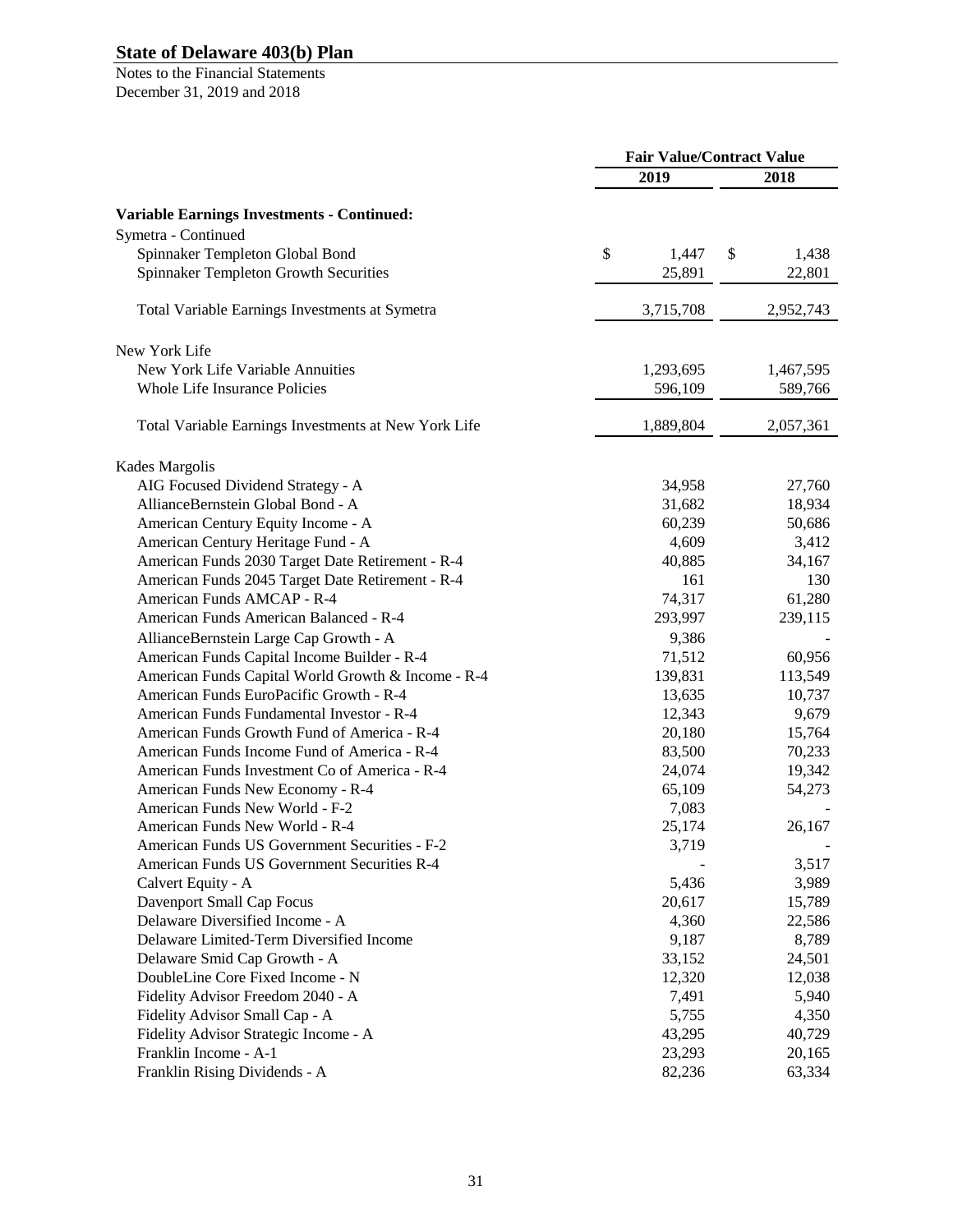|                                                      | <b>Fair Value/Contract Value</b> |             |  |
|------------------------------------------------------|----------------------------------|-------------|--|
|                                                      | 2019                             | 2018        |  |
| <b>Variable Earnings Investments - Continued:</b>    |                                  |             |  |
| Symetra - Continued                                  |                                  |             |  |
| Spinnaker Templeton Global Bond                      | \$<br>1,447                      | \$<br>1,438 |  |
| Spinnaker Templeton Growth Securities                | 25,891                           | 22,801      |  |
|                                                      |                                  |             |  |
| Total Variable Earnings Investments at Symetra       | 3,715,708                        | 2,952,743   |  |
| New York Life                                        |                                  |             |  |
| New York Life Variable Annuities                     | 1,293,695                        | 1,467,595   |  |
| Whole Life Insurance Policies                        | 596,109                          | 589,766     |  |
| Total Variable Earnings Investments at New York Life | 1,889,804                        | 2,057,361   |  |
| Kades Margolis                                       |                                  |             |  |
| AIG Focused Dividend Strategy - A                    | 34,958                           | 27,760      |  |
| AllianceBernstein Global Bond - A                    | 31,682                           | 18,934      |  |
| American Century Equity Income - A                   | 60,239                           | 50,686      |  |
| American Century Heritage Fund - A                   | 4,609                            | 3,412       |  |
| American Funds 2030 Target Date Retirement - R-4     | 40,885                           | 34,167      |  |
| American Funds 2045 Target Date Retirement - R-4     | 161                              | 130         |  |
| American Funds AMCAP - R-4                           | 74,317                           | 61,280      |  |
| American Funds American Balanced - R-4               | 293,997                          | 239,115     |  |
| AllianceBernstein Large Cap Growth - A               | 9,386                            |             |  |
| American Funds Capital Income Builder - R-4          | 71,512                           | 60,956      |  |
| American Funds Capital World Growth & Income - R-4   | 139,831                          | 113,549     |  |
| American Funds EuroPacific Growth - R-4              | 13,635                           | 10,737      |  |
| American Funds Fundamental Investor - R-4            | 12,343                           | 9,679       |  |
| American Funds Growth Fund of America - R-4          | 20,180                           | 15,764      |  |
| American Funds Income Fund of America - R-4          | 83,500                           | 70,233      |  |
| American Funds Investment Co of America - R-4        | 24,074                           | 19,342      |  |
| American Funds New Economy - R-4                     | 65,109                           | 54,273      |  |
| American Funds New World - F-2                       | 7,083                            |             |  |
| American Funds New World - R-4                       | 25,174                           | 26,167      |  |
| American Funds US Government Securities - F-2        | 3,719                            |             |  |
| American Funds US Government Securities R-4          |                                  | 3,517       |  |
| Calvert Equity - A                                   | 5,436                            | 3,989       |  |
| Davenport Small Cap Focus                            | 20,617                           | 15,789      |  |
| Delaware Diversified Income - A                      | 4,360                            | 22,586      |  |
| Delaware Limited-Term Diversified Income             | 9,187                            | 8,789       |  |
| Delaware Smid Cap Growth - A                         | 33,152                           | 24,501      |  |
| DoubleLine Core Fixed Income - N                     | 12,320                           | 12,038      |  |
| Fidelity Advisor Freedom 2040 - A                    | 7,491                            | 5,940       |  |
| Fidelity Advisor Small Cap - A                       | 5,755                            | 4,350       |  |
| Fidelity Advisor Strategic Income - A                | 43,295                           | 40,729      |  |
| Franklin Income - A-1                                | 23,293                           | 20,165      |  |
| Franklin Rising Dividends - A                        | 82,236                           | 63,334      |  |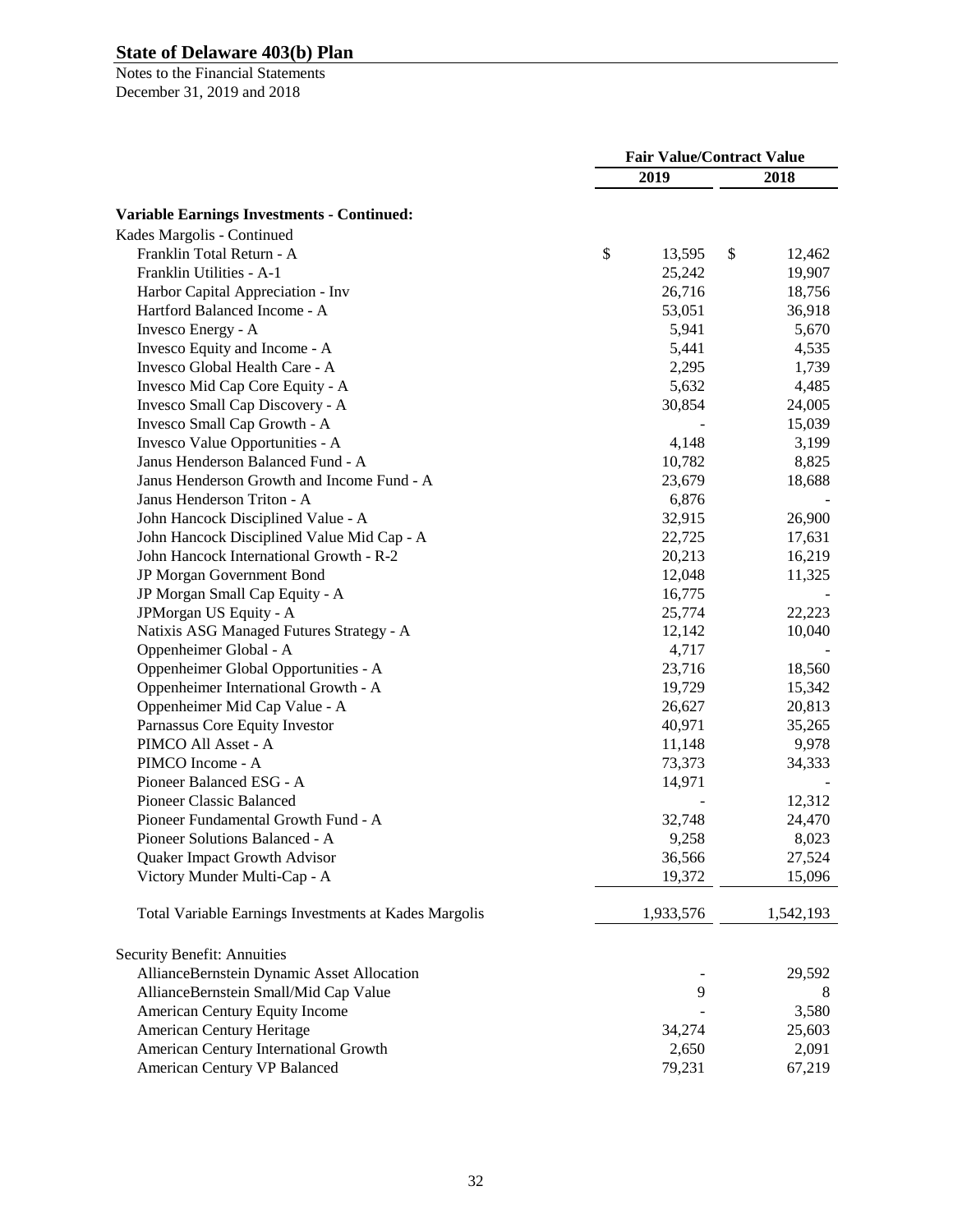|                                                       | <b>Fair Value/Contract Value</b> |           |    |           |
|-------------------------------------------------------|----------------------------------|-----------|----|-----------|
|                                                       |                                  | 2019      |    | 2018      |
| <b>Variable Earnings Investments - Continued:</b>     |                                  |           |    |           |
| Kades Margolis - Continued                            |                                  |           |    |           |
| Franklin Total Return - A                             | \$                               | 13,595    | \$ | 12,462    |
| Franklin Utilities - A-1                              |                                  | 25,242    |    | 19,907    |
| Harbor Capital Appreciation - Inv                     |                                  | 26,716    |    | 18,756    |
| Hartford Balanced Income - A                          |                                  | 53,051    |    | 36,918    |
| Invesco Energy - A                                    |                                  | 5,941     |    | 5,670     |
| Invesco Equity and Income - A                         |                                  | 5,441     |    | 4,535     |
| Invesco Global Health Care - A                        |                                  | 2,295     |    | 1,739     |
| Invesco Mid Cap Core Equity - A                       |                                  | 5,632     |    | 4,485     |
| Invesco Small Cap Discovery - A                       |                                  | 30,854    |    | 24,005    |
| Invesco Small Cap Growth - A                          |                                  |           |    | 15,039    |
| Invesco Value Opportunities - A                       |                                  | 4,148     |    | 3,199     |
| Janus Henderson Balanced Fund - A                     |                                  | 10,782    |    | 8,825     |
| Janus Henderson Growth and Income Fund - A            |                                  | 23,679    |    | 18,688    |
| Janus Henderson Triton - A                            |                                  | 6,876     |    |           |
| John Hancock Disciplined Value - A                    |                                  | 32,915    |    | 26,900    |
| John Hancock Disciplined Value Mid Cap - A            |                                  | 22,725    |    |           |
| John Hancock International Growth - R-2               |                                  | 20,213    |    | 17,631    |
| JP Morgan Government Bond                             |                                  | 12,048    |    | 16,219    |
|                                                       |                                  |           |    | 11,325    |
| JP Morgan Small Cap Equity - A                        |                                  | 16,775    |    |           |
| JPMorgan US Equity - A                                |                                  | 25,774    |    | 22,223    |
| Natixis ASG Managed Futures Strategy - A              |                                  | 12,142    |    | 10,040    |
| Oppenheimer Global - A                                |                                  | 4,717     |    |           |
| Oppenheimer Global Opportunities - A                  |                                  | 23,716    |    | 18,560    |
| Oppenheimer International Growth - A                  |                                  | 19,729    |    | 15,342    |
| Oppenheimer Mid Cap Value - A                         |                                  | 26,627    |    | 20,813    |
| Parnassus Core Equity Investor                        |                                  | 40,971    |    | 35,265    |
| PIMCO All Asset - A                                   |                                  | 11,148    |    | 9,978     |
| PIMCO Income - A                                      |                                  | 73,373    |    | 34,333    |
| Pioneer Balanced ESG - A                              |                                  | 14,971    |    |           |
| <b>Pioneer Classic Balanced</b>                       |                                  |           |    | 12,312    |
| Pioneer Fundamental Growth Fund - A                   |                                  | 32,748    |    | 24,470    |
| Pioneer Solutions Balanced - A                        |                                  | 9,258     |    | 8,023     |
| Quaker Impact Growth Advisor                          |                                  | 36,566    |    | 27,524    |
| Victory Munder Multi-Cap - A                          |                                  | 19,372    |    | 15,096    |
| Total Variable Earnings Investments at Kades Margolis |                                  | 1,933,576 |    | 1,542,193 |
| Security Benefit: Annuities                           |                                  |           |    |           |
| AllianceBernstein Dynamic Asset Allocation            |                                  |           |    | 29,592    |
| AllianceBernstein Small/Mid Cap Value                 |                                  | 9         |    | 8         |
| American Century Equity Income                        |                                  |           |    | 3,580     |
| <b>American Century Heritage</b>                      |                                  | 34,274    |    | 25,603    |
| American Century International Growth                 |                                  | 2,650     |    | 2,091     |
| American Century VP Balanced                          |                                  | 79,231    |    | 67,219    |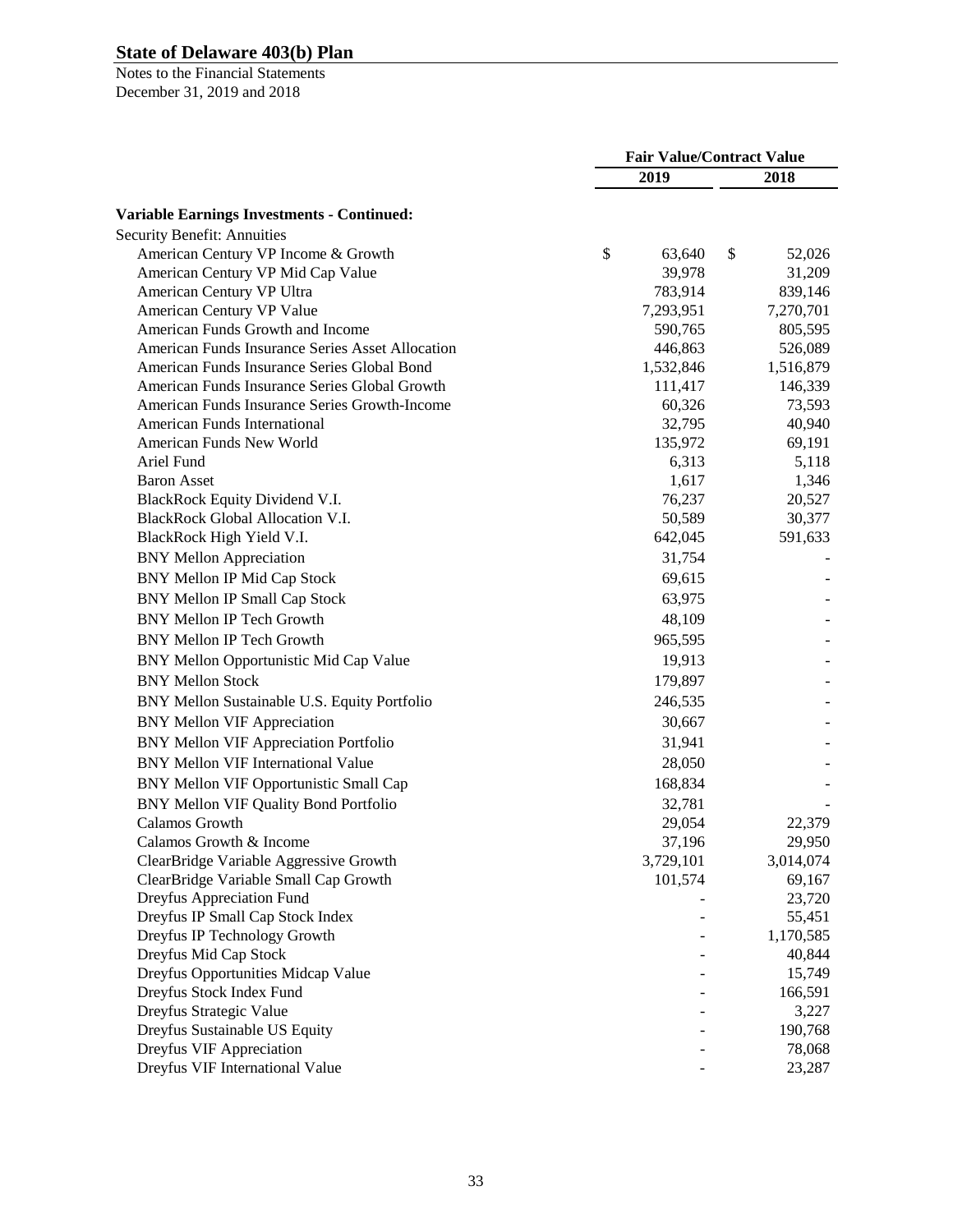|                                                   | <b>Fair Value/Contract Value</b> |           |    |           |
|---------------------------------------------------|----------------------------------|-----------|----|-----------|
|                                                   |                                  | 2019      |    | 2018      |
| <b>Variable Earnings Investments - Continued:</b> |                                  |           |    |           |
| <b>Security Benefit: Annuities</b>                |                                  |           |    |           |
| American Century VP Income & Growth               | \$                               | 63,640    | \$ | 52,026    |
| American Century VP Mid Cap Value                 |                                  | 39,978    |    | 31,209    |
| American Century VP Ultra                         |                                  | 783,914   |    | 839,146   |
| American Century VP Value                         |                                  | 7,293,951 |    | 7,270,701 |
| American Funds Growth and Income                  |                                  | 590,765   |    | 805,595   |
| American Funds Insurance Series Asset Allocation  |                                  | 446,863   |    | 526,089   |
| American Funds Insurance Series Global Bond       |                                  | 1,532,846 |    | 1,516,879 |
| American Funds Insurance Series Global Growth     |                                  | 111,417   |    | 146,339   |
| American Funds Insurance Series Growth-Income     |                                  | 60,326    |    | 73,593    |
| <b>American Funds International</b>               |                                  | 32,795    |    | 40,940    |
| American Funds New World                          |                                  | 135,972   |    | 69,191    |
| Ariel Fund                                        |                                  | 6,313     |    | 5,118     |
| <b>Baron Asset</b>                                |                                  | 1,617     |    | 1,346     |
| BlackRock Equity Dividend V.I.                    |                                  | 76,237    |    | 20,527    |
| <b>BlackRock Global Allocation V.I.</b>           |                                  | 50,589    |    | 30,377    |
| BlackRock High Yield V.I.                         |                                  | 642,045   |    | 591,633   |
| <b>BNY Mellon Appreciation</b>                    |                                  | 31,754    |    |           |
| <b>BNY Mellon IP Mid Cap Stock</b>                |                                  | 69,615    |    |           |
| <b>BNY Mellon IP Small Cap Stock</b>              |                                  | 63,975    |    |           |
| <b>BNY Mellon IP Tech Growth</b>                  |                                  | 48,109    |    |           |
| <b>BNY Mellon IP Tech Growth</b>                  |                                  | 965,595   |    |           |
| BNY Mellon Opportunistic Mid Cap Value            |                                  | 19,913    |    |           |
| <b>BNY Mellon Stock</b>                           |                                  | 179,897   |    |           |
| BNY Mellon Sustainable U.S. Equity Portfolio      |                                  | 246,535   |    |           |
| <b>BNY Mellon VIF Appreciation</b>                |                                  | 30,667    |    |           |
| <b>BNY Mellon VIF Appreciation Portfolio</b>      |                                  | 31,941    |    |           |
| <b>BNY Mellon VIF International Value</b>         |                                  | 28,050    |    |           |
| BNY Mellon VIF Opportunistic Small Cap            |                                  | 168,834   |    |           |
| BNY Mellon VIF Quality Bond Portfolio             |                                  | 32,781    |    |           |
| Calamos Growth                                    |                                  | 29,054    |    | 22,379    |
| Calamos Growth & Income                           |                                  | 37,196    |    | 29,950    |
| ClearBridge Variable Aggressive Growth            |                                  | 3,729,101 |    | 3,014,074 |
| ClearBridge Variable Small Cap Growth             |                                  | 101,574   |    | 69,167    |
| Dreyfus Appreciation Fund                         |                                  |           |    | 23,720    |
| Dreyfus IP Small Cap Stock Index                  |                                  |           |    | 55,451    |
| Dreyfus IP Technology Growth                      |                                  |           |    | 1,170,585 |
| Dreyfus Mid Cap Stock                             |                                  |           |    | 40,844    |
| Dreyfus Opportunities Midcap Value                |                                  |           |    | 15,749    |
| Dreyfus Stock Index Fund                          |                                  |           |    | 166,591   |
| Dreyfus Strategic Value                           |                                  |           |    | 3,227     |
| Dreyfus Sustainable US Equity                     |                                  |           |    | 190,768   |
| Dreyfus VIF Appreciation                          |                                  |           |    | 78,068    |
| Dreyfus VIF International Value                   |                                  |           |    | 23,287    |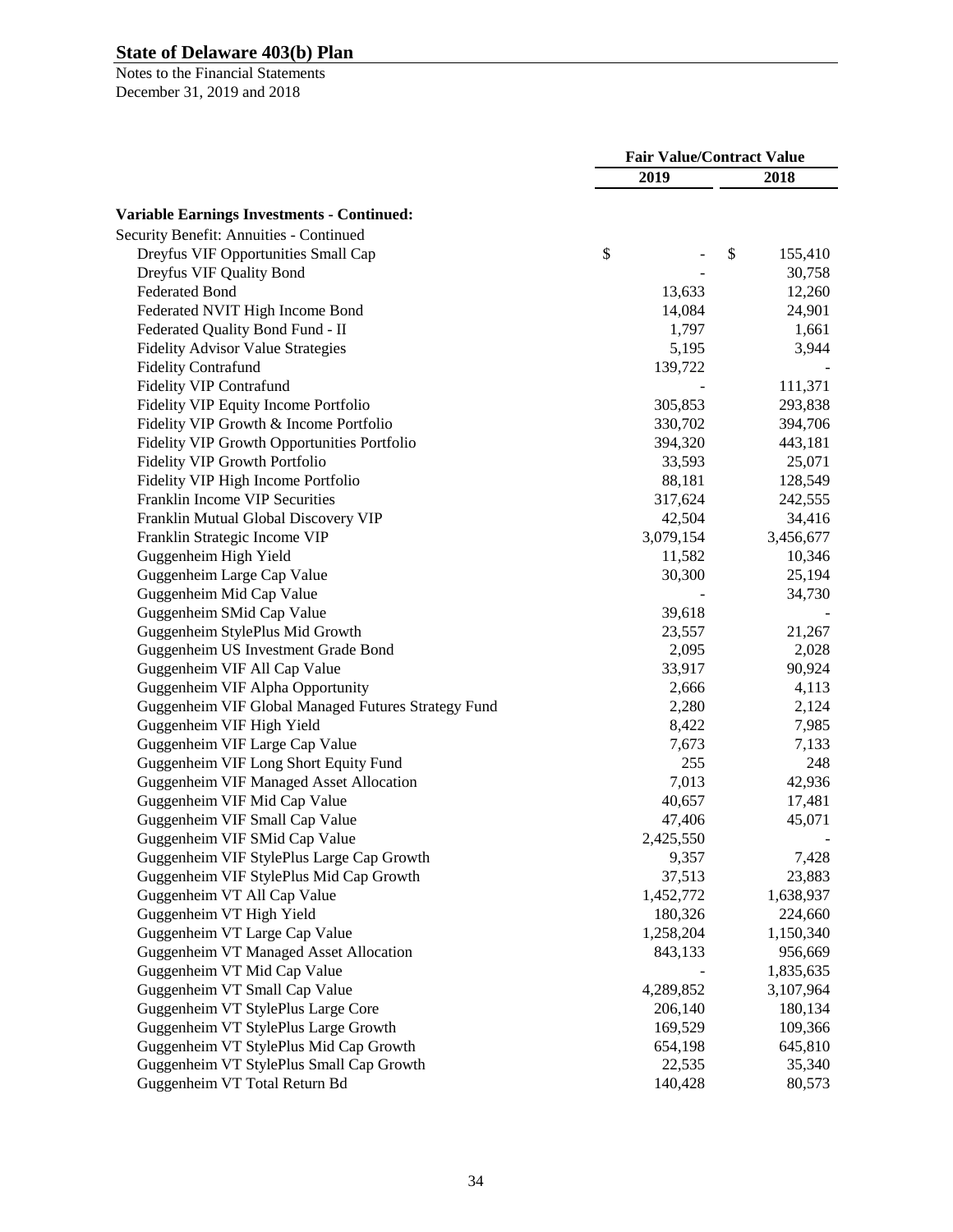|                                                     | <b>Fair Value/Contract Value</b> |           |    |           |
|-----------------------------------------------------|----------------------------------|-----------|----|-----------|
|                                                     |                                  | 2019      |    | 2018      |
| Variable Earnings Investments - Continued:          |                                  |           |    |           |
| Security Benefit: Annuities - Continued             |                                  |           |    |           |
| Dreyfus VIF Opportunities Small Cap                 | \$                               |           | \$ | 155,410   |
| Dreyfus VIF Quality Bond                            |                                  |           |    | 30,758    |
| <b>Federated Bond</b>                               |                                  | 13,633    |    | 12,260    |
| Federated NVIT High Income Bond                     |                                  | 14,084    |    | 24,901    |
| Federated Quality Bond Fund - II                    |                                  | 1,797     |    | 1,661     |
| <b>Fidelity Advisor Value Strategies</b>            |                                  | 5,195     |    | 3,944     |
| <b>Fidelity Contrafund</b>                          |                                  | 139,722   |    |           |
| <b>Fidelity VIP Contrafund</b>                      |                                  |           |    | 111,371   |
| Fidelity VIP Equity Income Portfolio                |                                  | 305,853   |    | 293,838   |
| Fidelity VIP Growth & Income Portfolio              |                                  | 330,702   |    | 394,706   |
| Fidelity VIP Growth Opportunities Portfolio         |                                  | 394,320   |    | 443,181   |
| Fidelity VIP Growth Portfolio                       |                                  | 33,593    |    | 25,071    |
| Fidelity VIP High Income Portfolio                  |                                  | 88,181    |    | 128,549   |
| Franklin Income VIP Securities                      |                                  | 317,624   |    | 242,555   |
| Franklin Mutual Global Discovery VIP                |                                  | 42,504    |    | 34,416    |
| Franklin Strategic Income VIP                       |                                  | 3,079,154 |    | 3,456,677 |
| Guggenheim High Yield                               |                                  | 11,582    |    | 10,346    |
| Guggenheim Large Cap Value                          |                                  | 30,300    |    | 25,194    |
| Guggenheim Mid Cap Value                            |                                  |           |    | 34,730    |
| Guggenheim SMid Cap Value                           |                                  | 39,618    |    |           |
| Guggenheim StylePlus Mid Growth                     |                                  | 23,557    |    | 21,267    |
| Guggenheim US Investment Grade Bond                 |                                  | 2,095     |    | 2,028     |
| Guggenheim VIF All Cap Value                        |                                  | 33,917    |    | 90,924    |
| Guggenheim VIF Alpha Opportunity                    |                                  | 2,666     |    | 4,113     |
| Guggenheim VIF Global Managed Futures Strategy Fund |                                  | 2,280     |    | 2,124     |
| Guggenheim VIF High Yield                           |                                  | 8,422     |    | 7,985     |
| Guggenheim VIF Large Cap Value                      |                                  | 7,673     |    | 7,133     |
| Guggenheim VIF Long Short Equity Fund               |                                  | 255       |    | 248       |
| <b>Guggenheim VIF Managed Asset Allocation</b>      |                                  | 7,013     |    | 42,936    |
| Guggenheim VIF Mid Cap Value                        |                                  | 40,657    |    | 17,481    |
| Guggenheim VIF Small Cap Value                      |                                  | 47,406    |    | 45,071    |
| Guggenheim VIF SMid Cap Value                       |                                  | 2,425,550 |    |           |
| Guggenheim VIF StylePlus Large Cap Growth           |                                  | 9,357     |    | 7,428     |
| Guggenheim VIF StylePlus Mid Cap Growth             |                                  | 37,513    |    | 23,883    |
| Guggenheim VT All Cap Value                         |                                  | 1,452,772 |    | 1,638,937 |
| Guggenheim VT High Yield                            |                                  | 180,326   |    | 224,660   |
| Guggenheim VT Large Cap Value                       |                                  | 1,258,204 |    | 1,150,340 |
| <b>Guggenheim VT Managed Asset Allocation</b>       |                                  | 843,133   |    | 956,669   |
| Guggenheim VT Mid Cap Value                         |                                  |           |    | 1,835,635 |
| Guggenheim VT Small Cap Value                       |                                  | 4,289,852 |    | 3,107,964 |
| Guggenheim VT StylePlus Large Core                  |                                  | 206,140   |    | 180,134   |
| Guggenheim VT StylePlus Large Growth                |                                  | 169,529   |    | 109,366   |
| Guggenheim VT StylePlus Mid Cap Growth              |                                  | 654,198   |    | 645,810   |
| Guggenheim VT StylePlus Small Cap Growth            |                                  | 22,535    |    | 35,340    |
| Guggenheim VT Total Return Bd                       |                                  | 140,428   |    | 80,573    |
|                                                     |                                  |           |    |           |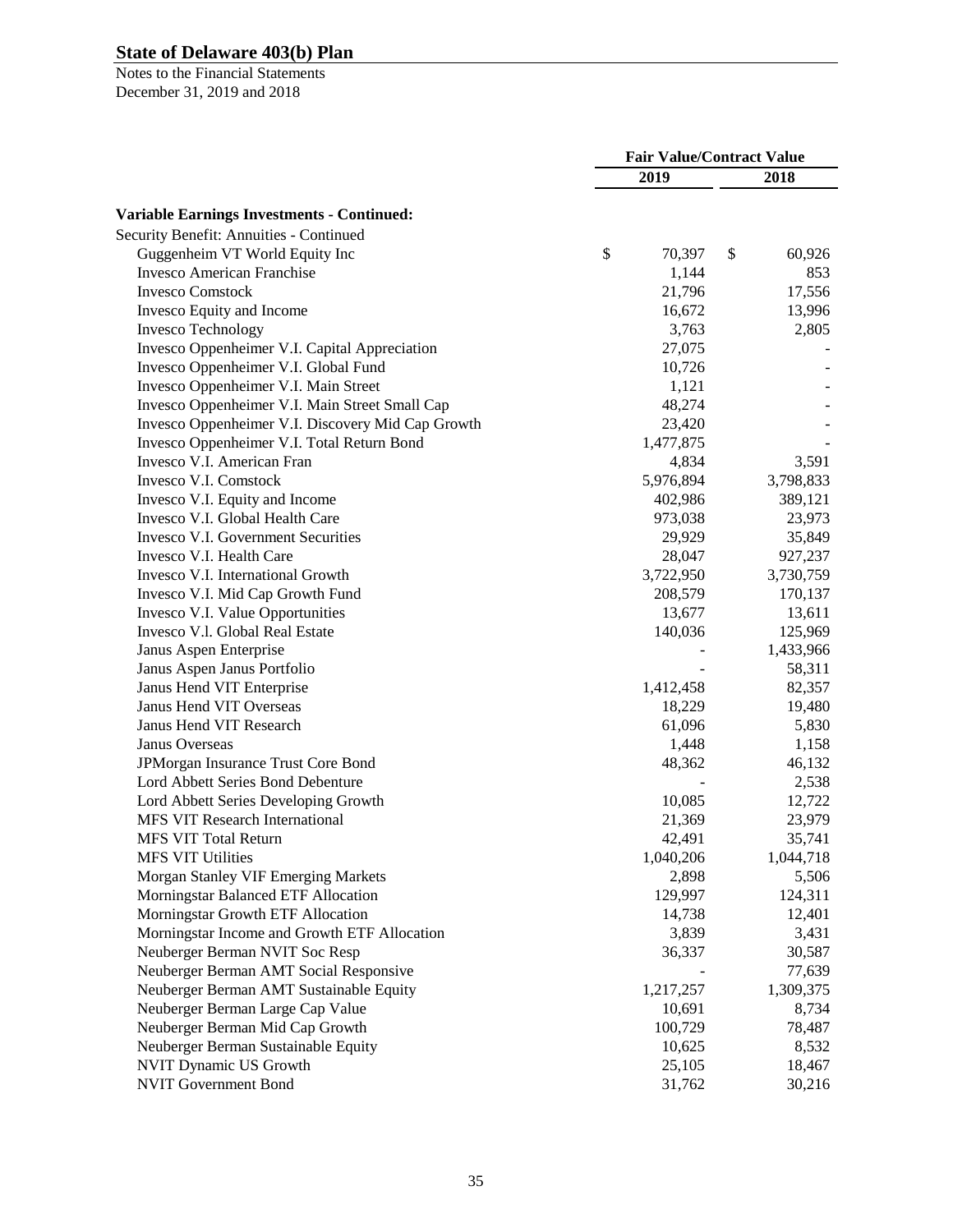|                                                   | <b>Fair Value/Contract Value</b> |           |    |           |
|---------------------------------------------------|----------------------------------|-----------|----|-----------|
|                                                   |                                  | 2019      |    | 2018      |
| <b>Variable Earnings Investments - Continued:</b> |                                  |           |    |           |
| Security Benefit: Annuities - Continued           |                                  |           |    |           |
| Guggenheim VT World Equity Inc                    | \$                               | 70,397    | \$ | 60,926    |
| <b>Invesco American Franchise</b>                 |                                  | 1,144     |    | 853       |
| <b>Invesco Comstock</b>                           |                                  | 21,796    |    | 17,556    |
| Invesco Equity and Income                         |                                  | 16,672    |    | 13,996    |
| <b>Invesco Technology</b>                         |                                  | 3,763     |    | 2,805     |
| Invesco Oppenheimer V.I. Capital Appreciation     |                                  | 27,075    |    |           |
| Invesco Oppenheimer V.I. Global Fund              |                                  | 10,726    |    |           |
| Invesco Oppenheimer V.I. Main Street              |                                  | 1,121     |    |           |
| Invesco Oppenheimer V.I. Main Street Small Cap    |                                  | 48,274    |    |           |
| Invesco Oppenheimer V.I. Discovery Mid Cap Growth |                                  | 23,420    |    |           |
| Invesco Oppenheimer V.I. Total Return Bond        |                                  | 1,477,875 |    |           |
| Invesco V.I. American Fran                        |                                  | 4,834     |    | 3,591     |
| Invesco V.I. Comstock                             |                                  | 5,976,894 |    | 3,798,833 |
| Invesco V.I. Equity and Income                    |                                  | 402,986   |    | 389,121   |
| Invesco V.I. Global Health Care                   |                                  | 973,038   |    | 23,973    |
| Invesco V.I. Government Securities                |                                  | 29,929    |    |           |
| Invesco V.I. Health Care                          |                                  | 28,047    |    | 35,849    |
| Invesco V.I. International Growth                 |                                  |           |    | 927,237   |
|                                                   |                                  | 3,722,950 |    | 3,730,759 |
| Invesco V.I. Mid Cap Growth Fund                  |                                  | 208,579   |    | 170,137   |
| Invesco V.I. Value Opportunities                  |                                  | 13,677    |    | 13,611    |
| Invesco V.I. Global Real Estate                   |                                  | 140,036   |    | 125,969   |
| Janus Aspen Enterprise                            |                                  |           |    | 1,433,966 |
| Janus Aspen Janus Portfolio                       |                                  |           |    | 58,311    |
| Janus Hend VIT Enterprise                         |                                  | 1,412,458 |    | 82,357    |
| <b>Janus Hend VIT Overseas</b>                    |                                  | 18,229    |    | 19,480    |
| Janus Hend VIT Research                           |                                  | 61,096    |    | 5,830     |
| Janus Overseas                                    |                                  | 1,448     |    | 1,158     |
| JPMorgan Insurance Trust Core Bond                |                                  | 48,362    |    | 46,132    |
| Lord Abbett Series Bond Debenture                 |                                  |           |    | 2,538     |
| Lord Abbett Series Developing Growth              |                                  | 10,085    |    | 12,722    |
| <b>MFS VIT Research International</b>             |                                  | 21,369    |    | 23,979    |
| <b>MFS VIT Total Return</b>                       |                                  | 42,491    |    | 35,741    |
| <b>MFS VIT Utilities</b>                          |                                  | 1,040,206 |    | 1,044,718 |
| Morgan Stanley VIF Emerging Markets               |                                  | 2,898     |    | 5,506     |
| Morningstar Balanced ETF Allocation               |                                  | 129,997   |    | 124,311   |
| Morningstar Growth ETF Allocation                 |                                  | 14,738    |    | 12,401    |
| Morningstar Income and Growth ETF Allocation      |                                  | 3,839     |    | 3,431     |
| Neuberger Berman NVIT Soc Resp                    |                                  | 36,337    |    | 30,587    |
| Neuberger Berman AMT Social Responsive            |                                  |           |    | 77,639    |
| Neuberger Berman AMT Sustainable Equity           |                                  | 1,217,257 |    | 1,309,375 |
| Neuberger Berman Large Cap Value                  |                                  | 10,691    |    | 8,734     |
| Neuberger Berman Mid Cap Growth                   |                                  | 100,729   |    | 78,487    |
| Neuberger Berman Sustainable Equity               |                                  | 10,625    |    | 8,532     |
| NVIT Dynamic US Growth                            |                                  | 25,105    |    | 18,467    |
| <b>NVIT Government Bond</b>                       |                                  | 31,762    |    | 30,216    |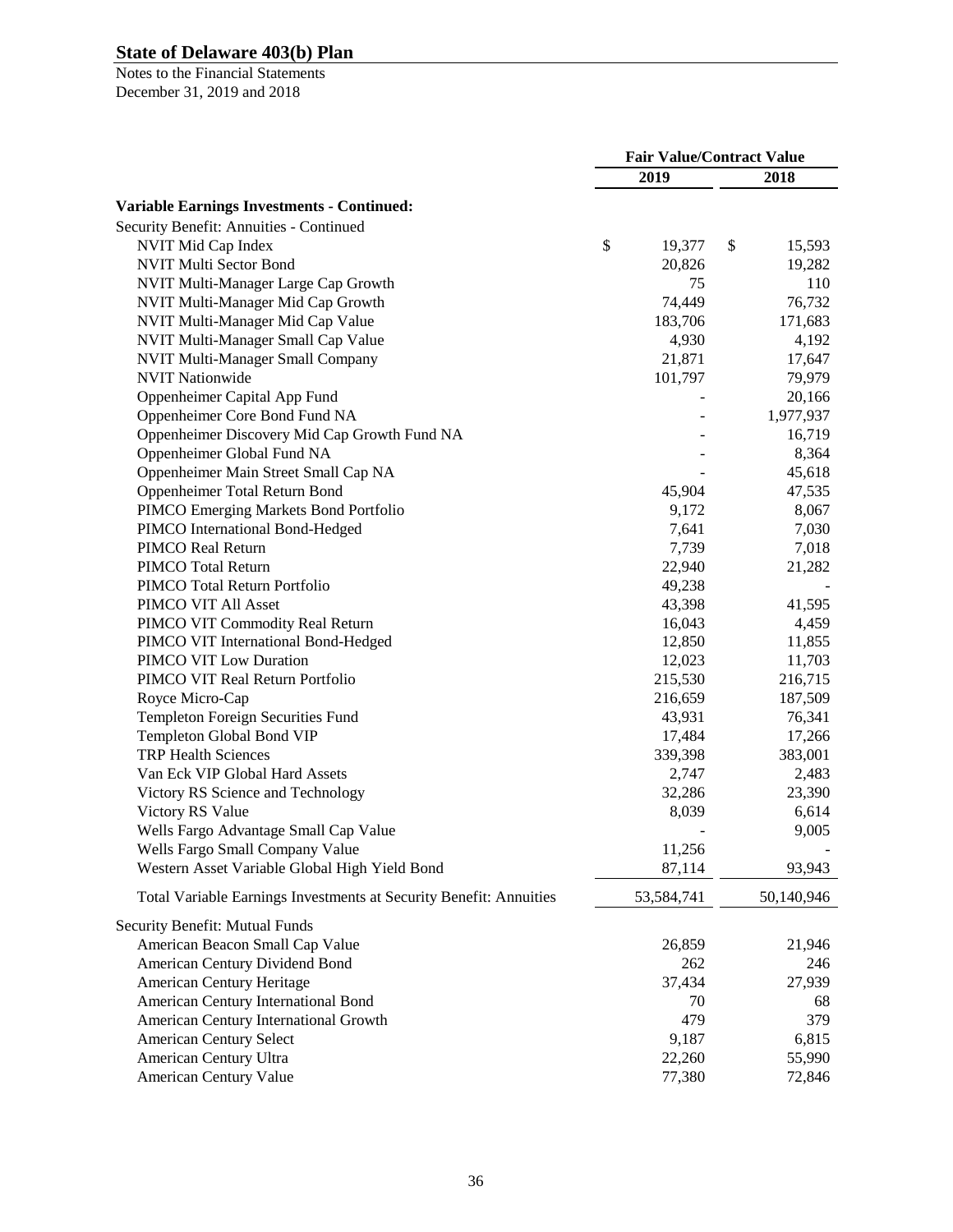|                                                                    | <b>Fair Value/Contract Value</b> |            |    |                 |
|--------------------------------------------------------------------|----------------------------------|------------|----|-----------------|
|                                                                    |                                  | 2019       |    | 2018            |
| <b>Variable Earnings Investments - Continued:</b>                  |                                  |            |    |                 |
| Security Benefit: Annuities - Continued                            |                                  |            |    |                 |
| NVIT Mid Cap Index                                                 | \$                               | 19,377     | \$ | 15,593          |
| NVIT Multi Sector Bond                                             |                                  | 20,826     |    | 19,282          |
| NVIT Multi-Manager Large Cap Growth                                |                                  | 75         |    | 110             |
| NVIT Multi-Manager Mid Cap Growth                                  |                                  | 74,449     |    | 76,732          |
| NVIT Multi-Manager Mid Cap Value                                   |                                  | 183,706    |    | 171,683         |
| NVIT Multi-Manager Small Cap Value                                 |                                  | 4,930      |    | 4,192           |
| NVIT Multi-Manager Small Company                                   |                                  | 21,871     |    | 17,647          |
| <b>NVIT Nationwide</b>                                             |                                  | 101,797    |    | 79,979          |
| Oppenheimer Capital App Fund                                       |                                  |            |    | 20,166          |
| Oppenheimer Core Bond Fund NA                                      |                                  |            |    | 1,977,937       |
| Oppenheimer Discovery Mid Cap Growth Fund NA                       |                                  |            |    | 16,719          |
| Oppenheimer Global Fund NA                                         |                                  |            |    | 8,364           |
| Oppenheimer Main Street Small Cap NA                               |                                  |            |    | 45,618          |
| Oppenheimer Total Return Bond                                      |                                  | 45,904     |    | 47,535          |
| PIMCO Emerging Markets Bond Portfolio                              |                                  | 9,172      |    | 8,067           |
| PIMCO International Bond-Hedged                                    |                                  | 7,641      |    | 7,030           |
| PIMCO Real Return                                                  |                                  | 7,739      |    | 7,018           |
| PIMCO Total Return                                                 |                                  | 22,940     |    | 21,282          |
| PIMCO Total Return Portfolio                                       |                                  | 49,238     |    |                 |
| PIMCO VIT All Asset                                                |                                  | 43,398     |    | 41,595          |
| PIMCO VIT Commodity Real Return                                    |                                  | 16,043     |    | 4,459           |
| PIMCO VIT International Bond-Hedged                                |                                  | 12,850     |    | 11,855          |
| PIMCO VIT Low Duration                                             |                                  | 12,023     |    | 11,703          |
| PIMCO VIT Real Return Portfolio                                    |                                  | 215,530    |    | 216,715         |
| Royce Micro-Cap                                                    |                                  | 216,659    |    | 187,509         |
|                                                                    |                                  | 43,931     |    | 76,341          |
| Templeton Foreign Securities Fund<br>Templeton Global Bond VIP     |                                  | 17,484     |    | 17,266          |
| <b>TRP Health Sciences</b>                                         |                                  | 339,398    |    | 383,001         |
| Van Eck VIP Global Hard Assets                                     |                                  | 2,747      |    |                 |
|                                                                    |                                  | 32,286     |    | 2,483<br>23,390 |
| Victory RS Science and Technology<br>Victory RS Value              |                                  | 8,039      |    | 6,614           |
| Wells Fargo Advantage Small Cap Value                              |                                  |            |    |                 |
|                                                                    |                                  |            |    | 9,005           |
| Wells Fargo Small Company Value                                    |                                  | 11,256     |    |                 |
| Western Asset Variable Global High Yield Bond                      |                                  | 87,114     |    | 93,943          |
| Total Variable Earnings Investments at Security Benefit: Annuities |                                  | 53,584,741 |    | 50,140,946      |
| Security Benefit: Mutual Funds                                     |                                  |            |    |                 |
| American Beacon Small Cap Value                                    |                                  | 26,859     |    | 21,946          |
| American Century Dividend Bond                                     |                                  | 262        |    | 246             |
| American Century Heritage                                          |                                  | 37,434     |    | 27,939          |
| American Century International Bond                                |                                  | 70         |    | 68              |
| American Century International Growth                              |                                  | 479        |    | 379             |
| <b>American Century Select</b>                                     |                                  | 9,187      |    | 6,815           |
| American Century Ultra                                             |                                  | 22,260     |    | 55,990          |
| American Century Value                                             |                                  | 77,380     |    | 72,846          |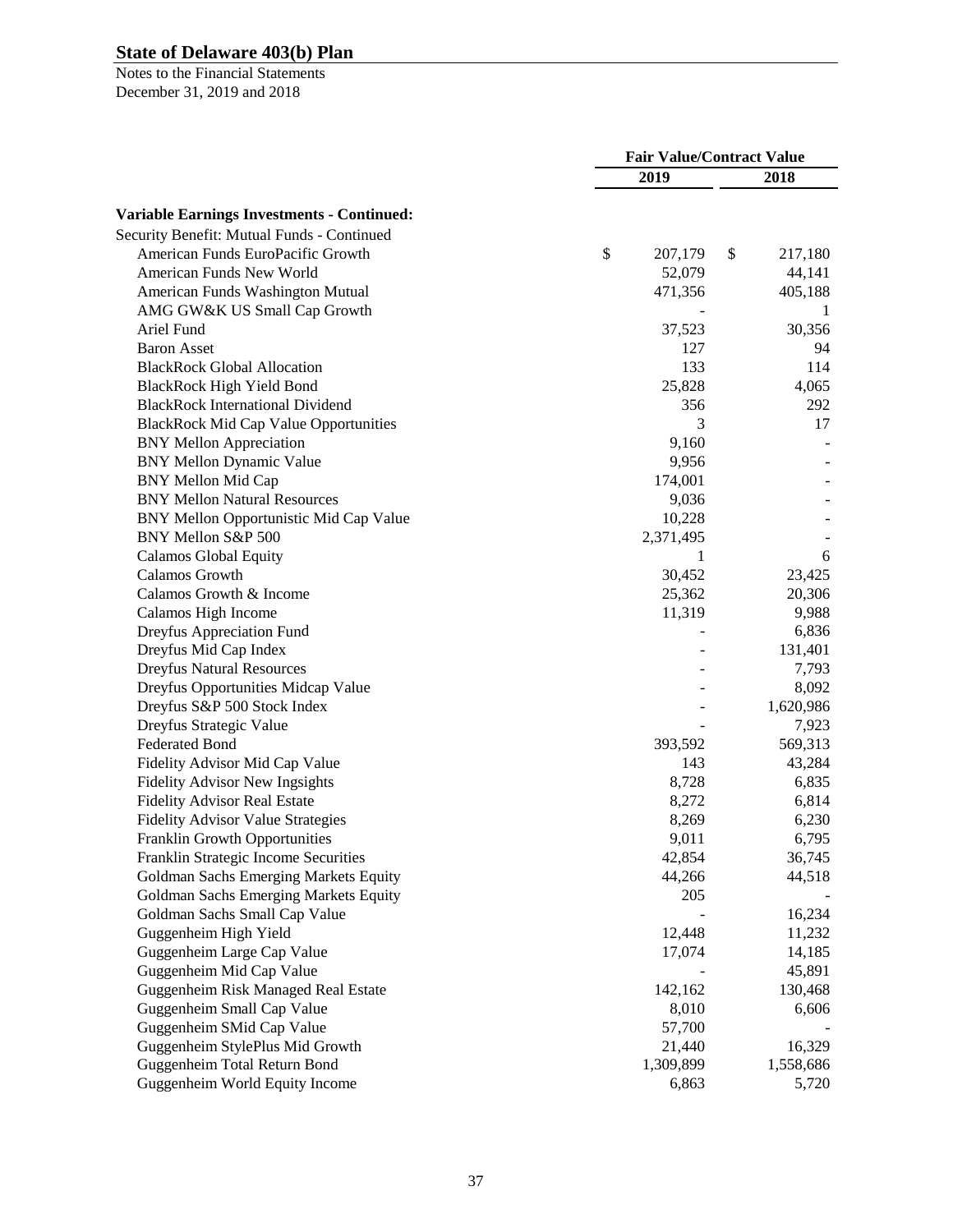|                                                   | <b>Fair Value/Contract Value</b> |               |  |
|---------------------------------------------------|----------------------------------|---------------|--|
|                                                   | 2019                             | 2018          |  |
| <b>Variable Earnings Investments - Continued:</b> |                                  |               |  |
| Security Benefit: Mutual Funds - Continued        |                                  |               |  |
| American Funds EuroPacific Growth                 | $\mathbb{S}$<br>207,179          | \$<br>217,180 |  |
| American Funds New World                          | 52,079                           | 44,141        |  |
| American Funds Washington Mutual                  | 471,356                          | 405,188       |  |
| AMG GW&K US Small Cap Growth                      |                                  | 1             |  |
| Ariel Fund                                        | 37,523                           | 30,356        |  |
| <b>Baron Asset</b>                                | 127                              | 94            |  |
| <b>BlackRock Global Allocation</b>                | 133                              | 114           |  |
| <b>BlackRock High Yield Bond</b>                  | 25,828                           | 4,065         |  |
| <b>BlackRock International Dividend</b>           | 356                              | 292           |  |
| <b>BlackRock Mid Cap Value Opportunities</b>      | 3                                | 17            |  |
| <b>BNY Mellon Appreciation</b>                    | 9,160                            |               |  |
| <b>BNY Mellon Dynamic Value</b>                   | 9,956                            |               |  |
| <b>BNY Mellon Mid Cap</b>                         | 174,001                          |               |  |
| <b>BNY Mellon Natural Resources</b>               | 9,036                            |               |  |
| BNY Mellon Opportunistic Mid Cap Value            | 10,228                           |               |  |
|                                                   |                                  |               |  |
| BNY Mellon S&P 500                                | 2,371,495                        |               |  |
| <b>Calamos Global Equity</b>                      | 1<br>30,452                      | 6<br>23,425   |  |
| Calamos Growth                                    |                                  |               |  |
| Calamos Growth & Income                           | 25,362                           | 20,306        |  |
| Calamos High Income                               | 11,319                           | 9,988         |  |
| Dreyfus Appreciation Fund                         |                                  | 6,836         |  |
| Dreyfus Mid Cap Index                             |                                  | 131,401       |  |
| <b>Dreyfus Natural Resources</b>                  |                                  | 7,793         |  |
| Dreyfus Opportunities Midcap Value                |                                  | 8,092         |  |
| Dreyfus S&P 500 Stock Index                       |                                  | 1,620,986     |  |
| Dreyfus Strategic Value                           |                                  | 7,923         |  |
| <b>Federated Bond</b>                             | 393,592                          | 569,313       |  |
| Fidelity Advisor Mid Cap Value                    | 143                              | 43,284        |  |
| <b>Fidelity Advisor New Ingsights</b>             | 8,728                            | 6,835         |  |
| <b>Fidelity Advisor Real Estate</b>               | 8,272                            | 6,814         |  |
| <b>Fidelity Advisor Value Strategies</b>          | 8,269                            | 6,230         |  |
| <b>Franklin Growth Opportunities</b>              | 9,011                            | 6,795         |  |
| Franklin Strategic Income Securities              | 42,854                           | 36,745        |  |
| Goldman Sachs Emerging Markets Equity             | 44,266                           | 44,518        |  |
| Goldman Sachs Emerging Markets Equity             | 205                              |               |  |
| Goldman Sachs Small Cap Value                     |                                  | 16,234        |  |
| Guggenheim High Yield                             | 12,448                           | 11,232        |  |
| Guggenheim Large Cap Value                        | 17,074                           | 14,185        |  |
| Guggenheim Mid Cap Value                          |                                  | 45,891        |  |
| Guggenheim Risk Managed Real Estate               | 142,162                          | 130,468       |  |
| Guggenheim Small Cap Value                        | 8,010                            | 6,606         |  |
| Guggenheim SMid Cap Value                         | 57,700                           |               |  |
| Guggenheim StylePlus Mid Growth                   | 21,440                           | 16,329        |  |
| Guggenheim Total Return Bond                      | 1,309,899                        | 1,558,686     |  |
| Guggenheim World Equity Income                    | 6,863                            | 5,720         |  |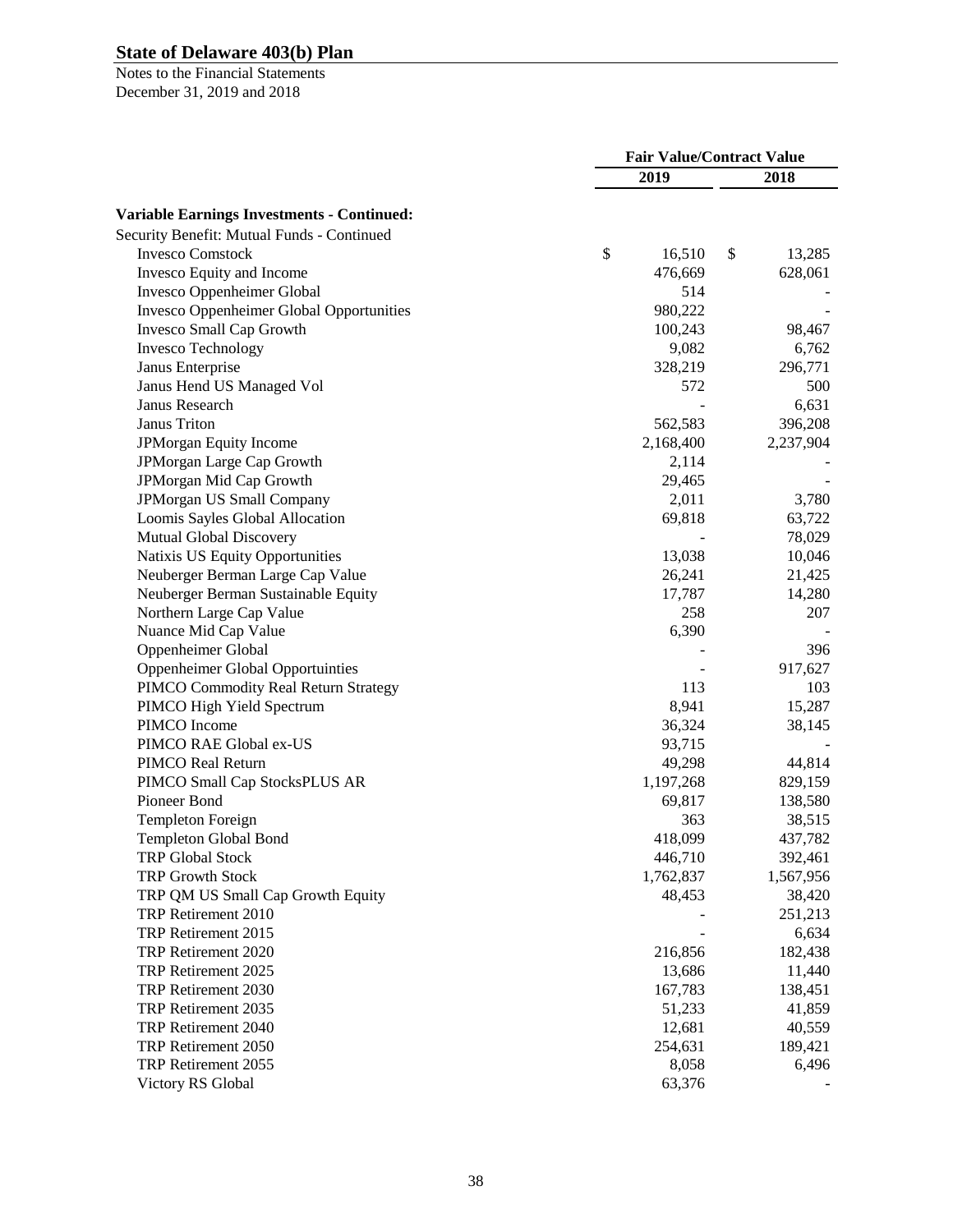|                                                     | <b>Fair Value/Contract Value</b> |           |    |           |
|-----------------------------------------------------|----------------------------------|-----------|----|-----------|
|                                                     |                                  | 2019      |    | 2018      |
| <b>Variable Earnings Investments - Continued:</b>   |                                  |           |    |           |
| Security Benefit: Mutual Funds - Continued          |                                  |           |    |           |
| <b>Invesco Comstock</b>                             | \$                               | 16,510    | \$ | 13,285    |
| Invesco Equity and Income                           |                                  | 476,669   |    | 628,061   |
| Invesco Oppenheimer Global                          |                                  | 514       |    |           |
| <b>Invesco Oppenheimer Global Opportunities</b>     |                                  | 980,222   |    |           |
| Invesco Small Cap Growth                            |                                  | 100,243   |    | 98,467    |
| <b>Invesco Technology</b>                           |                                  | 9,082     |    | 6,762     |
|                                                     |                                  | 328,219   |    | 296,771   |
| Janus Enterprise<br>Janus Hend US Managed Vol       |                                  | 572       |    | 500       |
| Janus Research                                      |                                  |           |    | 6,631     |
| Janus Triton                                        |                                  | 562,583   |    | 396,208   |
|                                                     |                                  |           |    |           |
| JPMorgan Equity Income<br>JPMorgan Large Cap Growth |                                  | 2,168,400 |    | 2,237,904 |
|                                                     |                                  | 2,114     |    |           |
| JPMorgan Mid Cap Growth                             |                                  | 29,465    |    |           |
| <b>JPMorgan US Small Company</b>                    |                                  | 2,011     |    | 3,780     |
| Loomis Sayles Global Allocation                     |                                  | 69,818    |    | 63,722    |
| Mutual Global Discovery                             |                                  |           |    | 78,029    |
| Natixis US Equity Opportunities                     |                                  | 13,038    |    | 10,046    |
| Neuberger Berman Large Cap Value                    |                                  | 26,241    |    | 21,425    |
| Neuberger Berman Sustainable Equity                 |                                  | 17,787    |    | 14,280    |
| Northern Large Cap Value                            |                                  | 258       |    | 207       |
| Nuance Mid Cap Value                                |                                  | 6,390     |    |           |
| Oppenheimer Global                                  |                                  |           |    | 396       |
| <b>Oppenheimer Global Opportuinties</b>             |                                  |           |    | 917,627   |
| PIMCO Commodity Real Return Strategy                |                                  | 113       |    | 103       |
| PIMCO High Yield Spectrum                           |                                  | 8,941     |    | 15,287    |
| PIMCO Income                                        |                                  | 36,324    |    | 38,145    |
| PIMCO RAE Global ex-US                              |                                  | 93,715    |    |           |
| PIMCO Real Return                                   |                                  | 49,298    |    | 44,814    |
| PIMCO Small Cap StocksPLUS AR                       |                                  | 1,197,268 |    | 829,159   |
| Pioneer Bond                                        |                                  | 69,817    |    | 138,580   |
| Templeton Foreign                                   |                                  | 363       |    | 38,515    |
| Templeton Global Bond                               |                                  | 418,099   |    | 437,782   |
| <b>TRP Global Stock</b>                             |                                  | 446,710   |    | 392,461   |
| <b>TRP Growth Stock</b>                             |                                  | 1,762,837 |    | 1,567,956 |
| TRP QM US Small Cap Growth Equity                   |                                  | 48,453    |    | 38,420    |
| TRP Retirement 2010                                 |                                  |           |    | 251,213   |
| TRP Retirement 2015                                 |                                  |           |    | 6,634     |
| TRP Retirement 2020                                 |                                  | 216,856   |    | 182,438   |
| TRP Retirement 2025                                 |                                  | 13,686    |    | 11,440    |
| TRP Retirement 2030                                 |                                  | 167,783   |    | 138,451   |
| TRP Retirement 2035                                 |                                  | 51,233    |    | 41,859    |
| TRP Retirement 2040                                 |                                  | 12,681    |    | 40,559    |
| TRP Retirement 2050                                 |                                  | 254,631   |    | 189,421   |
| TRP Retirement 2055                                 |                                  | 8,058     |    | 6,496     |
| Victory RS Global                                   |                                  | 63,376    |    |           |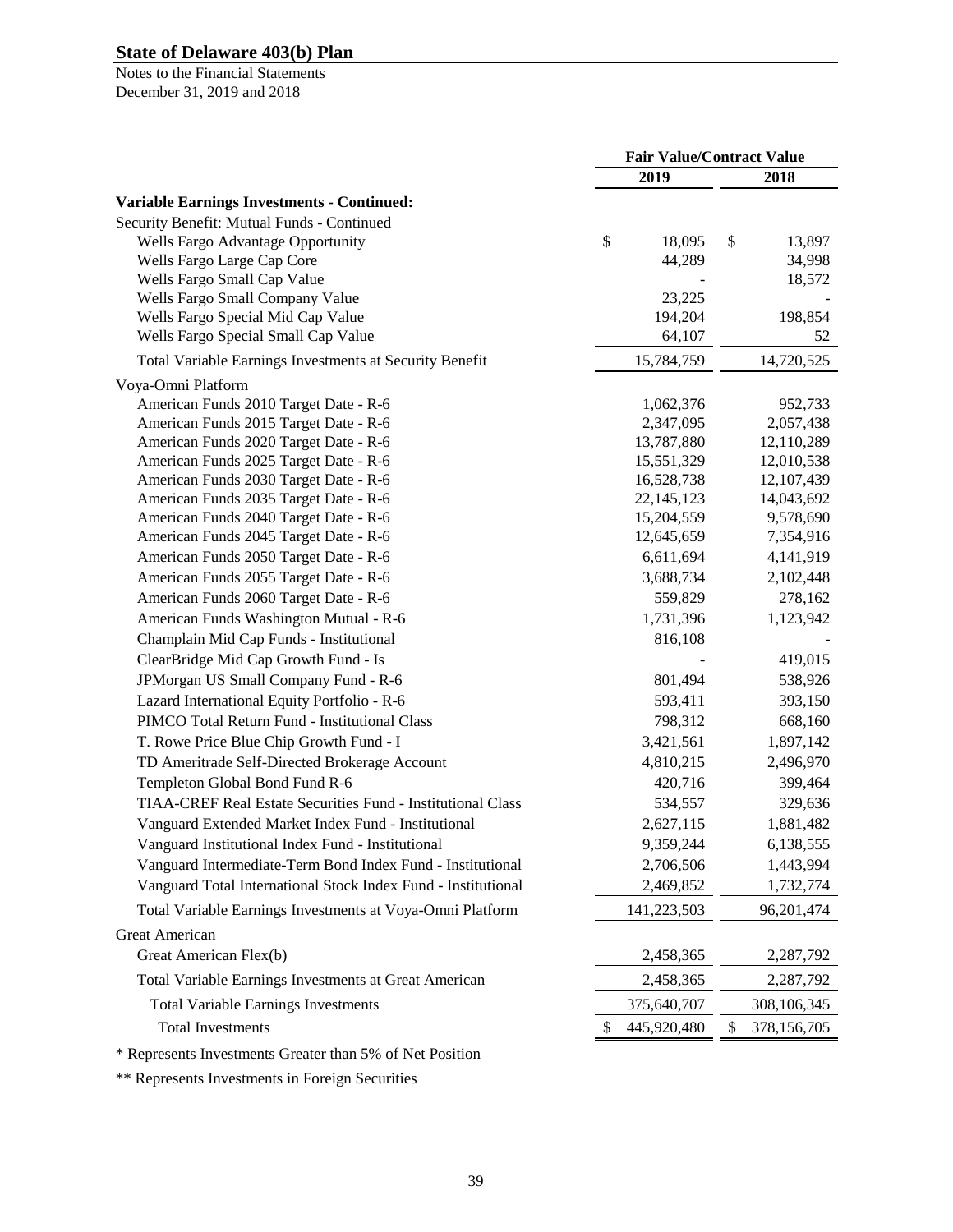Notes to the Financial Statements December 31, 2019 and 2018

|                                                               | <b>Fair Value/Contract Value</b> |              |    |             |
|---------------------------------------------------------------|----------------------------------|--------------|----|-------------|
|                                                               |                                  | 2019         |    | 2018        |
| <b>Variable Earnings Investments - Continued:</b>             |                                  |              |    |             |
| Security Benefit: Mutual Funds - Continued                    |                                  |              |    |             |
| Wells Fargo Advantage Opportunity                             | \$                               | 18,095       | \$ | 13,897      |
| Wells Fargo Large Cap Core                                    |                                  | 44,289       |    | 34,998      |
| Wells Fargo Small Cap Value                                   |                                  |              |    | 18,572      |
| Wells Fargo Small Company Value                               |                                  | 23,225       |    |             |
| Wells Fargo Special Mid Cap Value                             |                                  | 194,204      |    | 198,854     |
| Wells Fargo Special Small Cap Value                           |                                  | 64,107       |    | 52          |
| Total Variable Earnings Investments at Security Benefit       |                                  | 15,784,759   |    | 14,720,525  |
| Voya-Omni Platform                                            |                                  |              |    |             |
| American Funds 2010 Target Date - R-6                         |                                  | 1,062,376    |    | 952,733     |
| American Funds 2015 Target Date - R-6                         |                                  | 2,347,095    |    | 2,057,438   |
| American Funds 2020 Target Date - R-6                         |                                  | 13,787,880   |    | 12,110,289  |
| American Funds 2025 Target Date - R-6                         |                                  | 15,551,329   |    | 12,010,538  |
| American Funds 2030 Target Date - R-6                         |                                  | 16,528,738   |    | 12,107,439  |
| American Funds 2035 Target Date - R-6                         |                                  | 22, 145, 123 |    | 14,043,692  |
| American Funds 2040 Target Date - R-6                         |                                  | 15,204,559   |    | 9,578,690   |
| American Funds 2045 Target Date - R-6                         |                                  | 12,645,659   |    | 7,354,916   |
| American Funds 2050 Target Date - R-6                         |                                  | 6,611,694    |    | 4,141,919   |
| American Funds 2055 Target Date - R-6                         |                                  | 3,688,734    |    | 2,102,448   |
| American Funds 2060 Target Date - R-6                         |                                  | 559,829      |    | 278,162     |
| American Funds Washington Mutual - R-6                        |                                  | 1,731,396    |    | 1,123,942   |
| Champlain Mid Cap Funds - Institutional                       |                                  | 816,108      |    |             |
| ClearBridge Mid Cap Growth Fund - Is                          |                                  |              |    | 419,015     |
| JPMorgan US Small Company Fund - R-6                          |                                  | 801,494      |    | 538,926     |
| Lazard International Equity Portfolio - R-6                   |                                  | 593,411      |    | 393,150     |
| PIMCO Total Return Fund - Institutional Class                 |                                  | 798,312      |    | 668,160     |
| T. Rowe Price Blue Chip Growth Fund - I                       |                                  | 3,421,561    |    | 1,897,142   |
| TD Ameritrade Self-Directed Brokerage Account                 |                                  | 4,810,215    |    | 2,496,970   |
| Templeton Global Bond Fund R-6                                |                                  | 420,716      |    | 399,464     |
| TIAA-CREF Real Estate Securities Fund - Institutional Class   |                                  | 534,557      |    | 329,636     |
| Vanguard Extended Market Index Fund - Institutional           |                                  | 2,627,115    |    | 1,881,482   |
| Vanguard Institutional Index Fund - Institutional             |                                  | 9,359,244    |    | 6,138,555   |
| Vanguard Intermediate-Term Bond Index Fund - Institutional    |                                  | 2,706,506    |    | 1,443,994   |
| Vanguard Total International Stock Index Fund - Institutional |                                  | 2,469,852    |    | 1,732,774   |
|                                                               |                                  |              |    |             |
| Total Variable Earnings Investments at Voya-Omni Platform     |                                  | 141,223,503  |    | 96,201,474  |
| <b>Great American</b><br>Great American Flex(b)               |                                  |              |    |             |
|                                                               |                                  | 2,458,365    |    | 2,287,792   |
| Total Variable Earnings Investments at Great American         |                                  | 2,458,365    |    | 2,287,792   |
| <b>Total Variable Earnings Investments</b>                    |                                  | 375,640,707  |    | 308,106,345 |
| <b>Total Investments</b>                                      | 2                                | 445,920,480  | \$ | 378,156,705 |
| * Depresents Investments Greeter than 50% of Net Desition     |                                  |              |    |             |

\* Represents Investments Greater than 5% of Net Position

\*\* Represents Investments in Foreign Securities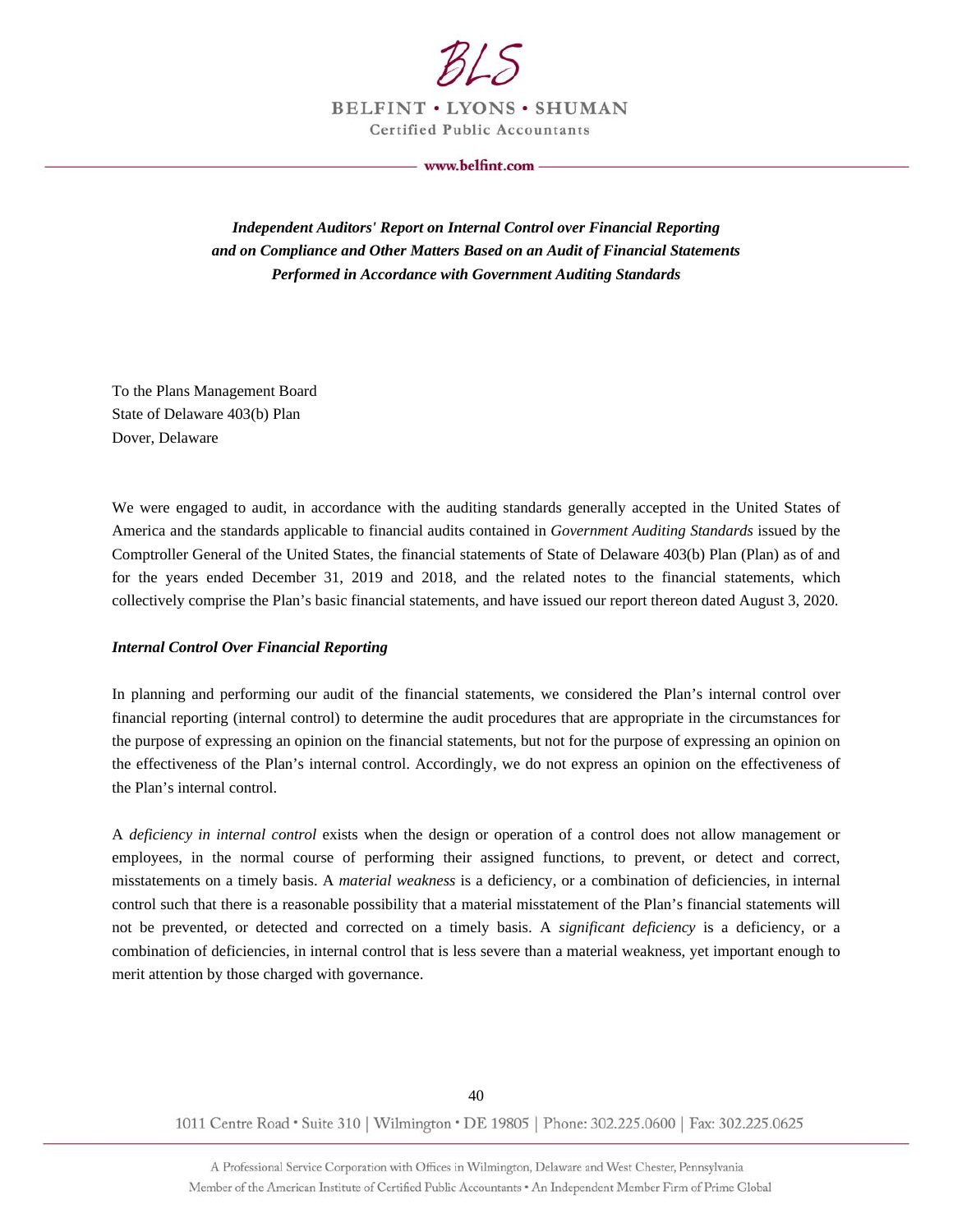

**BELFINT . LYONS . SHUMAN Certified Public Accountants** 

www.belfint.com -

*Independent Auditors' Report on Internal Control over Financial Reporting and on Compliance and Other Matters Based on an Audit of Financial Statements Performed in Accordance with Government Auditing Standards* 

To the Plans Management Board State of Delaware 403(b) Plan Dover, Delaware

We were engaged to audit, in accordance with the auditing standards generally accepted in the United States of America and the standards applicable to financial audits contained in *Government Auditing Standards* issued by the Comptroller General of the United States, the financial statements of State of Delaware 403(b) Plan (Plan) as of and for the years ended December 31, 2019 and 2018, and the related notes to the financial statements, which collectively comprise the Plan's basic financial statements, and have issued our report thereon dated August 3, 2020.

#### *Internal Control Over Financial Reporting*

In planning and performing our audit of the financial statements, we considered the Plan's internal control over financial reporting (internal control) to determine the audit procedures that are appropriate in the circumstances for the purpose of expressing an opinion on the financial statements, but not for the purpose of expressing an opinion on the effectiveness of the Plan's internal control. Accordingly, we do not express an opinion on the effectiveness of the Plan's internal control.

A *deficiency in internal control* exists when the design or operation of a control does not allow management or employees, in the normal course of performing their assigned functions, to prevent, or detect and correct, misstatements on a timely basis. A *material weakness* is a deficiency, or a combination of deficiencies, in internal control such that there is a reasonable possibility that a material misstatement of the Plan's financial statements will not be prevented, or detected and corrected on a timely basis. A *significant deficiency* is a deficiency, or a combination of deficiencies, in internal control that is less severe than a material weakness, yet important enough to merit attention by those charged with governance.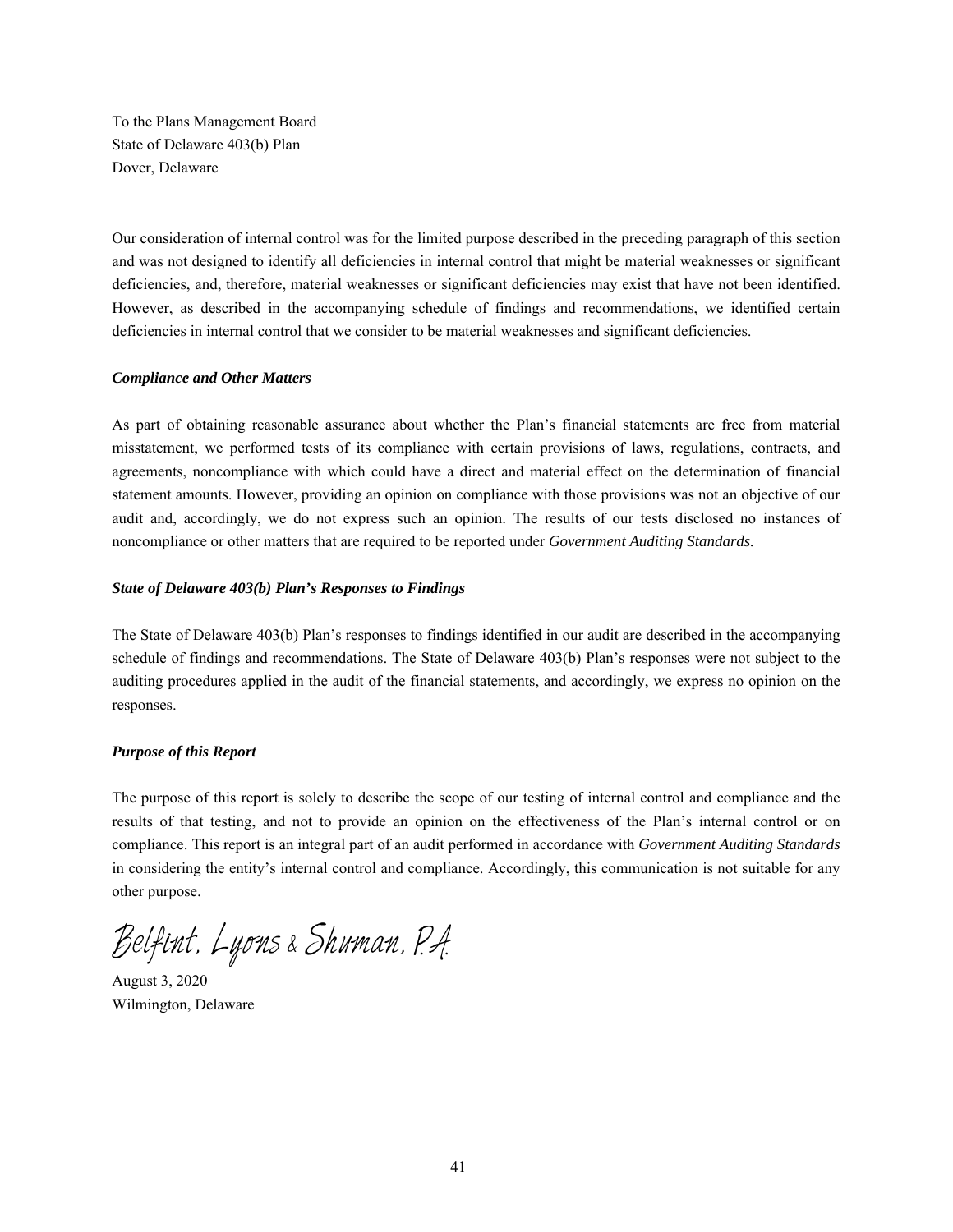To the Plans Management Board State of Delaware 403(b) Plan Dover, Delaware

Our consideration of internal control was for the limited purpose described in the preceding paragraph of this section and was not designed to identify all deficiencies in internal control that might be material weaknesses or significant deficiencies, and, therefore, material weaknesses or significant deficiencies may exist that have not been identified. However, as described in the accompanying schedule of findings and recommendations, we identified certain deficiencies in internal control that we consider to be material weaknesses and significant deficiencies.

#### *Compliance and Other Matters*

As part of obtaining reasonable assurance about whether the Plan's financial statements are free from material misstatement, we performed tests of its compliance with certain provisions of laws, regulations, contracts, and agreements, noncompliance with which could have a direct and material effect on the determination of financial statement amounts. However, providing an opinion on compliance with those provisions was not an objective of our audit and, accordingly, we do not express such an opinion. The results of our tests disclosed no instances of noncompliance or other matters that are required to be reported under *Government Auditing Standards.*

#### *State of Delaware 403(b) Plan's Responses to Findings*

The State of Delaware 403(b) Plan's responses to findings identified in our audit are described in the accompanying schedule of findings and recommendations. The State of Delaware 403(b) Plan's responses were not subject to the auditing procedures applied in the audit of the financial statements, and accordingly, we express no opinion on the responses.

#### *Purpose of this Report*

The purpose of this report is solely to describe the scope of our testing of internal control and compliance and the results of that testing, and not to provide an opinion on the effectiveness of the Plan's internal control or on compliance. This report is an integral part of an audit performed in accordance with *Government Auditing Standards* in considering the entity's internal control and compliance. Accordingly, this communication is not suitable for any other purpose.

Belfint, Lyons & Shuman, P.A.

August 3, 2020 Wilmington, Delaware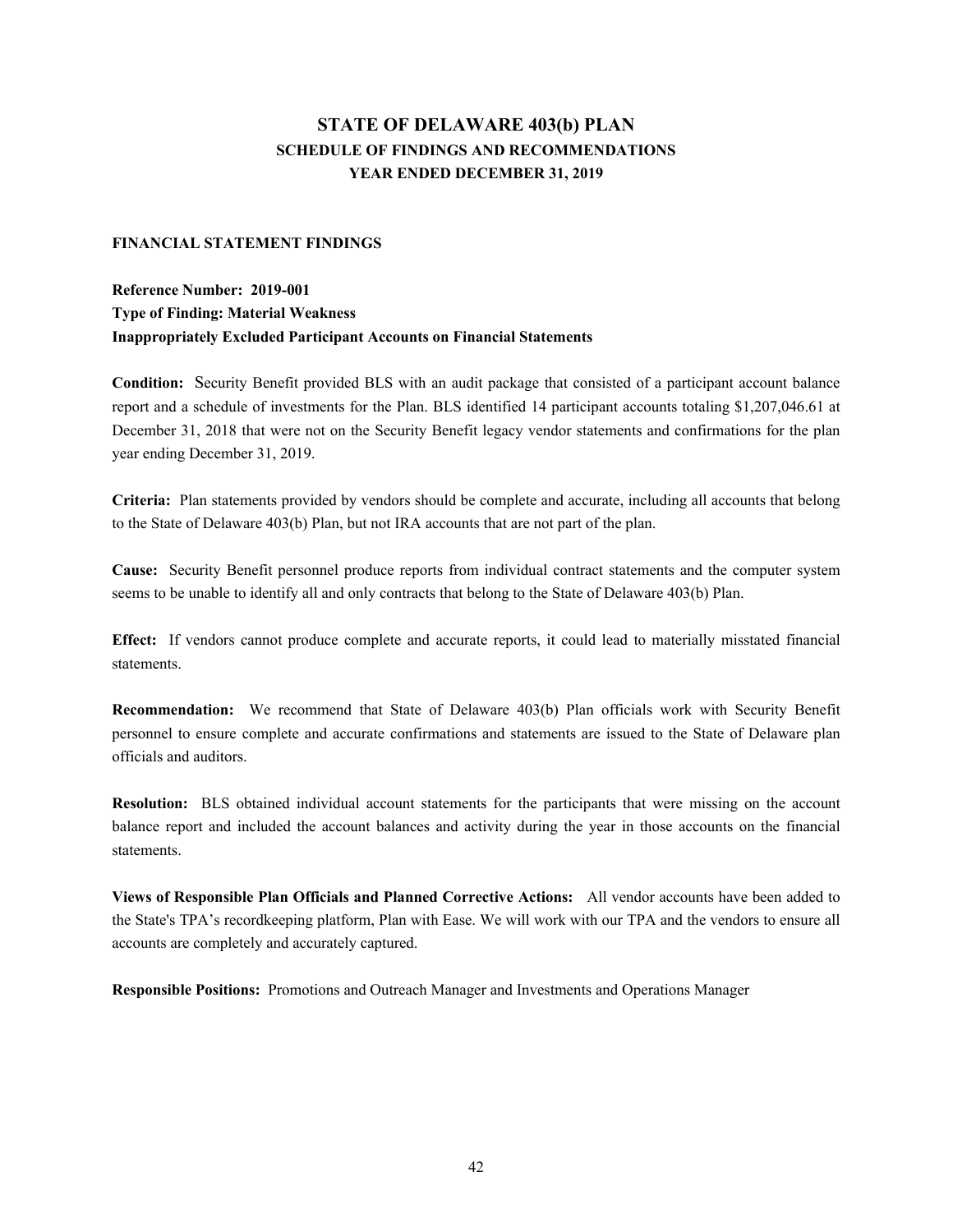# **STATE OF DELAWARE 403(b) PLAN SCHEDULE OF FINDINGS AND RECOMMENDATIONS YEAR ENDED DECEMBER 31, 2019**

#### **FINANCIAL STATEMENT FINDINGS**

## **Reference Number: 2019-001 Type of Finding: Material Weakness Inappropriately Excluded Participant Accounts on Financial Statements**

**Condition:** Security Benefit provided BLS with an audit package that consisted of a participant account balance report and a schedule of investments for the Plan. BLS identified 14 participant accounts totaling \$1,207,046.61 at December 31, 2018 that were not on the Security Benefit legacy vendor statements and confirmations for the plan year ending December 31, 2019.

**Criteria:** Plan statements provided by vendors should be complete and accurate, including all accounts that belong to the State of Delaware 403(b) Plan, but not IRA accounts that are not part of the plan.

**Cause:** Security Benefit personnel produce reports from individual contract statements and the computer system seems to be unable to identify all and only contracts that belong to the State of Delaware 403(b) Plan.

**Effect:** If vendors cannot produce complete and accurate reports, it could lead to materially misstated financial statements.

**Recommendation:** We recommend that State of Delaware 403(b) Plan officials work with Security Benefit personnel to ensure complete and accurate confirmations and statements are issued to the State of Delaware plan officials and auditors.

**Resolution:** BLS obtained individual account statements for the participants that were missing on the account balance report and included the account balances and activity during the year in those accounts on the financial statements.

**Views of Responsible Plan Officials and Planned Corrective Actions:** All vendor accounts have been added to the State's TPA's recordkeeping platform, Plan with Ease. We will work with our TPA and the vendors to ensure all accounts are completely and accurately captured.

**Responsible Positions:** Promotions and Outreach Manager and Investments and Operations Manager